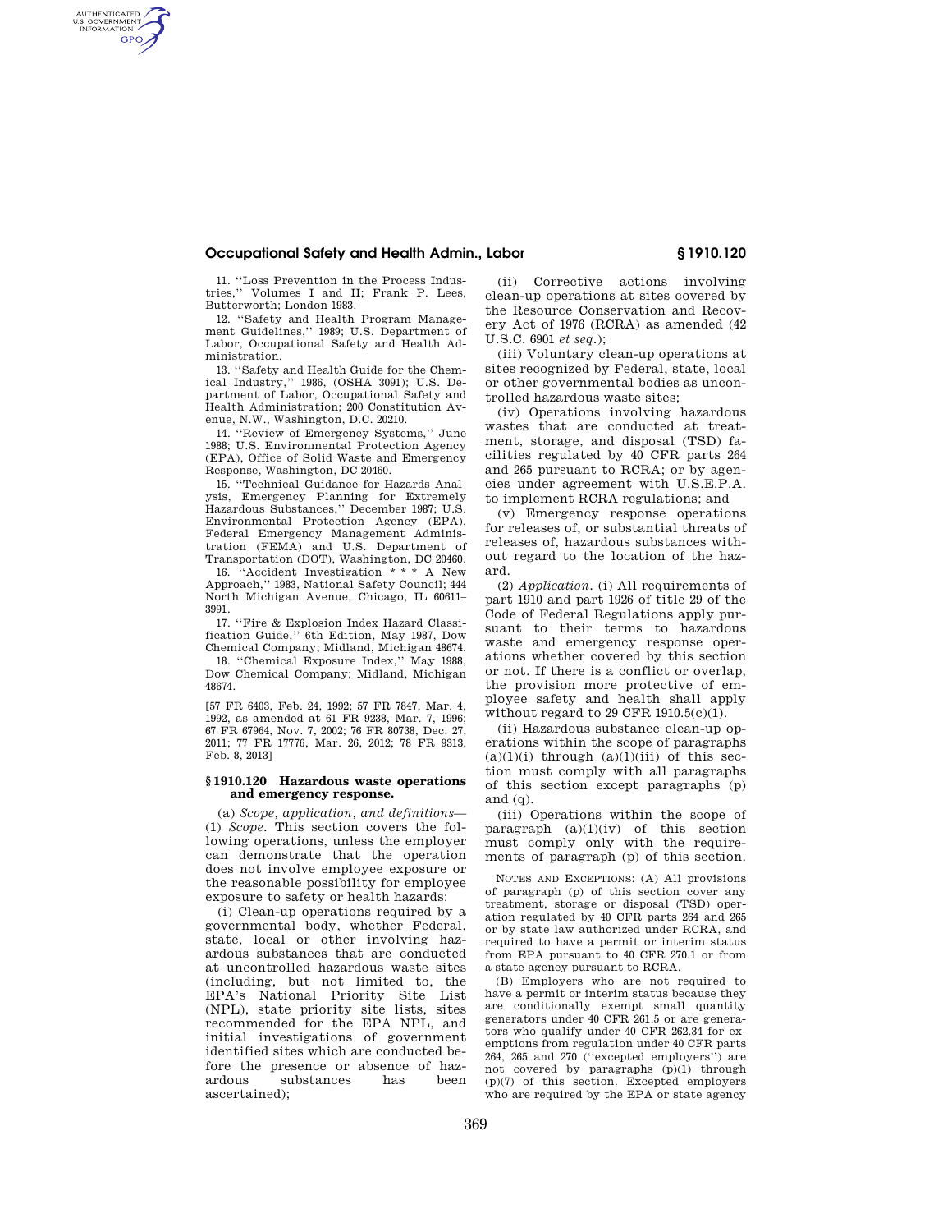11. ''Loss Prevention in the Process Industries,'' Volumes I and II; Frank P. Lees, Butterworth; London 1983.

AUTHENTICATED<br>U.S. GOVERNMENT<br>INFORMATION **GPO** 

> 12. ''Safety and Health Program Management Guidelines,'' 1989; U.S. Department of Labor, Occupational Safety and Health Administration.

> 13. ''Safety and Health Guide for the Chemical Industry,'' 1986, (OSHA 3091); U.S. Department of Labor, Occupational Safety and Health Administration; 200 Constitution Avenue, N.W., Washington, D.C. 20210.

> 14. ''Review of Emergency Systems,'' June 1988; U.S. Environmental Protection Agency (EPA), Office of Solid Waste and Emergency Response, Washington, DC 20460.

> 15. ''Technical Guidance for Hazards Analysis, Emergency Planning for Extremely Hazardous Substances,'' December 1987; U.S. Environmental Protection Agency (EPA), Federal Emergency Management Administration (FEMA) and U.S. Department of Transportation (DOT), Washington, DC 20460.

> 16. ''Accident Investigation \* \* \* A New Approach,'' 1983, National Safety Council; 444 North Michigan Avenue, Chicago, IL 60611– 3991.

> 17. ''Fire & Explosion Index Hazard Classification Guide,'' 6th Edition, May 1987, Dow Chemical Company; Midland, Michigan 48674.

> 18. ''Chemical Exposure Index,'' May 1988, Dow Chemical Company; Midland, Michigan 48674.

[57 FR 6403, Feb. 24, 1992; 57 FR 7847, Mar. 4, 1992, as amended at 61 FR 9238, Mar. 7, 1996; 67 FR 67964, Nov. 7, 2002; 76 FR 80738, Dec. 27, 2011; 77 FR 17776, Mar. 26, 2012; 78 FR 9313, Feb. 8, 2013]

## **§ 1910.120 Hazardous waste operations and emergency response.**

(a) *Scope, application, and definitions*— (1) *Scope.* This section covers the following operations, unless the employer can demonstrate that the operation does not involve employee exposure or the reasonable possibility for employee exposure to safety or health hazards:

(i) Clean-up operations required by a governmental body, whether Federal, state, local or other involving hazardous substances that are conducted at uncontrolled hazardous waste sites (including, but not limited to, the EPA's National Priority Site List (NPL), state priority site lists, sites recommended for the EPA NPL, and initial investigations of government identified sites which are conducted before the presence or absence of hazardous substances has been ascertained);

(ii) Corrective actions involving clean-up operations at sites covered by the Resource Conservation and Recovery Act of 1976 (RCRA) as amended (42 U.S.C. 6901 *et seq.*);

(iii) Voluntary clean-up operations at sites recognized by Federal, state, local or other governmental bodies as uncontrolled hazardous waste sites;

(iv) Operations involving hazardous wastes that are conducted at treatment, storage, and disposal (TSD) facilities regulated by 40 CFR parts 264 and 265 pursuant to RCRA; or by agencies under agreement with U.S.E.P.A. to implement RCRA regulations; and

(v) Emergency response operations for releases of, or substantial threats of releases of, hazardous substances without regard to the location of the hazard.

(2) *Application.* (i) All requirements of part 1910 and part 1926 of title 29 of the Code of Federal Regulations apply pursuant to their terms to hazardous waste and emergency response operations whether covered by this section or not. If there is a conflict or overlap, the provision more protective of employee safety and health shall apply without regard to 29 CFR  $1910.5(c)(1)$ .

(ii) Hazardous substance clean-up operations within the scope of paragraphs  $(a)(1)(i)$  through  $(a)(1)(iii)$  of this section must comply with all paragraphs of this section except paragraphs (p) and  $(q)$ .

(iii) Operations within the scope of paragraph (a)(1)(iv) of this section must comply only with the requirements of paragraph (p) of this section.

NOTES AND EXCEPTIONS: (A) All provisions of paragraph (p) of this section cover any treatment, storage or disposal (TSD) operation regulated by 40 CFR parts 264 and 265 or by state law authorized under RCRA, and required to have a permit or interim status from EPA pursuant to 40 CFR 270.1 or from a state agency pursuant to RCRA.

(B) Employers who are not required to have a permit or interim status because they are conditionally exempt small quantity generators under 40 CFR 261.5 or are generators who qualify under 40 CFR 262.34 for exemptions from regulation under 40 CFR parts 264, 265 and 270 (''excepted employers'') are not covered by paragraphs (p)(1) through (p)(7) of this section. Excepted employers who are required by the EPA or state agency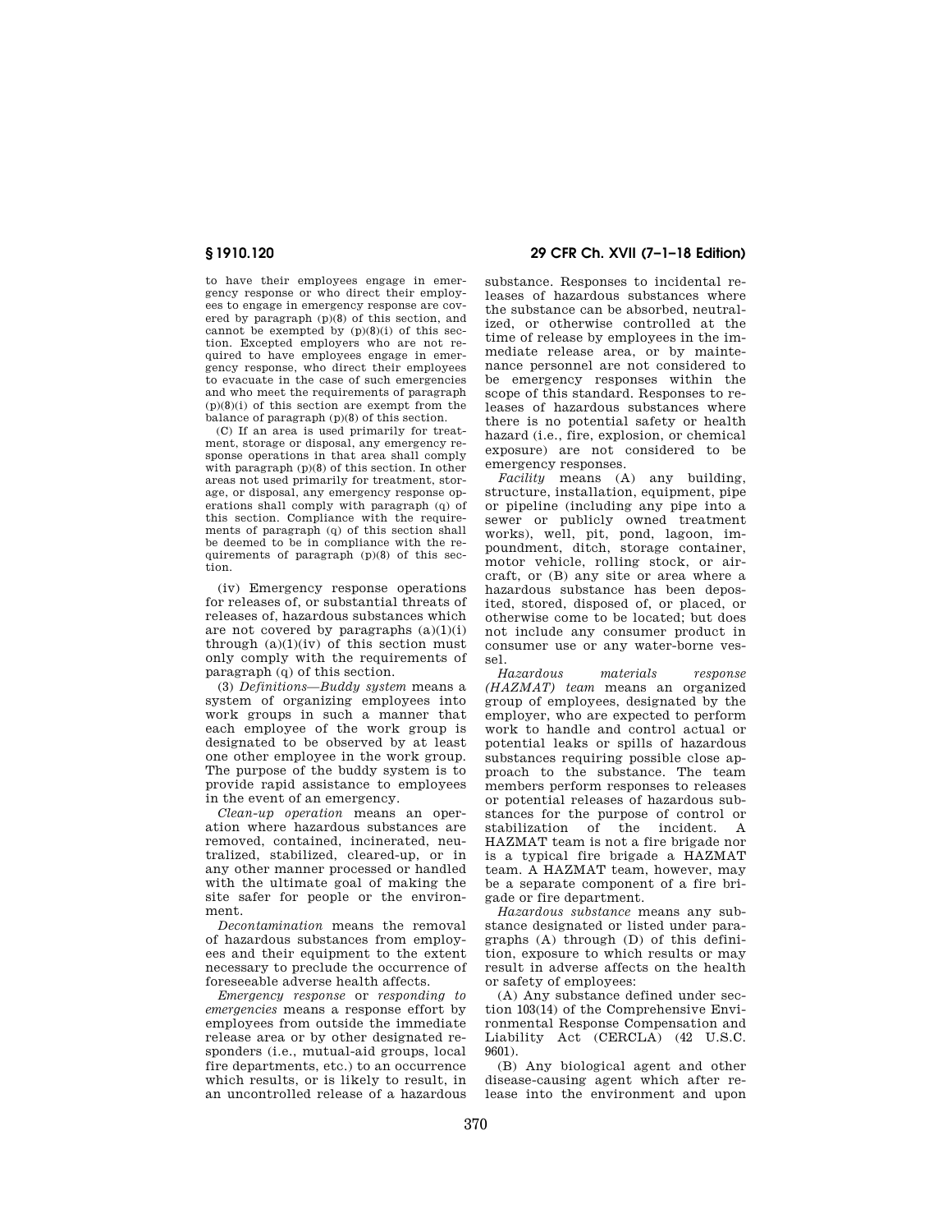to have their employees engage in emergency response or who direct their employees to engage in emergency response are covered by paragraph (p)(8) of this section, and cannot be exempted by (p)(8)(i) of this section. Excepted employers who are not required to have employees engage in emergency response, who direct their employees to evacuate in the case of such emergencies and who meet the requirements of paragraph  $(p)(8)(i)$  of this section are exempt from the balance of paragraph (p)(8) of this section.

(C) If an area is used primarily for treatment, storage or disposal, any emergency response operations in that area shall comply with paragraph (p)(8) of this section. In other areas not used primarily for treatment, storage, or disposal, any emergency response operations shall comply with paragraph (q) of this section. Compliance with the requirements of paragraph (q) of this section shall be deemed to be in compliance with the requirements of paragraph  $(p)(8)$  of this section.

(iv) Emergency response operations for releases of, or substantial threats of releases of, hazardous substances which are not covered by paragraphs  $(a)(1)(i)$ through  $(a)(1)(iv)$  of this section must only comply with the requirements of paragraph (q) of this section.

(3) *Definitions—Buddy system* means a system of organizing employees into work groups in such a manner that each employee of the work group is designated to be observed by at least one other employee in the work group. The purpose of the buddy system is to provide rapid assistance to employees in the event of an emergency.

*Clean-up operation* means an operation where hazardous substances are removed, contained, incinerated, neutralized, stabilized, cleared-up, or in any other manner processed or handled with the ultimate goal of making the site safer for people or the environment.

*Decontamination* means the removal of hazardous substances from employees and their equipment to the extent necessary to preclude the occurrence of foreseeable adverse health affects.

*Emergency response* or *responding to emergencies* means a response effort by employees from outside the immediate release area or by other designated responders (i.e., mutual-aid groups, local fire departments, etc.) to an occurrence which results, or is likely to result, in an uncontrolled release of a hazardous

**§ 1910.120 29 CFR Ch. XVII (7–1–18 Edition)** 

substance. Responses to incidental releases of hazardous substances where the substance can be absorbed, neutralized, or otherwise controlled at the time of release by employees in the immediate release area, or by maintenance personnel are not considered to be emergency responses within the scope of this standard. Responses to releases of hazardous substances where there is no potential safety or health hazard (i.e., fire, explosion, or chemical exposure) are not considered to be emergency responses.

*Facility* means (A) any building, structure, installation, equipment, pipe or pipeline (including any pipe into a sewer or publicly owned treatment works), well, pit, pond, lagoon, impoundment, ditch, storage container, motor vehicle, rolling stock, or aircraft, or (B) any site or area where a hazardous substance has been deposited, stored, disposed of, or placed, or otherwise come to be located; but does not include any consumer product in consumer use or any water-borne ves-

sel.<br>Hazardous *Hazardous materials response (HAZMAT) team* means an organized group of employees, designated by the employer, who are expected to perform work to handle and control actual or potential leaks or spills of hazardous substances requiring possible close approach to the substance. The team members perform responses to releases or potential releases of hazardous substances for the purpose of control or stabilization of the incident. A HAZMAT team is not a fire brigade nor is a typical fire brigade a HAZMAT team. A HAZMAT team, however, may be a separate component of a fire brigade or fire department.

*Hazardous substance* means any substance designated or listed under paragraphs (A) through (D) of this definition, exposure to which results or may result in adverse affects on the health or safety of employees:

(A) Any substance defined under section 103(14) of the Comprehensive Environmental Response Compensation and Liability Act (CERCLA) (42 U.S.C. 9601).

(B) Any biological agent and other disease-causing agent which after release into the environment and upon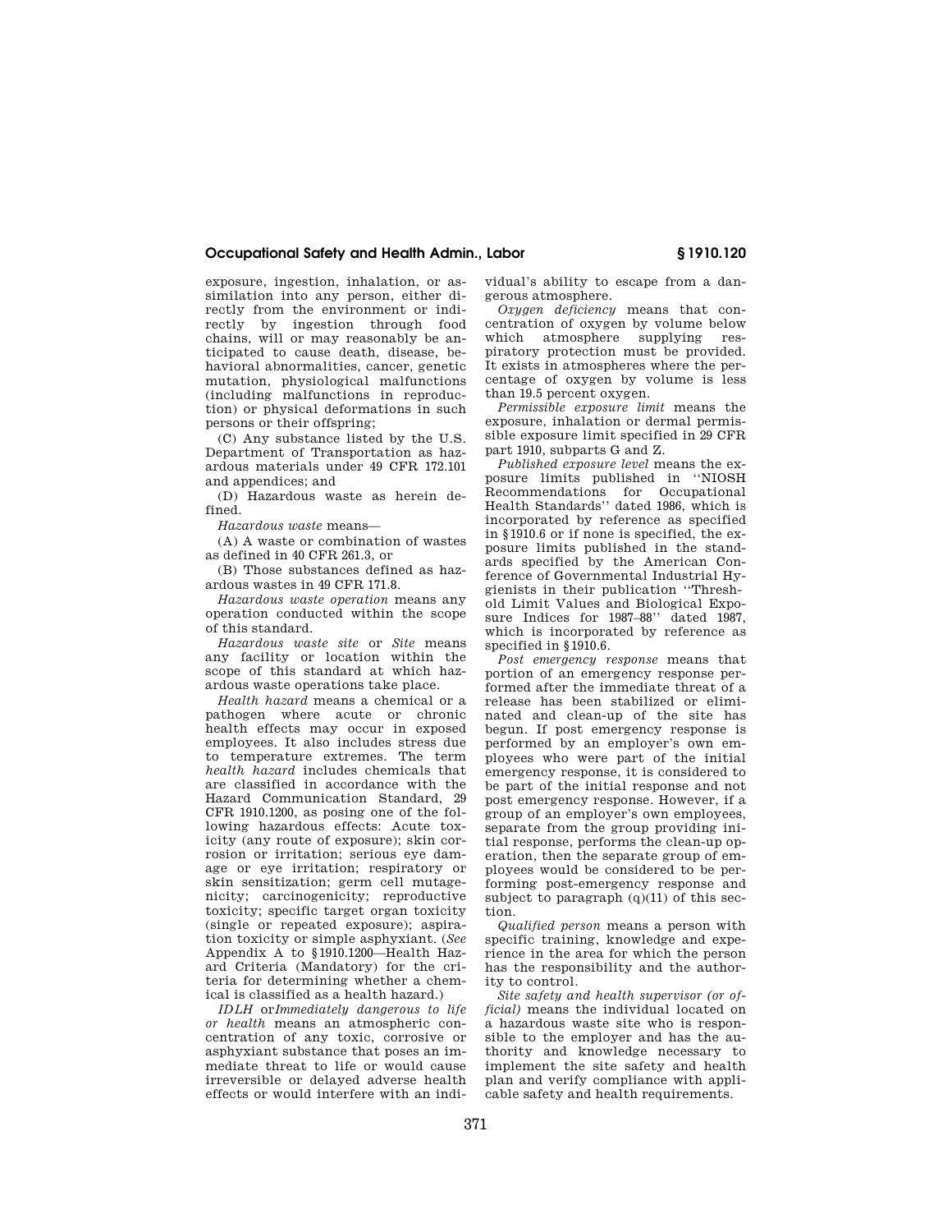exposure, ingestion, inhalation, or assimilation into any person, either directly from the environment or indirectly by ingestion through food chains, will or may reasonably be anticipated to cause death, disease, behavioral abnormalities, cancer, genetic mutation, physiological malfunctions (including malfunctions in reproduction) or physical deformations in such persons or their offspring;

(C) Any substance listed by the U.S. Department of Transportation as hazardous materials under 49 CFR 172.101 and appendices; and

(D) Hazardous waste as herein defined.

*Hazardous waste* means—

(A) A waste or combination of wastes as defined in 40 CFR 261.3, or

(B) Those substances defined as hazardous wastes in 49 CFR 171.8.

*Hazardous waste operation* means any operation conducted within the scope of this standard.

*Hazardous waste site* or *Site* means any facility or location within the scope of this standard at which hazardous waste operations take place.

*Health hazard* means a chemical or a pathogen where acute or chronic health effects may occur in exposed employees. It also includes stress due to temperature extremes. The term *health hazard* includes chemicals that are classified in accordance with the Hazard Communication Standard, 29 CFR 1910.1200, as posing one of the following hazardous effects: Acute toxicity (any route of exposure); skin corrosion or irritation; serious eye damage or eye irritation; respiratory or skin sensitization; germ cell mutagenicity; carcinogenicity; reproductive toxicity; specific target organ toxicity (single or repeated exposure); aspiration toxicity or simple asphyxiant. (*See*  Appendix A to §1910.1200—Health Hazard Criteria (Mandatory) for the criteria for determining whether a chemical is classified as a health hazard.)

*IDLH* or*Immediately dangerous to life or health* means an atmospheric concentration of any toxic, corrosive or asphyxiant substance that poses an immediate threat to life or would cause irreversible or delayed adverse health effects or would interfere with an individual's ability to escape from a dangerous atmosphere.

*Oxygen deficiency* means that concentration of oxygen by volume below<br>which atmosphere supplying reswhich atmosphere supplying piratory protection must be provided. It exists in atmospheres where the percentage of oxygen by volume is less than 19.5 percent oxygen.

*Permissible exposure limit* means the exposure, inhalation or dermal permissible exposure limit specified in 29 CFR part 1910, subparts G and Z.

*Published exposure level* means the exposure limits published in ''NIOSH Recommendations for Occupational Health Standards'' dated 1986, which is incorporated by reference as specified in §1910.6 or if none is specified, the exposure limits published in the standards specified by the American Conference of Governmental Industrial Hygienists in their publication ''Threshold Limit Values and Biological Exposure Indices for 1987–88" dated 1987. which is incorporated by reference as specified in §1910.6.

*Post emergency response* means that portion of an emergency response performed after the immediate threat of a release has been stabilized or eliminated and clean-up of the site has begun. If post emergency response is performed by an employer's own employees who were part of the initial emergency response, it is considered to be part of the initial response and not post emergency response. However, if a group of an employer's own employees, separate from the group providing initial response, performs the clean-up operation, then the separate group of employees would be considered to be performing post-emergency response and subject to paragraph  $(q)(11)$  of this section.

*Qualified person* means a person with specific training, knowledge and experience in the area for which the person has the responsibility and the authority to control.

*Site safety and health supervisor (or official)* means the individual located on a hazardous waste site who is responsible to the employer and has the authority and knowledge necessary to implement the site safety and health plan and verify compliance with applicable safety and health requirements.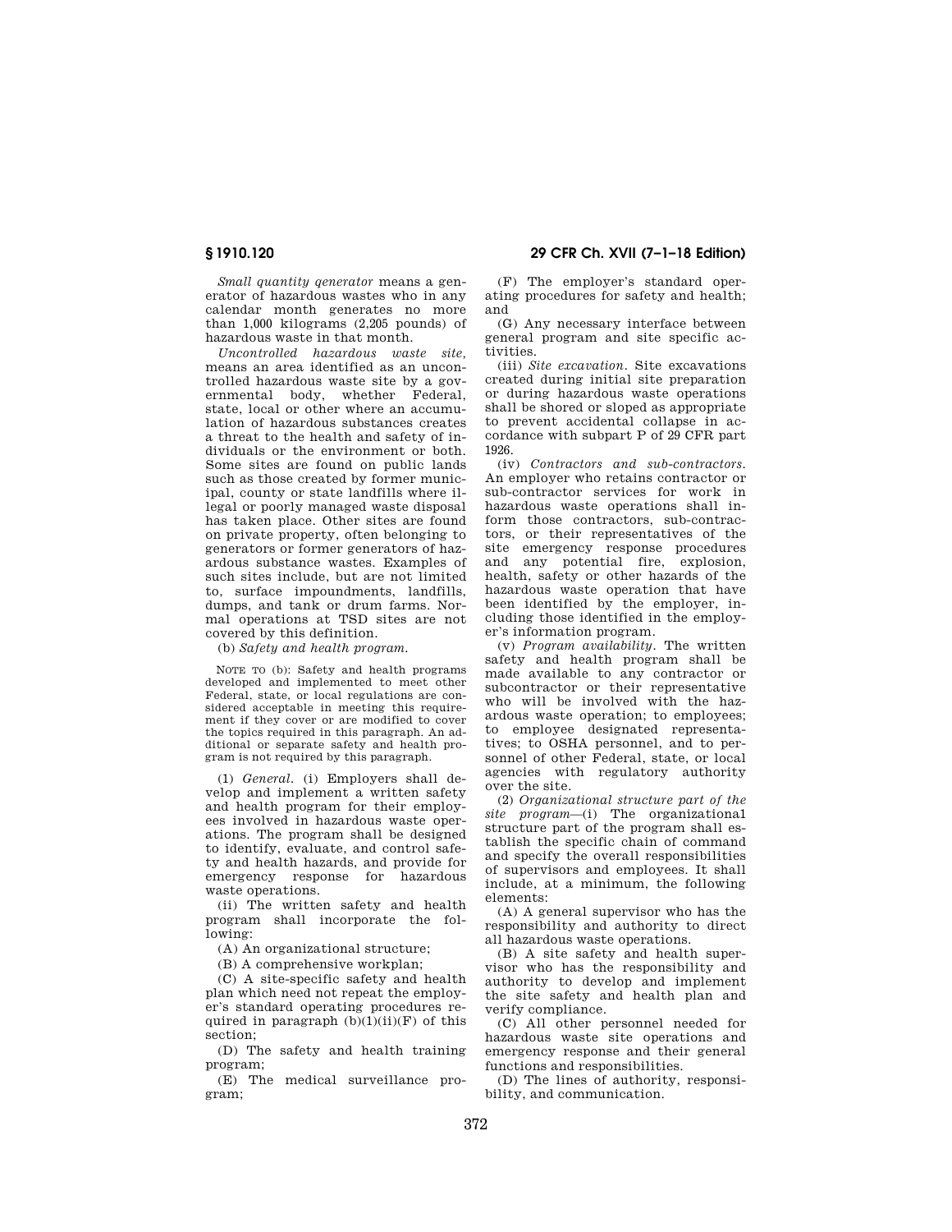*Small quantity qenerator* means a generator of hazardous wastes who in any calendar month generates no more than 1,000 kilograms (2,205 pounds) of hazardous waste in that month.

*Uncontrolled hazardous waste site,*  means an area identified as an uncontrolled hazardous waste site by a governmental body, whether Federal, state, local or other where an accumulation of hazardous substances creates a threat to the health and safety of individuals or the environment or both. Some sites are found on public lands such as those created by former municipal, county or state landfills where illegal or poorly managed waste disposal has taken place. Other sites are found on private property, often belonging to generators or former generators of hazardous substance wastes. Examples of such sites include, but are not limited to, surface impoundments, landfills, dumps, and tank or drum farms. Normal operations at TSD sites are not covered by this definition.

(b) *Safety and health program.* 

NOTE TO (b): Safety and health programs developed and implemented to meet other Federal, state, or local regulations are considered acceptable in meeting this requirement if they cover or are modified to cover the topics required in this paragraph. An additional or separate safety and health program is not required by this paragraph.

(1) *General.* (i) Employers shall develop and implement a written safety and health program for their employees involved in hazardous waste operations. The program shall be designed to identify, evaluate, and control safety and health hazards, and provide for emergency response for hazardous waste operations.

(ii) The written safety and health program shall incorporate the following:

(A) An organizational structure;

(B) A comprehensive workplan;

(C) A site-specific safety and health plan which need not repeat the employer's standard operating procedures required in paragraph  $(b)(1)(ii)(F)$  of this section;

(D) The safety and health training program;

(E) The medical surveillance program;

## **§ 1910.120 29 CFR Ch. XVII (7–1–18 Edition)**

(F) The employer's standard operating procedures for safety and health; and

(G) Any necessary interface between general program and site specific activities.

(iii) *Site excavation.* Site excavations created during initial site preparation or during hazardous waste operations shall be shored or sloped as appropriate to prevent accidental collapse in accordance with subpart P of 29 CFR part 1926.

(iv) *Contractors and sub-contractors.*  An employer who retains contractor or sub-contractor services for work in hazardous waste operations shall inform those contractors, sub-contractors, or their representatives of the site emergency response procedures and any potential fire, explosion, health, safety or other hazards of the hazardous waste operation that have been identified by the employer, including those identified in the employer's information program.

(v) *Program availability.* The written safety and health program shall be made available to any contractor or subcontractor or their representative who will be involved with the hazardous waste operation; to employees; to employee designated representatives; to OSHA personnel, and to personnel of other Federal, state, or local agencies with regulatory authority over the site.

(2) *Organizational structure part of the site program*—(i) The organizationa1 structure part of the program shall establish the specific chain of command and specify the overall responsibilities of supervisors and employees. It shall include, at a minimum, the following elements:

(A) A general supervisor who has the responsibility and authority to direct all hazardous waste operations.

(B) A site safety and health supervisor who has the responsibility and authority to develop and implement the site safety and health plan and verify compliance.

(C) All other personnel needed for hazardous waste site operations and emergency response and their general functions and responsibilities.

(D) The lines of authority, responsibility, and communication.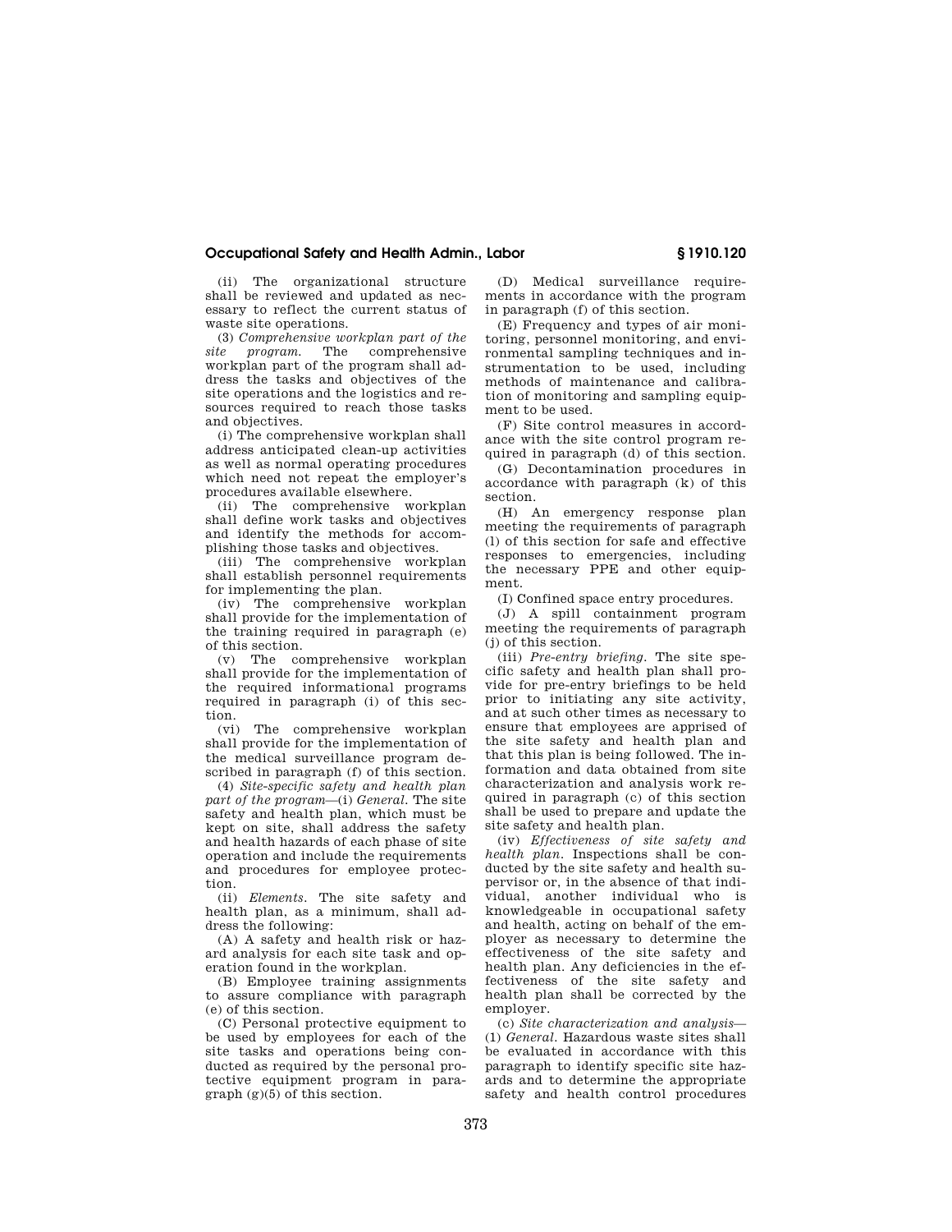(ii) The organizational structure shall be reviewed and updated as necessary to reflect the current status of waste site operations.

(3) *Comprehensive workplan part of the site program.* The comprehensive workplan part of the program shall address the tasks and objectives of the site operations and the logistics and resources required to reach those tasks and objectives.

(i) The comprehensive workplan shall address anticipated clean-up activities as well as normal operating procedures which need not repeat the employer's procedures available elsewhere.

(ii) The comprehensive workplan shall define work tasks and objectives and identify the methods for accomplishing those tasks and objectives.

(iii) The comprehensive workplan shall establish personnel requirements for implementing the plan.

(iv) The comprehensive workplan shall provide for the implementation of the training required in paragraph (e) of this section.

(v) The comprehensive workplan shall provide for the implementation of the required informational programs required in paragraph (i) of this section.

(vi) The comprehensive workplan shall provide for the implementation of the medical surveillance program described in paragraph (f) of this section.

(4) *Site-specific safety and health plan part of the program*—(i) *General.* The site safety and health plan, which must be kept on site, shall address the safety and health hazards of each phase of site operation and include the requirements and procedures for employee protection.

(ii) *Elements.* The site safety and health plan, as a minimum, shall address the following:

(A) A safety and health risk or hazard analysis for each site task and operation found in the workplan.

(B) Employee training assignments to assure compliance with paragraph (e) of this section.

(C) Personal protective equipment to be used by employees for each of the site tasks and operations being conducted as required by the personal protective equipment program in para $graph (g)(5)$  of this section.

(D) Medical surveillance requirements in accordance with the program in paragraph (f) of this section.

(E) Frequency and types of air monitoring, personnel monitoring, and environmental sampling techniques and instrumentation to be used, including methods of maintenance and calibration of monitoring and sampling equipment to be used.

(F) Site control measures in accordance with the site control program required in paragraph (d) of this section.

(G) Decontamination procedures in accordance with paragraph (k) of this section.

(H) An emergency response plan meeting the requirements of paragraph (l) of this section for safe and effective responses to emergencies, including the necessary PPE and other equipment.

(I) Confined space entry procedures.

(J) A spill containment program meeting the requirements of paragraph (j) of this section.

(iii) *Pre-entry briefing.* The site specific safety and health plan shall provide for pre-entry briefings to be held prior to initiating any site activity, and at such other times as necessary to ensure that employees are apprised of the site safety and health plan and that this plan is being followed. The information and data obtained from site characterization and analysis work required in paragraph (c) of this section shall be used to prepare and update the site safety and health plan.

(iv) *Effectiveness of site safety and health plan.* Inspections shall be conducted by the site safety and health supervisor or, in the absence of that individual, another individual who is knowledgeable in occupational safety and health, acting on behalf of the employer as necessary to determine the effectiveness of the site safety and health plan. Any deficiencies in the effectiveness of the site safety and health plan shall be corrected by the employer.

(c) *Site characterization and analysis*— (1) *General.* Hazardous waste sites shall be evaluated in accordance with this paragraph to identify specific site hazards and to determine the appropriate safety and health control procedures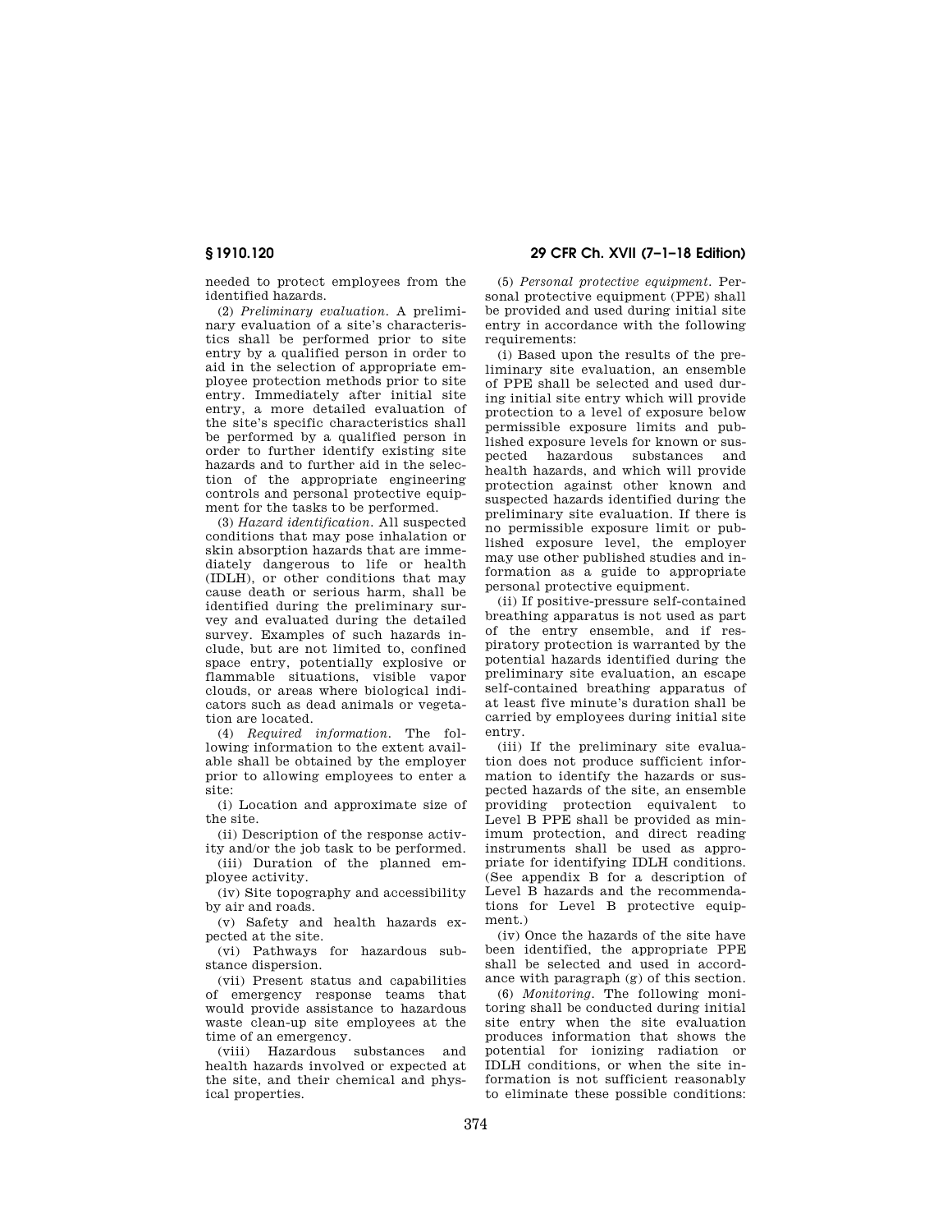**§ 1910.120 29 CFR Ch. XVII (7–1–18 Edition)** 

needed to protect employees from the identified hazards.

(2) *Preliminary evaluation.* A preliminary evaluation of a site's characteristics shall be performed prior to site entry by a qualified person in order to aid in the selection of appropriate employee protection methods prior to site entry. Immediately after initial site entry, a more detailed evaluation of the site's specific characteristics shall be performed by a qualified person in order to further identify existing site hazards and to further aid in the selection of the appropriate engineering controls and personal protective equipment for the tasks to be performed.

(3) *Hazard identification.* All suspected conditions that may pose inhalation or skin absorption hazards that are immediately dangerous to life or health (IDLH), or other conditions that may cause death or serious harm, shall be identified during the preliminary survey and evaluated during the detailed survey. Examples of such hazards include, but are not limited to, confined space entry, potentially explosive or flammable situations, visible vapor clouds, or areas where biological indicators such as dead animals or vegetation are located.

(4) *Required information.* The following information to the extent available shall be obtained by the employer prior to allowing employees to enter a site:

(i) Location and approximate size of the site.

(ii) Description of the response activity and/or the job task to be performed.

(iii) Duration of the planned employee activity.

(iv) Site topography and accessibility by air and roads.

(v) Safety and health hazards expected at the site.

(vi) Pathways for hazardous substance dispersion.

(vii) Present status and capabilities of emergency response teams that would provide assistance to hazardous waste clean-up site employees at the time of an emergency.

(viii) Hazardous substances and health hazards involved or expected at the site, and their chemical and physical properties.

(5) *Personal protective equipment.* Personal protective equipment (PPE) shall be provided and used during initial site entry in accordance with the following requirements:

(i) Based upon the results of the preliminary site evaluation, an ensemble of PPE shall be selected and used during initial site entry which will provide protection to a level of exposure below permissible exposure limits and published exposure levels for known or suspected hazardous substances and health hazards, and which will provide protection against other known and suspected hazards identified during the preliminary site evaluation. If there is no permissible exposure limit or published exposure level, the employer may use other published studies and information as a guide to appropriate personal protective equipment.

(ii) If positive-pressure self-contained breathing apparatus is not used as part of the entry ensemble, and if respiratory protection is warranted by the potential hazards identified during the preliminary site evaluation, an escape self-contained breathing apparatus of at least five minute's duration shall be carried by employees during initial site entry.

(iii) If the preliminary site evaluation does not produce sufficient information to identify the hazards or suspected hazards of the site, an ensemble providing protection equivalent to Level B PPE shall be provided as minimum protection, and direct reading instruments shall be used as appropriate for identifying IDLH conditions. (See appendix B for a description of Level B hazards and the recommendations for Level B protective equipment.)

(iv) Once the hazards of the site have been identified, the appropriate PPE shall be selected and used in accordance with paragraph (g) of this section.

(6) *Monitoring.* The following monitoring shall be conducted during initial site entry when the site evaluation produces information that shows the potential for ionizing radiation or IDLH conditions, or when the site information is not sufficient reasonably to eliminate these possible conditions: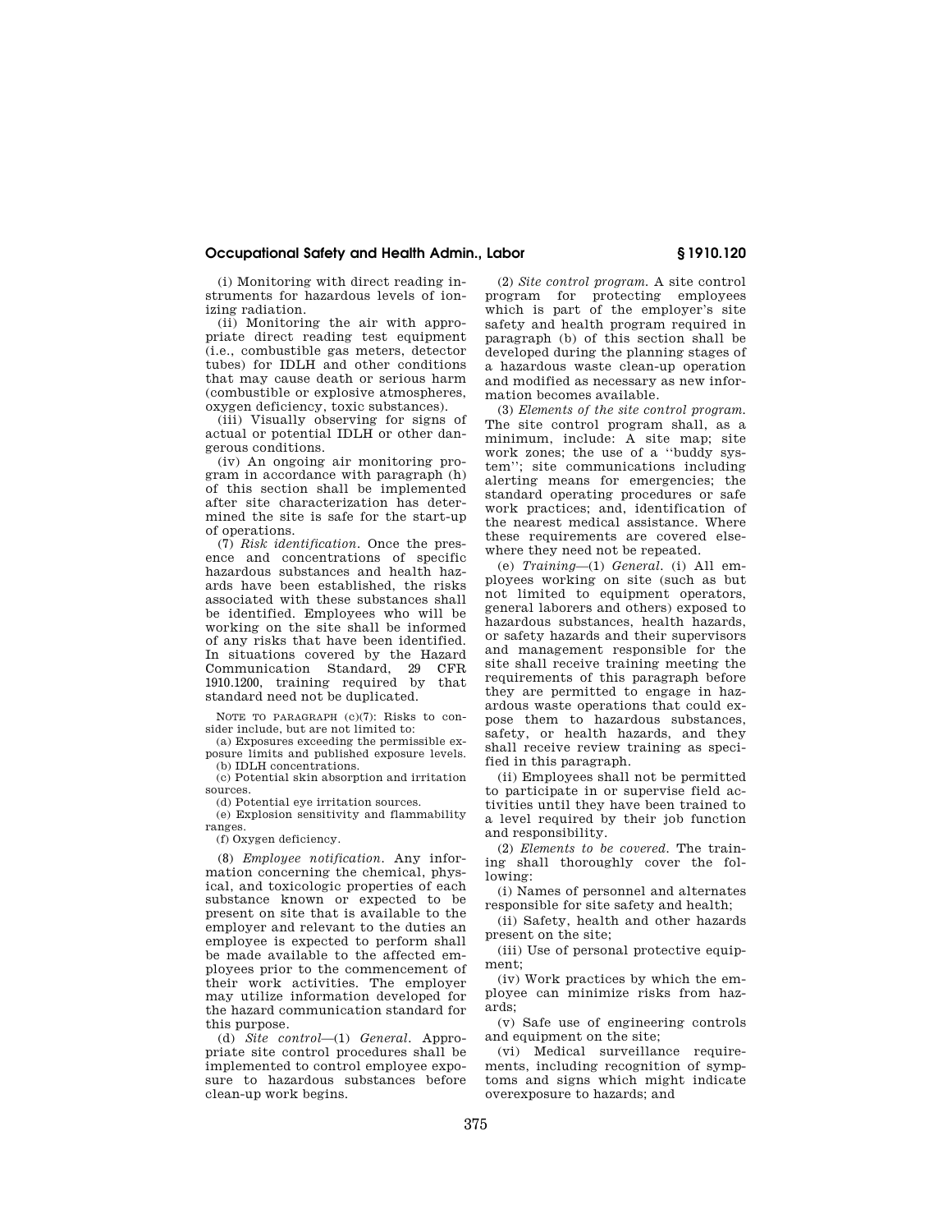(i) Monitoring with direct reading instruments for hazardous levels of ionizing radiation.

(ii) Monitoring the air with appropriate direct reading test equipment (i.e., combustible gas meters, detector tubes) for IDLH and other conditions that may cause death or serious harm (combustible or explosive atmospheres, oxygen deficiency, toxic substances).

(iii) Visually observing for signs of actual or potential IDLH or other dangerous conditions.

(iv) An ongoing air monitoring program in accordance with paragraph (h) of this section shall be implemented after site characterization has determined the site is safe for the start-up of operations.

(7) *Risk identification.* Once the presence and concentrations of specific hazardous substances and health hazards have been established, the risks associated with these substances shall be identified. Employees who will be working on the site shall be informed of any risks that have been identified. In situations covered by the Hazard Communication Standard, 29 CFR 1910.1200, training required by that standard need not be duplicated.

NOTE TO PARAGRAPH (c)(7): Risks to consider include, but are not limited to:

(a) Exposures exceeding the permissible exposure limits and published exposure levels. (b) IDLH concentrations.

(c) Potential skin absorption and irritation sources.

(d) Potential eye irritation sources.

(e) Explosion sensitivity and flammability ranges.

(f) Oxygen deficiency.

(8) *Employee notification.* Any information concerning the chemical, physical, and toxicologic properties of each substance known or expected to be present on site that is available to the employer and relevant to the duties an employee is expected to perform shall be made available to the affected employees prior to the commencement of their work activities. The employer may utilize information developed for the hazard communication standard for this purpose.

(d) *Site control*—(1) *General.* Appropriate site control procedures shall be implemented to control employee exposure to hazardous substances before clean-up work begins.

(2) *Site control program.* A site control program for protecting employees which is part of the employer's site safety and health program required in paragraph (b) of this section shall be developed during the planning stages of a hazardous waste clean-up operation and modified as necessary as new information becomes available.

(3) *Elements of the site control program.*  The site control program shall, as a minimum, include: A site map; site work zones; the use of a ''buddy system''; site communications including alerting means for emergencies; the standard operating procedures or safe work practices; and, identification of the nearest medical assistance. Where these requirements are covered elsewhere they need not be repeated.

(e) *Training*—(1) *General.* (i) All employees working on site (such as but not limited to equipment operators, general laborers and others) exposed to hazardous substances, health hazards, or safety hazards and their supervisors and management responsible for the site shall receive training meeting the requirements of this paragraph before they are permitted to engage in hazardous waste operations that could expose them to hazardous substances, safety, or health hazards, and they shall receive review training as specified in this paragraph.

(ii) Employees shall not be permitted to participate in or supervise field activities until they have been trained to a level required by their job function and responsibility.

(2) *Elements to be covered.* The training shall thoroughly cover the following:

(i) Names of personnel and alternates responsible for site safety and health;

(ii) Safety, health and other hazards present on the site;

(iii) Use of personal protective equipment;

(iv) Work practices by which the employee can minimize risks from hazards;

(v) Safe use of engineering controls and equipment on the site;

(vi) Medical surveillance requirements, including recognition of symptoms and signs which might indicate overexposure to hazards; and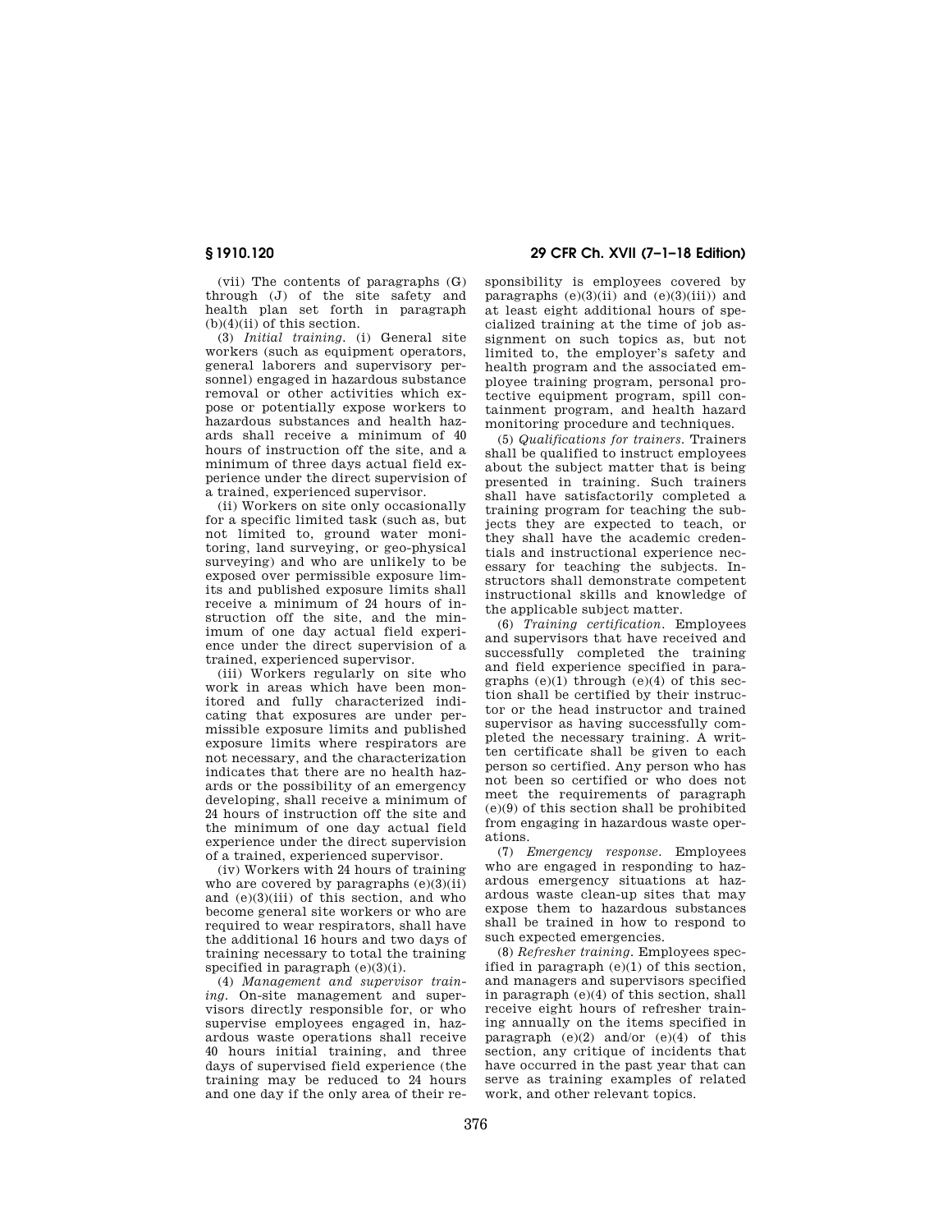(vii) The contents of paragraphs (G) through (J) of the site safety and health plan set forth in paragraph  $(b)(4)(ii)$  of this section.

(3) *Initial training.* (i) General site workers (such as equipment operators, general laborers and supervisory personnel) engaged in hazardous substance removal or other activities which expose or potentially expose workers to hazardous substances and health hazards shall receive a minimum of 40 hours of instruction off the site, and a minimum of three days actual field experience under the direct supervision of a trained, experienced supervisor.

(ii) Workers on site only occasionally for a specific limited task (such as, but not limited to, ground water monitoring, land surveying, or geo-physical surveying) and who are unlikely to be exposed over permissible exposure limits and published exposure limits shall receive a minimum of 24 hours of instruction off the site, and the minimum of one day actual field experience under the direct supervision of a trained, experienced supervisor.

(iii) Workers regularly on site who work in areas which have been monitored and fully characterized indicating that exposures are under permissible exposure limits and published exposure limits where respirators are not necessary, and the characterization indicates that there are no health hazards or the possibility of an emergency developing, shall receive a minimum of 24 hours of instruction off the site and the minimum of one day actual field experience under the direct supervision of a trained, experienced supervisor.

(iv) Workers with 24 hours of training who are covered by paragraphs  $(e)(3)(ii)$ and (e)(3)(iii) of this section, and who become general site workers or who are required to wear respirators, shall have the additional 16 hours and two days of training necessary to total the training specified in paragraph  $(e)(3)(i)$ .

(4) *Management and supervisor train*ing. On-site management and supervisors directly responsible for, or who supervise employees engaged in, hazardous waste operations shall receive 40 hours initial training, and three days of supervised field experience (the training may be reduced to 24 hours and one day if the only area of their re-

# **§ 1910.120 29 CFR Ch. XVII (7–1–18 Edition)**

sponsibility is employees covered by paragraphs  $(e)(3)(ii)$  and  $(e)(3)(iii)$  and at least eight additional hours of specialized training at the time of job assignment on such topics as, but not limited to, the employer's safety and health program and the associated employee training program, personal protective equipment program, spill containment program, and health hazard monitoring procedure and techniques.

(5) *Qualifications for trainers.* Trainers shall be qualified to instruct employees about the subject matter that is being presented in training. Such trainers shall have satisfactorily completed a training program for teaching the subjects they are expected to teach, or they shall have the academic credentials and instructional experience necessary for teaching the subjects. Instructors shall demonstrate competent instructional skills and knowledge of the applicable subject matter.

(6) *Training certification.* Employees and supervisors that have received and successfully completed the training and field experience specified in paragraphs  $(e)(1)$  through  $(e)(4)$  of this section shall be certified by their instructor or the head instructor and trained supervisor as having successfully completed the necessary training. A written certificate shall be given to each person so certified. Any person who has not been so certified or who does not meet the requirements of paragraph (e)(9) of this section shall be prohibited from engaging in hazardous waste operations.

(7) *Emergency response.* Employees who are engaged in responding to hazardous emergency situations at hazardous waste clean-up sites that may expose them to hazardous substances shall be trained in how to respond to such expected emergencies.

(8) *Refresher training.* Employees specified in paragraph (e)(1) of this section, and managers and supervisors specified in paragraph (e)(4) of this section, shall receive eight hours of refresher training annually on the items specified in paragraph  $(e)(2)$  and/or  $(e)(4)$  of this section, any critique of incidents that have occurred in the past year that can serve as training examples of related work, and other relevant topics.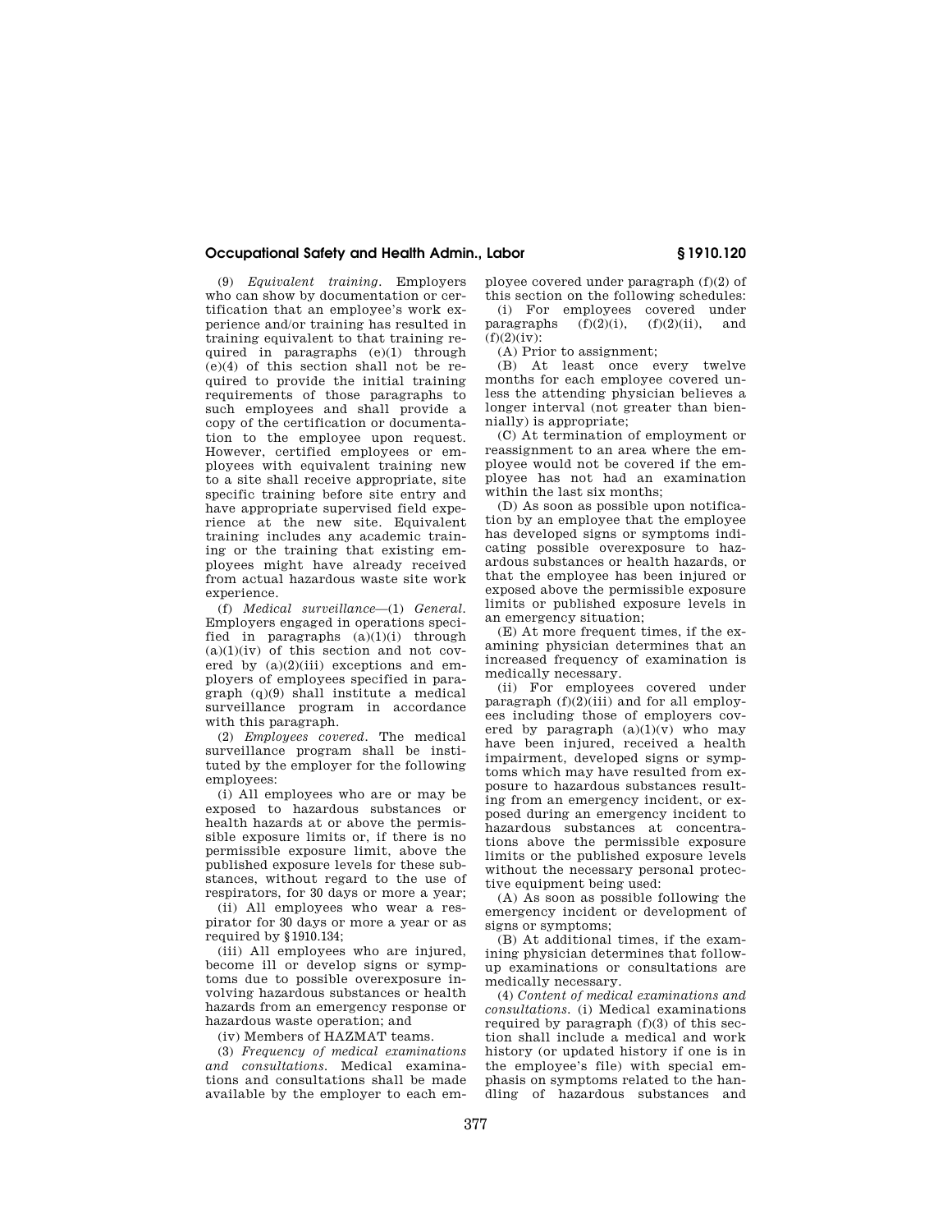(9) *Equivalent training.* Employers who can show by documentation or certification that an employee's work experience and/or training has resulted in training equivalent to that training required in paragraphs (e)(1) through (e)(4) of this section shall not be required to provide the initial training requirements of those paragraphs to such employees and shall provide a copy of the certification or documentation to the employee upon request. However, certified employees or employees with equivalent training new to a site shall receive appropriate, site specific training before site entry and have appropriate supervised field experience at the new site. Equivalent training includes any academic training or the training that existing employees might have already received from actual hazardous waste site work experience.

(f) *Medical surveillance*—(1) *General.*  Employers engaged in operations specified in paragraphs  $(a)(1)(i)$  through  $(a)(1)(iv)$  of this section and not covered by  $(a)(2)(iii)$  exceptions and employers of employees specified in paragraph (q)(9) shall institute a medical surveillance program in accordance with this paragraph.

(2) *Employees covered.* The medical surveillance program shall be instituted by the employer for the following employees:

(i) All employees who are or may be exposed to hazardous substances or health hazards at or above the permissible exposure limits or, if there is no permissible exposure limit, above the published exposure levels for these substances, without regard to the use of respirators, for 30 days or more a year;

(ii) All employees who wear a respirator for 30 days or more a year or as required by §1910.134;

(iii) All employees who are injured, become ill or develop signs or symptoms due to possible overexposure involving hazardous substances or health hazards from an emergency response or hazardous waste operation; and

(iv) Members of HAZMAT teams.

(3) *Frequency of medical examinations and consultations.* Medical examinations and consultations shall be made available by the employer to each employee covered under paragraph (f)(2) of this section on the following schedules:

(i) For employees covered under paragraphs  $(f)(2)(i)$ ,  $(f)(2)(ii)$ , and  $(f)(2)(iv)$ :

(A) Prior to assignment;

(B) At least once every twelve months for each employee covered unless the attending physician believes a longer interval (not greater than biennially) is appropriate;

(C) At termination of employment or reassignment to an area where the employee would not be covered if the employee has not had an examination within the last six months;

(D) As soon as possible upon notification by an employee that the employee has developed signs or symptoms indicating possible overexposure to hazardous substances or health hazards, or that the employee has been injured or exposed above the permissible exposure limits or published exposure levels in an emergency situation;

(E) At more frequent times, if the examining physician determines that an increased frequency of examination is medically necessary.

(ii) For employees covered under paragraph  $(f)(2)(iii)$  and for all employees including those of employers covered by paragraph  $(a)(1)(v)$  who may have been injured, received a health impairment, developed signs or symptoms which may have resulted from exposure to hazardous substances resulting from an emergency incident, or exposed during an emergency incident to hazardous substances at concentrations above the permissible exposure limits or the published exposure levels without the necessary personal protective equipment being used:

(A) As soon as possible following the emergency incident or development of signs or symptoms;

(B) At additional times, if the examining physician determines that followup examinations or consultations are medically necessary.

(4) *Content of medical examinations and consultations.* (i) Medical examinations required by paragraph  $(f)(3)$  of this section shall include a medical and work history (or updated history if one is in the employee's file) with special emphasis on symptoms related to the handling of hazardous substances and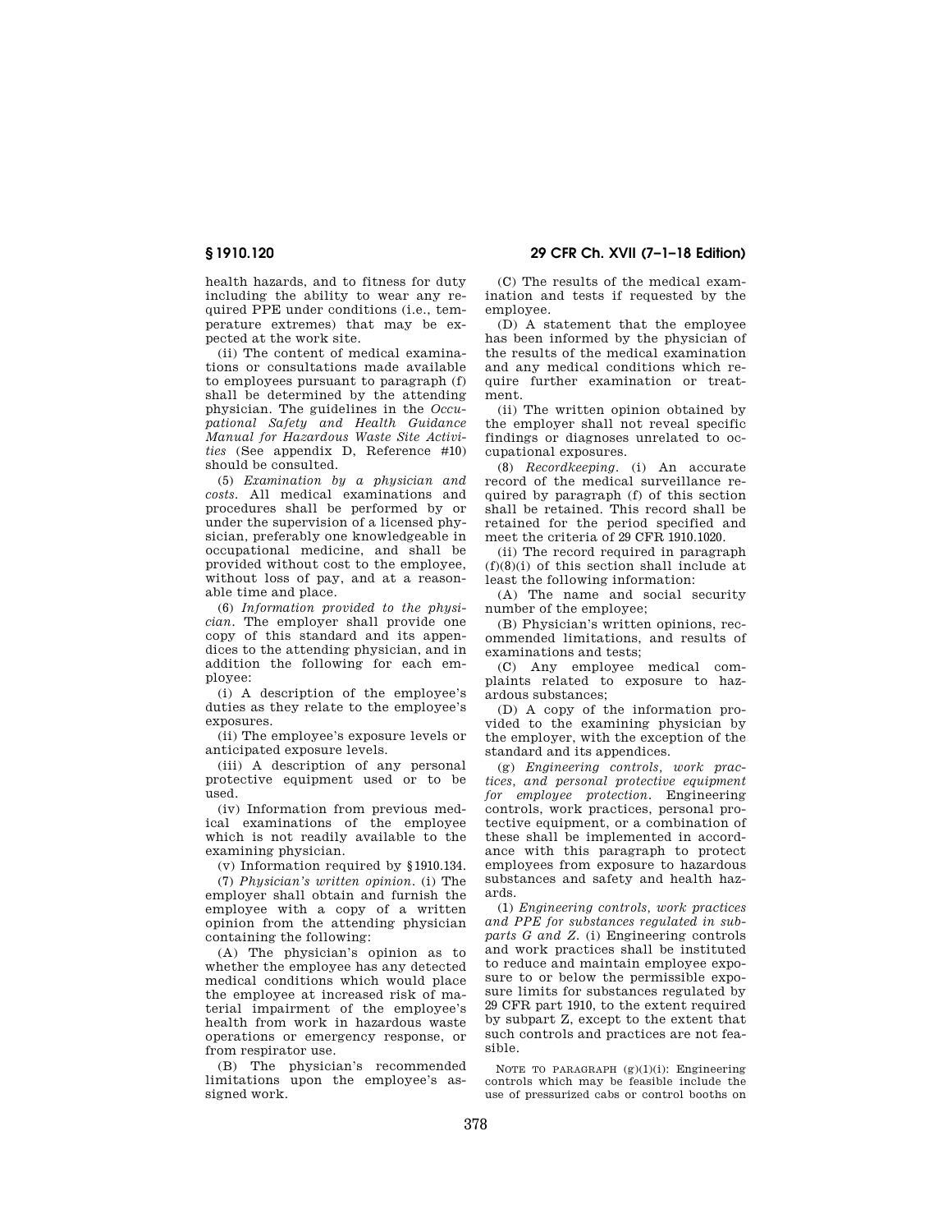health hazards, and to fitness for duty including the ability to wear any required PPE under conditions (i.e., temperature extremes) that may be expected at the work site.

(ii) The content of medical examinations or consultations made available to employees pursuant to paragraph (f) shall be determined by the attending physician. The guidelines in the *Occupational Safety and Health Guidance Manual for Hazardous Waste Site Activities* (See appendix D, Reference #10) should be consulted.

(5) *Examination by a physician and costs.* All medical examinations and procedures shall be performed by or under the supervision of a licensed physician, preferably one knowledgeable in occupational medicine, and shall be provided without cost to the employee, without loss of pay, and at a reasonable time and place.

(6) *Information provided to the physician.* The employer shall provide one copy of this standard and its appendices to the attending physician, and in addition the following for each employee:

(i) A description of the employee's duties as they relate to the employee's exposures.

(ii) The employee's exposure levels or anticipated exposure levels.

(iii) A description of any personal protective equipment used or to be used.

(iv) Information from previous medical examinations of the employee which is not readily available to the examining physician.

(v) Information required by §1910.134.

(7) *Physician's written opinion.* (i) The employer shall obtain and furnish the employee with a copy of a written opinion from the attending physician containing the following:

(A) The physician's opinion as to whether the employee has any detected medical conditions which would place the employee at increased risk of material impairment of the employee's health from work in hazardous waste operations or emergency response, or from respirator use.

(B) The physician's recommended limitations upon the employee's assigned work.

**§ 1910.120 29 CFR Ch. XVII (7–1–18 Edition)** 

(C) The results of the medical examination and tests if requested by the employee.

(D) A statement that the employee has been informed by the physician of the results of the medical examination and any medical conditions which require further examination or treatment.

(ii) The written opinion obtained by the employer shall not reveal specific findings or diagnoses unrelated to occupational exposures.

(8) *Recordkeeping.* (i) An accurate record of the medical surveillance required by paragraph (f) of this section shall be retained. This record shall be retained for the period specified and meet the criteria of 29 CFR 1910.1020.

(ii) The record required in paragraph  $(f)(8)(i)$  of this section shall include at least the following information:

(A) The name and social security number of the employee;

(B) Physician's written opinions, recommended limitations, and results of examinations and tests;

(C) Any employee medical complaints related to exposure to hazardous substances;

(D) A copy of the information provided to the examining physician by the employer, with the exception of the standard and its appendices.

(g) *Engineering controls, work practices, and personal protective equipment for employee protection.* Engineering controls, work practices, personal protective equipment, or a combination of these shall be implemented in accordance with this paragraph to protect employees from exposure to hazardous substances and safety and health hazards.

(1) *Engineering controls, work practices and PPE for substances regulated in subparts G and Z.* (i) Engineering controls and work practices shall be instituted to reduce and maintain employee exposure to or below the permissible exposure limits for substances regulated by 29 CFR part 1910, to the extent required by subpart Z, except to the extent that such controls and practices are not feasible.

NOTE TO PARAGRAPH (g)(1)(i): Engineering controls which may be feasible include the use of pressurized cabs or control booths on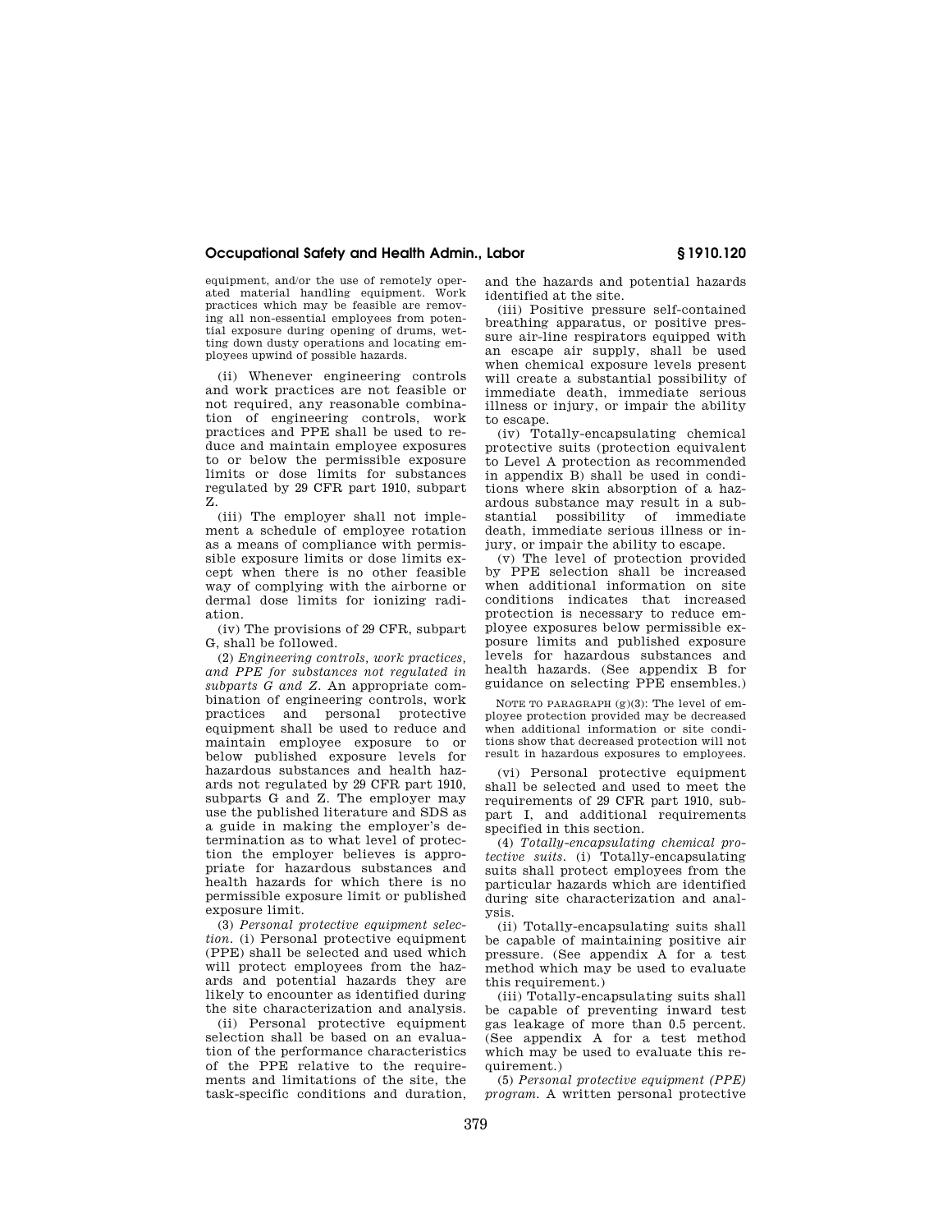equipment, and/or the use of remotely operated material handling equipment. Work practices which may be feasible are removing all non-essential employees from potential exposure during opening of drums, wetting down dusty operations and locating employees upwind of possible hazards.

(ii) Whenever engineering controls and work practices are not feasible or not required, any reasonable combination of engineering controls, work practices and PPE shall be used to reduce and maintain employee exposures to or below the permissible exposure limits or dose limits for substances regulated by 29 CFR part 1910, subpart Z.

(iii) The employer shall not implement a schedule of employee rotation as a means of compliance with permissible exposure limits or dose limits except when there is no other feasible way of complying with the airborne or dermal dose limits for ionizing radiation.

(iv) The provisions of 29 CFR, subpart G, shall be followed.

(2) *Engineering controls, work practices, and PPE for substances not regulated in subparts G and Z.* An appropriate combination of engineering controls, work practices and personal protective equipment shall be used to reduce and maintain employee exposure to or below published exposure levels for hazardous substances and health hazards not regulated by 29 CFR part 1910, subparts G and Z. The employer may use the published literature and SDS as a guide in making the employer's determination as to what level of protection the employer believes is appropriate for hazardous substances and health hazards for which there is no permissible exposure limit or published exposure limit.

(3) *Personal protective equipment selection.* (i) Personal protective equipment (PPE) shall be selected and used which will protect employees from the hazards and potential hazards they are likely to encounter as identified during the site characterization and analysis.

(ii) Personal protective equipment selection shall be based on an evaluation of the performance characteristics of the PPE relative to the requirements and limitations of the site, the task-specific conditions and duration,

and the hazards and potential hazards identified at the site.

(iii) Positive pressure self-contained breathing apparatus, or positive pressure air-line respirators equipped with an escape air supply, shall be used when chemical exposure levels present will create a substantial possibility of immediate death, immediate serious illness or injury, or impair the ability to escape.

(iv) Totally-encapsulating chemical protective suits (protection equivalent to Level A protection as recommended in appendix B) shall be used in conditions where skin absorption of a hazardous substance may result in a substantial possibility of immediate death, immediate serious illness or injury, or impair the ability to escape.

(v) The level of protection provided by PPE selection shall be increased when additional information on site conditions indicates that increased protection is necessary to reduce employee exposures below permissible exposure limits and published exposure levels for hazardous substances and health hazards. (See appendix B for guidance on selecting PPE ensembles.)

NOTE TO PARAGRAPH (g)(3): The level of employee protection provided may be decreased when additional information or site conditions show that decreased protection will not result in hazardous exposures to employees.

(vi) Personal protective equipment shall be selected and used to meet the requirements of 29 CFR part 1910, subpart I, and additional requirements specified in this section.

(4) *Totally-encapsulating chemical protective suits.* (i) Totally-encapsulating suits shall protect employees from the particular hazards which are identified during site characterization and analysis.

(ii) Totally-encapsulating suits shall be capable of maintaining positive air pressure. (See appendix A for a test method which may be used to evaluate this requirement.)

(iii) Totally-encapsulating suits shall be capable of preventing inward test gas leakage of more than 0.5 percent. (See appendix A for a test method which may be used to evaluate this requirement.)

(5) *Personal protective equipment (PPE) program.* A written personal protective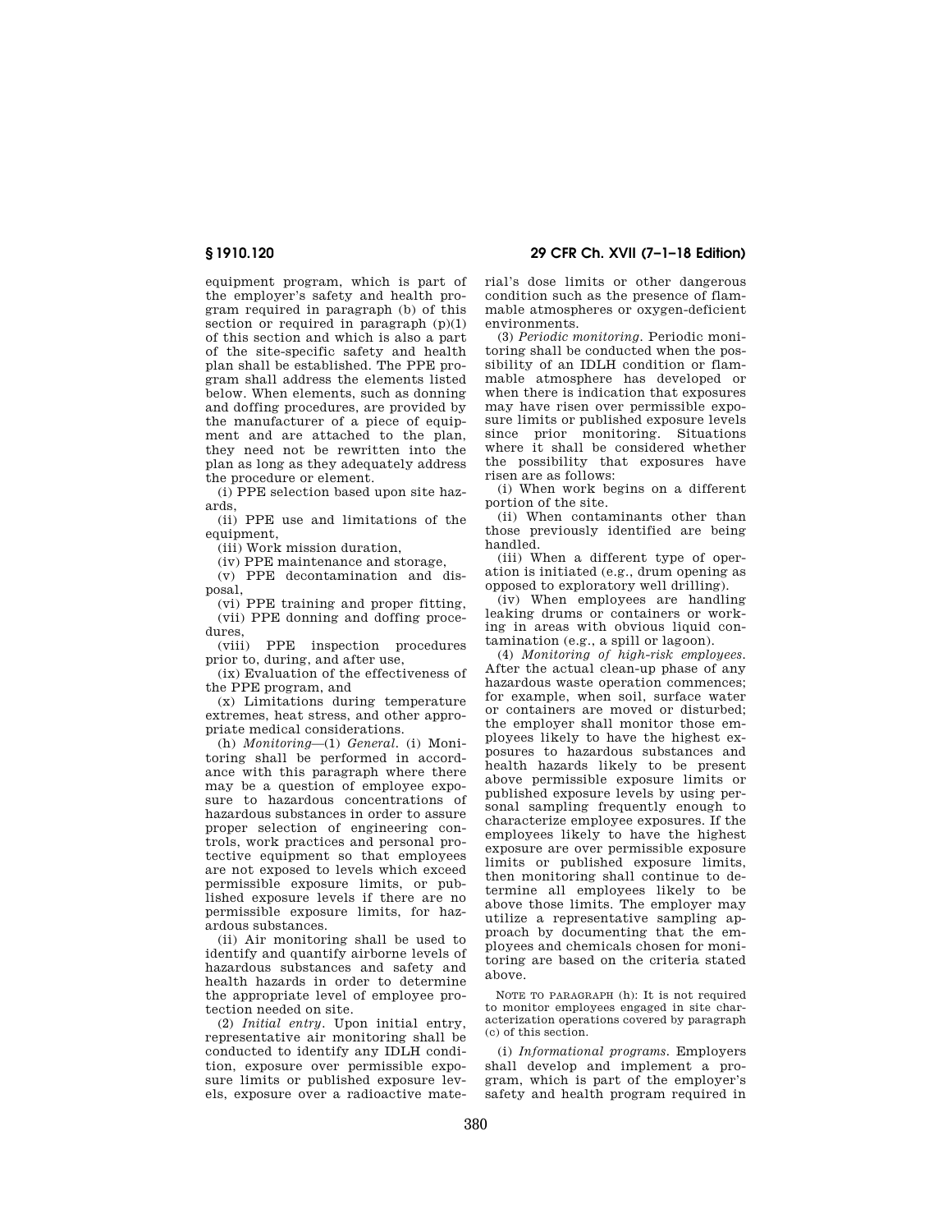equipment program, which is part of the employer's safety and health program required in paragraph (b) of this section or required in paragraph  $(p)(1)$ of this section and which is also a part of the site-specific safety and health plan shall be established. The PPE program shall address the elements listed below. When elements, such as donning and doffing procedures, are provided by the manufacturer of a piece of equipment and are attached to the plan, they need not be rewritten into the plan as long as they adequately address the procedure or element.

(i) PPE selection based upon site hazards,

(ii) PPE use and limitations of the equipment,

(iii) Work mission duration,

(iv) PPE maintenance and storage,

(v) PPE decontamination and disposal,

(vi) PPE training and proper fitting, (vii) PPE donning and doffing procedures,

(viii) PPE inspection procedures prior to, during, and after use,

(ix) Evaluation of the effectiveness of the PPE program, and

(x) Limitations during temperature extremes, heat stress, and other appropriate medical considerations.

(h) *Monitoring*—(1) *General.* (i) Monitoring shall be performed in accordance with this paragraph where there may be a question of employee exposure to hazardous concentrations of hazardous substances in order to assure proper selection of engineering controls, work practices and personal protective equipment so that employees are not exposed to levels which exceed permissible exposure limits, or published exposure levels if there are no permissible exposure limits, for hazardous substances.

(ii) Air monitoring shall be used to identify and quantify airborne levels of hazardous substances and safety and health hazards in order to determine the appropriate level of employee protection needed on site.

(2) *Initial entry.* Upon initial entry, representative air monitoring shall be conducted to identify any IDLH condition, exposure over permissible exposure limits or published exposure levels, exposure over a radioactive mate-

**§ 1910.120 29 CFR Ch. XVII (7–1–18 Edition)** 

rial's dose limits or other dangerous condition such as the presence of flammable atmospheres or oxygen-deficient environments.

(3) *Periodic monitoring.* Periodic monitoring shall be conducted when the possibility of an IDLH condition or flammable atmosphere has developed or when there is indication that exposures may have risen over permissible exposure limits or published exposure levels since prior monitoring. Situations where it shall be considered whether the possibility that exposures have risen are as follows:

(i) When work begins on a different portion of the site.

(ii) When contaminants other than those previously identified are being handled.

(iii) When a different type of operation is initiated (e.g., drum opening as opposed to exploratory well drilling).

(iv) When employees are handling leaking drums or containers or working in areas with obvious liquid contamination (e.g., a spill or lagoon).

(4) *Monitoring of high-risk employees.*  After the actual clean-up phase of any hazardous waste operation commences; for example, when soil, surface water or containers are moved or disturbed; the employer shall monitor those employees likely to have the highest exposures to hazardous substances and health hazards likely to be present above permissible exposure limits or published exposure levels by using personal sampling frequently enough to characterize employee exposures. If the employees likely to have the highest exposure are over permissible exposure limits or published exposure limits, then monitoring shall continue to determine all employees likely to be above those limits. The employer may utilize a representative sampling approach by documenting that the employees and chemicals chosen for monitoring are based on the criteria stated above.

NOTE TO PARAGRAPH (h): It is not required to monitor employees engaged in site characterization operations covered by paragraph (c) of this section.

(i) *Informational programs.* Employers shall develop and implement a program, which is part of the employer's safety and health program required in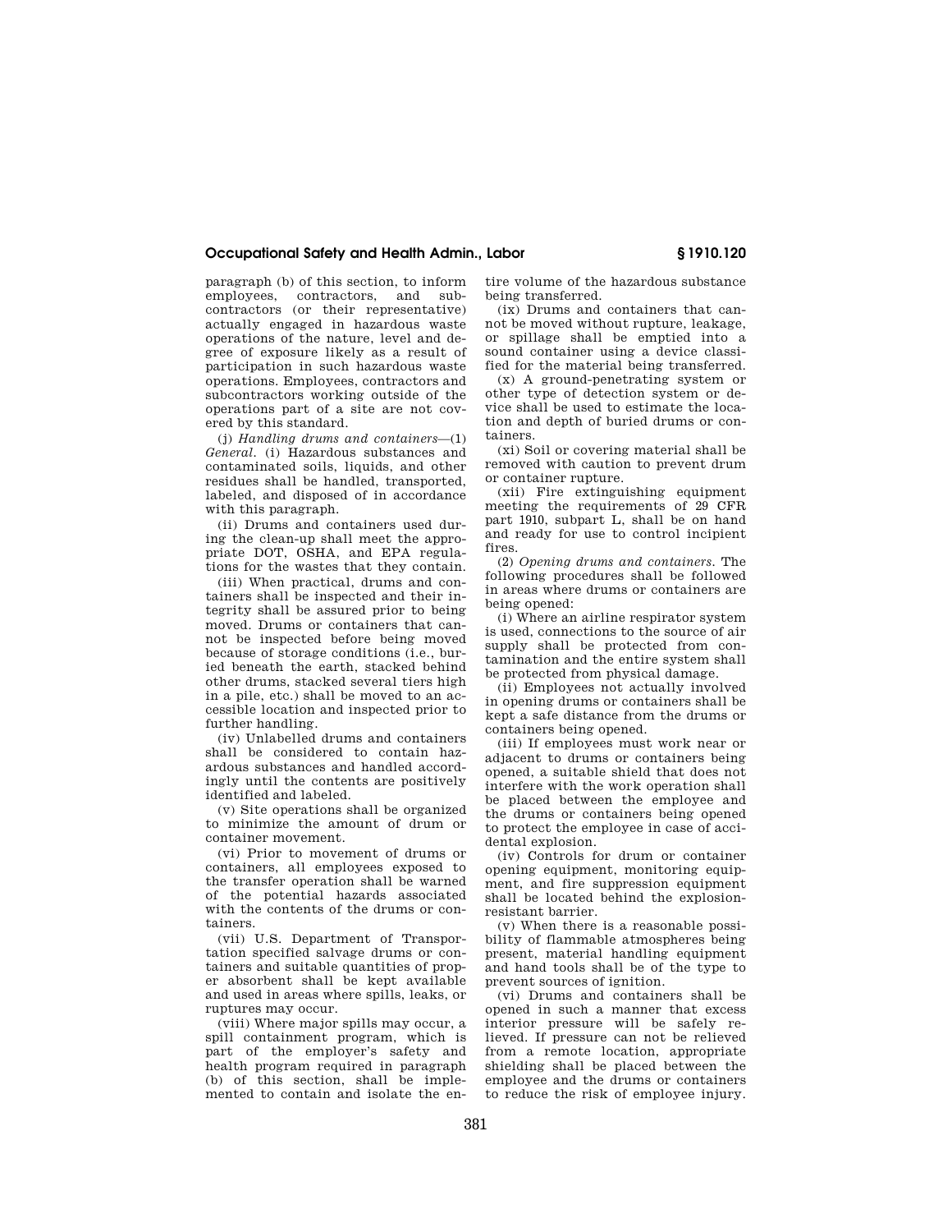paragraph (b) of this section, to inform employees, contractors, and subcontractors (or their representative) actually engaged in hazardous waste operations of the nature, level and degree of exposure likely as a result of participation in such hazardous waste operations. Employees, contractors and subcontractors working outside of the operations part of a site are not covered by this standard.

(j) *Handling drums and containers*—(1) *General.* (i) Hazardous substances and contaminated soils, liquids, and other residues shall be handled, transported, labeled, and disposed of in accordance with this paragraph.

(ii) Drums and containers used during the clean-up shall meet the appropriate DOT, OSHA, and EPA regulations for the wastes that they contain.

(iii) When practical, drums and containers shall be inspected and their integrity shall be assured prior to being moved. Drums or containers that cannot be inspected before being moved because of storage conditions (i.e., buried beneath the earth, stacked behind other drums, stacked several tiers high in a pile, etc.) shall be moved to an accessible location and inspected prior to further handling.

(iv) Unlabelled drums and containers shall be considered to contain hazardous substances and handled accordingly until the contents are positively identified and labeled.

(v) Site operations shall be organized to minimize the amount of drum or container movement.

(vi) Prior to movement of drums or containers, all employees exposed to the transfer operation shall be warned of the potential hazards associated with the contents of the drums or containers.

(vii) U.S. Department of Transportation specified salvage drums or containers and suitable quantities of proper absorbent shall be kept available and used in areas where spills, leaks, or ruptures may occur.

(viii) Where major spills may occur, a spill containment program, which is part of the employer's safety and health program required in paragraph (b) of this section, shall be implemented to contain and isolate the entire volume of the hazardous substance being transferred.

(ix) Drums and containers that cannot be moved without rupture, leakage, or spillage shall be emptied into a sound container using a device classified for the material being transferred.

(x) A ground-penetrating system or other type of detection system or device shall be used to estimate the location and depth of buried drums or containers.

(xi) Soil or covering material shall be removed with caution to prevent drum or container rupture.

(xii) Fire extinguishing equipment meeting the requirements of 29 CFR part 1910, subpart L, shall be on hand and ready for use to control incipient fires.

(2) *Opening drums and containers.* The following procedures shall be followed in areas where drums or containers are being opened:

(i) Where an airline respirator system is used, connections to the source of air supply shall be protected from contamination and the entire system shall be protected from physical damage.

(ii) Employees not actually involved in opening drums or containers shall be kept a safe distance from the drums or containers being opened.

(iii) If employees must work near or adjacent to drums or containers being opened, a suitable shield that does not interfere with the work operation shall be placed between the employee and the drums or containers being opened to protect the employee in case of accidental explosion.

(iv) Controls for drum or container opening equipment, monitoring equipment, and fire suppression equipment shall be located behind the explosionresistant barrier.

(v) When there is a reasonable possibility of flammable atmospheres being present, material handling equipment and hand tools shall be of the type to prevent sources of ignition.

(vi) Drums and containers shall be opened in such a manner that excess interior pressure will be safely relieved. If pressure can not be relieved from a remote location, appropriate shielding shall be placed between the employee and the drums or containers to reduce the risk of employee injury.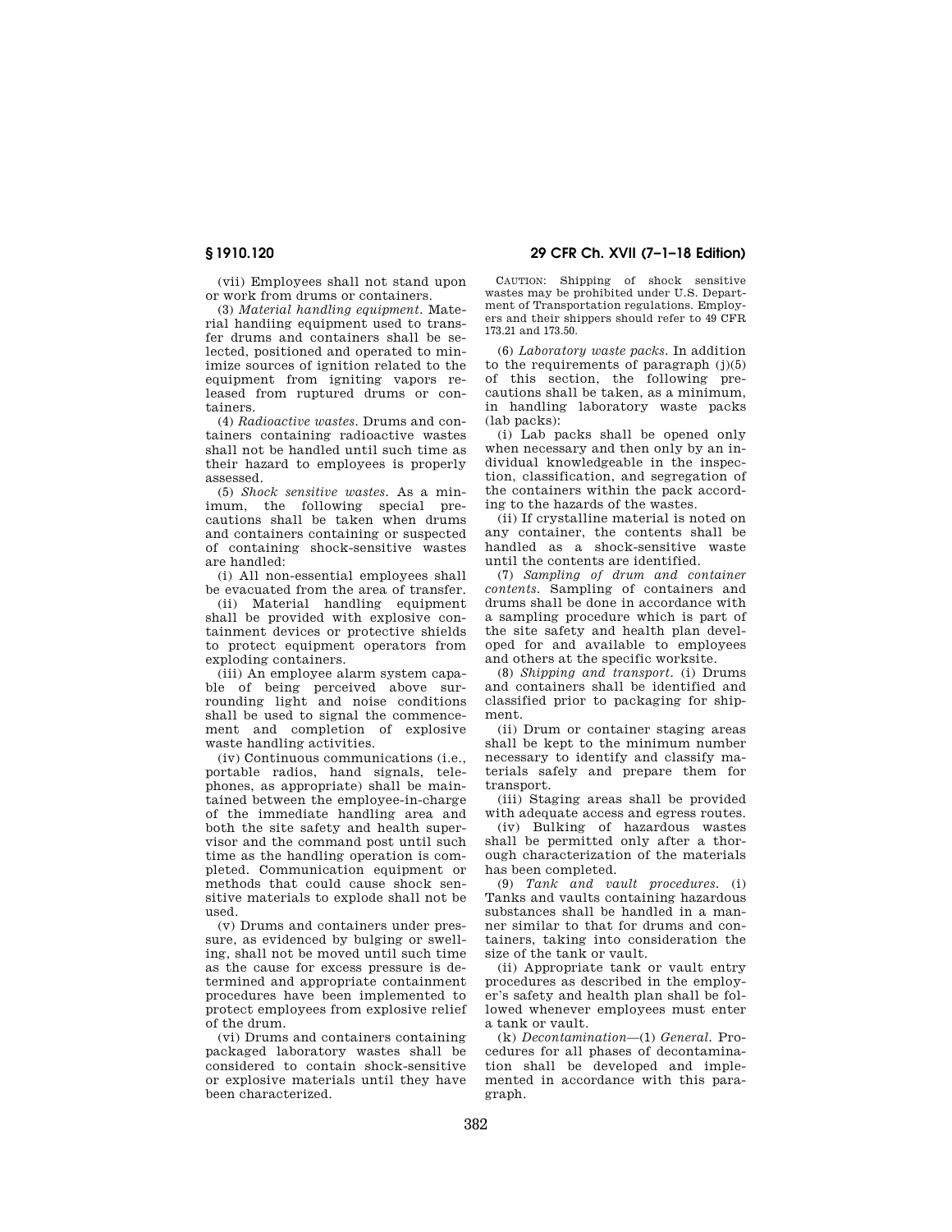(vii) Employees shall not stand upon or work from drums or containers.

(3) *Material handling equipment.* Material handiing equipment used to transfer drums and containers shall be selected, positioned and operated to minimize sources of ignition related to the equipment from igniting vapors released from ruptured drums or containers.

(4) *Radioactive wastes.* Drums and containers containing radioactive wastes shall not be handled until such time as their hazard to employees is properly assessed.

(5) *Shock sensitive wastes.* As a minimum, the following special precautions shall be taken when drums and containers containing or suspected of containing shock-sensitive wastes are handled:

(i) All non-essential employees shall be evacuated from the area of transfer.

(ii) Material handling equipment shall be provided with explosive containment devices or protective shields to protect equipment operators from exploding containers.

(iii) An employee alarm system capable of being perceived above surrounding light and noise conditions shall be used to signal the commencement and completion of explosive waste handling activities.

(iv) Continuous communications (i.e., portable radios, hand signals, telephones, as appropriate) shall be maintained between the employee-in-charge of the immediate handling area and both the site safety and health supervisor and the command post until such time as the handling operation is completed. Communication equipment or methods that could cause shock sensitive materials to explode shall not be used.

 $(v)$  Drums and containers under pressure, as evidenced by bulging or swelling, shall not be moved until such time as the cause for excess pressure is determined and appropriate containment procedures have been implemented to protect employees from explosive relief of the drum.

(vi) Drums and containers containing packaged laboratory wastes shall be considered to contain shock-sensitive or explosive materials until they have been characterized.

**§ 1910.120 29 CFR Ch. XVII (7–1–18 Edition)** 

CAUTION: Shipping of shock sensitive wastes may be prohibited under U.S. Department of Transportation regulations. Employers and their shippers should refer to 49 CFR 173.21 and 173.50.

(6) *Laboratory waste packs.* In addition to the requirements of paragraph  $(j)(5)$ of this section, the following precautions shall be taken, as a minimum, in handling laboratory waste packs (lab packs):

(i) Lab packs shall be opened only when necessary and then only by an individual knowledgeable in the inspection, classification, and segregation of the containers within the pack according to the hazards of the wastes.

(ii) If crystalline material is noted on any container, the contents shall be handled as a shock-sensitive waste until the contents are identified.

(7) *Sampling of drum and container contents.* Sampling of containers and drums shall be done in accordance with a sampling procedure which is part of the site safety and health plan developed for and available to employees and others at the specific worksite.

(8) *Shipping and transport.* (i) Drums and containers shall be identified and classified prior to packaging for shipment.

(ii) Drum or container staging areas shall be kept to the minimum number necessary to identify and classify materials safely and prepare them for transport.

(iii) Staging areas shall be provided with adequate access and egress routes.

(iv) Bulking of hazardous wastes shall be permitted only after a thorough characterization of the materials has been completed.

(9) *Tank and vault procedures.* (i) Tanks and vaults containing hazardous substances shall be handled in a manner similar to that for drums and containers, taking into consideration the size of the tank or vault.

(ii) Appropriate tank or vault entry procedures as described in the employer's safety and health plan shall be followed whenever employees must enter a tank or vault.

(k) *Decontamination*—(1) *General.* Procedures for all phases of decontamination shall be developed and implemented in accordance with this paragraph.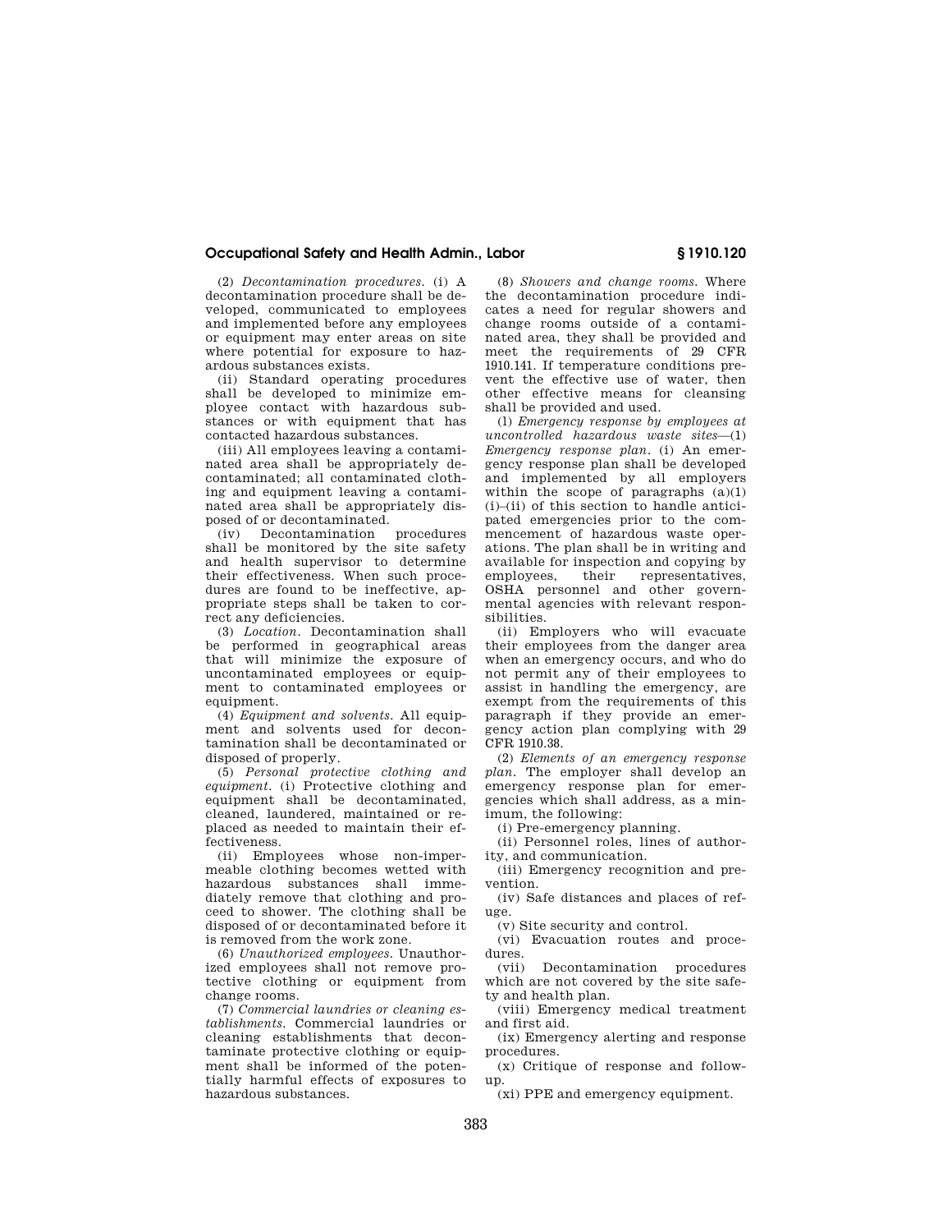(2) *Decontamination procedures.* (i) A decontamination procedure shall be developed, communicated to employees and implemented before any employees or equipment may enter areas on site where potential for exposure to hazardous substances exists.

(ii) Standard operating procedures shall be developed to minimize employee contact with hazardous substances or with equipment that has contacted hazardous substances.

(iii) All employees leaving a contaminated area shall be appropriately decontaminated; all contaminated clothing and equipment leaving a contaminated area shall be appropriately disposed of or decontaminated.<br>(iv) Decontamination procedures

(iv) Decontamination shall be monitored by the site safety and health supervisor to determine their effectiveness. When such procedures are found to be ineffective, appropriate steps shall be taken to correct any deficiencies.

(3) *Location.* Decontamination shall be performed in geographical areas that will minimize the exposure of uncontaminated employees or equipment to contaminated employees or equipment.

(4) *Equipment and solvents.* All equipment and solvents used for decontamination shall be decontaminated or disposed of properly.

(5) *Personal protective clothing and equipment.* (i) Protective clothing and equipment shall be decontaminated, cleaned, laundered, maintained or replaced as needed to maintain their effectiveness.

(ii) Employees whose non-impermeable clothing becomes wetted with hazardous substances shall immediately remove that clothing and proceed to shower. The clothing shall be disposed of or decontaminated before it is removed from the work zone.

(6) *Unauthorized employees.* Unauthorized employees shall not remove protective clothing or equipment from change rooms.

(7) *Commercial laundries or cleaning establishments.* Commercial laundries or cleaning establishments that decontaminate protective clothing or equipment shall be informed of the potentially harmful effects of exposures to hazardous substances.

(8) *Showers and change rooms.* Where the decontamination procedure indicates a need for regular showers and change rooms outside of a contaminated area, they shall be provided and meet the requirements of 29 CFR 1910.141. If temperature conditions prevent the effective use of water, then other effective means for cleansing shall be provided and used.

(l) *Emergency response by employees at uncontrolled hazardous waste sites*—(1) *Emergency response plan.* (i) An emergency response plan shall be developed and implemented by all employers within the scope of paragraphs  $(a)(1)$ (i)–(ii) of this section to handle anticipated emergencies prior to the commencement of hazardous waste operations. The plan shall be in writing and available for inspection and copying by<br>employees, their representatives, representatives, OSHA personnel and other governmental agencies with relevant responsibilities.

(ii) Employers who will evacuate their employees from the danger area when an emergency occurs, and who do not permit any of their employees to assist in handling the emergency, are exempt from the requirements of this paragraph if they provide an emergency action plan complying with 29 CFR 1910.38.

(2) *Elements of an emergency response plan.* The employer shall develop an emergency response plan for emergencies which shall address, as a minimum, the following:

(i) Pre-emergency planning.

(ii) Personnel roles, lines of authority, and communication.

(iii) Emergency recognition and prevention.

(iv) Safe distances and places of refuge.

(v) Site security and control.

(vi) Evacuation routes and procedures.

(vii) Decontamination procedures which are not covered by the site safety and health plan.

(viii) Emergency medical treatment and first aid.

(ix) Emergency alerting and response procedures.

(x) Critique of response and followup.

(xi) PPE and emergency equipment.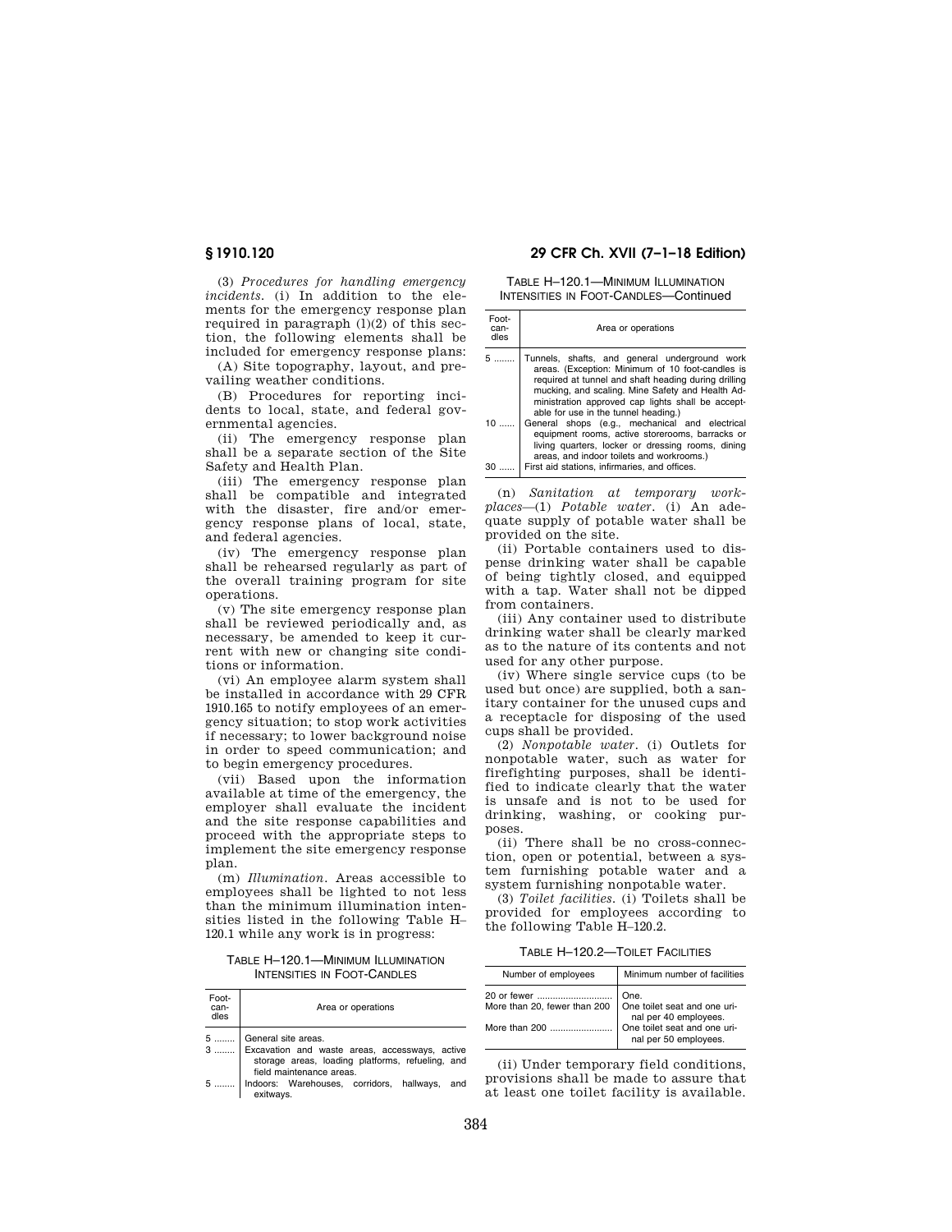(3) *Procedures for handling emergency incidents.* (i) In addition to the elements for the emergency response plan required in paragraph  $(l)(2)$  of this section, the following elements shall be included for emergency response plans:

(A) Site topography, layout, and prevailing weather conditions.

(B) Procedures for reporting incidents to local, state, and federal governmental agencies.

(ii) The emergency response plan shall be a separate section of the Site Safety and Health Plan.

(iii) The emergency response plan shall be compatible and integrated with the disaster, fire and/or emergency response plans of local, state, and federal agencies.

(iv) The emergency response plan shall be rehearsed regularly as part of the overall training program for site operations.

(v) The site emergency response plan shall be reviewed periodically and, as necessary, be amended to keep it current with new or changing site conditions or information.

(vi) An employee alarm system shall be installed in accordance with 29 CFR 1910.165 to notify employees of an emergency situation; to stop work activities if necessary; to lower background noise in order to speed communication; and to begin emergency procedures.

(vii) Based upon the information available at time of the emergency, the employer shall evaluate the incident and the site response capabilities and proceed with the appropriate steps to implement the site emergency response plan.

(m) *Illumination.* Areas accessible to employees shall be lighted to not less than the minimum illumination intensities listed in the following Table H– 120.1 while any work is in progress:

TABLE H–120.1—MINIMUM ILLUMINATION INTENSITIES IN FOOT-CANDLES

Foot-

| ruut-<br>can-<br>dles | Area or operations                                                                                                                |  |
|-----------------------|-----------------------------------------------------------------------------------------------------------------------------------|--|
|                       | 5    General site areas.                                                                                                          |  |
|                       | 3  Excavation and waste areas, accessways, active<br>storage areas, loading platforms, refueling, and<br>field maintenance areas. |  |
|                       | 5    Indoors: Warehouses, corridors, hallways, and<br>exitways.                                                                   |  |

# **§ 1910.120 29 CFR Ch. XVII (7–1–18 Edition)**

TABLE H–120.1—MINIMUM ILLUMINATION INTENSITIES IN FOOT-CANDLES—Continued

| Foot-<br>can-<br>dles | Area or operations                                                                                                                                                                                                                                                                                         |  |
|-----------------------|------------------------------------------------------------------------------------------------------------------------------------------------------------------------------------------------------------------------------------------------------------------------------------------------------------|--|
| 5.                    | Tunnels, shafts, and general underground work<br>areas. (Exception: Minimum of 10 foot-candles is<br>required at tunnel and shaft heading during drilling<br>mucking, and scaling. Mine Safety and Health Ad-<br>ministration approved cap lights shall be accept-<br>able for use in the tunnel heading.) |  |
| $10$                  | General shops (e.g., mechanical and electrical<br>equipment rooms, active storerooms, barracks or<br>living quarters, locker or dressing rooms, dining<br>areas, and indoor toilets and workrooms.)                                                                                                        |  |
|                       | First aid stations, infirmaries, and offices.                                                                                                                                                                                                                                                              |  |

(n) *Sanitation at temporary workplaces*—(1) *Potable water.* (i) An adequate supply of potable water shall be provided on the site.

(ii) Portable containers used to dispense drinking water shall be capable of being tightly closed, and equipped with a tap. Water shall not be dipped from containers.

(iii) Any container used to distribute drinking water shall be clearly marked as to the nature of its contents and not used for any other purpose.

(iv) Where single service cups (to be used but once) are supplied, both a sanitary container for the unused cups and a receptacle for disposing of the used cups shall be provided.

(2) *Nonpotable water.* (i) Outlets for nonpotable water, such as water for firefighting purposes, shall be identified to indicate clearly that the water is unsafe and is not to be used for drinking, washing, or cooking purposes.

(ii) There shall be no cross-connection, open or potential, between a system furnishing potable water and a system furnishing nonpotable water.

(3) *Toilet facilities.* (i) Toilets shall be provided for employees according to the following Table H–120.2.

TABLE H–120.2—TOILET FACILITIES

| Number of employees                                          | Minimum number of facilities                                                                                           |  |  |
|--------------------------------------------------------------|------------------------------------------------------------------------------------------------------------------------|--|--|
| 20 or fewer<br>More than 20, fewer than 200<br>More than 200 | One.<br>One toilet seat and one uri-<br>nal per 40 employees.<br>One toilet seat and one uri-<br>nal per 50 employees. |  |  |

(ii) Under temporary field conditions, provisions shall be made to assure that at least one toilet facility is available.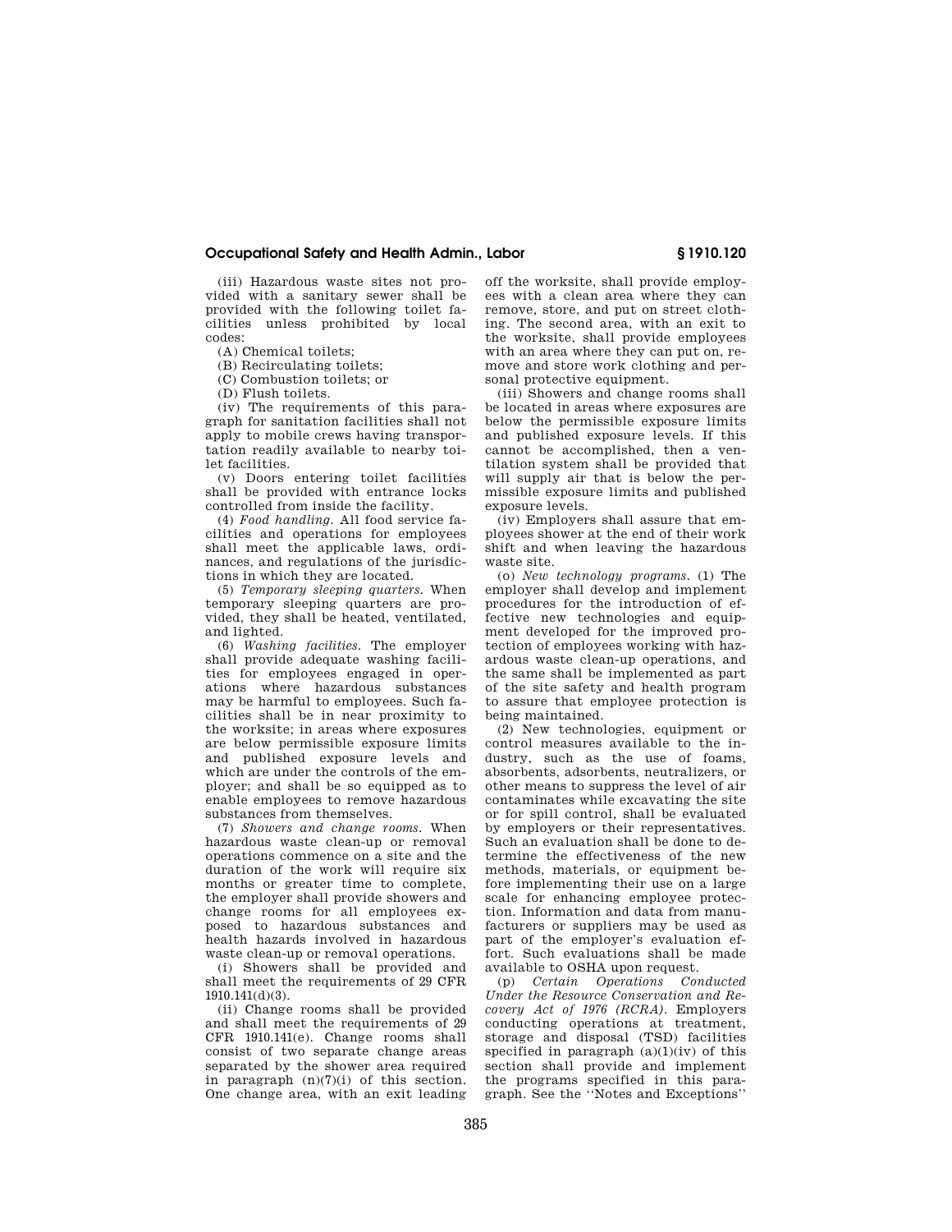(iii) Hazardous waste sites not provided with a sanitary sewer shall be provided with the following toilet facilities unless prohibited by local codes:

(A) Chemical toilets;

(B) Recirculating toilets;

(C) Combustion toilets; or

(D) Flush toilets.

(iv) The requirements of this paragraph for sanitation facilities shall not apply to mobile crews having transportation readily available to nearby toilet facilities.

(v) Doors entering toilet facilities shall be provided with entrance locks controlled from inside the facility.

(4) *Food handling.* All food service facilities and operations for employees shall meet the applicable laws, ordinances, and regulations of the jurisdictions in which they are located.

(5) *Temporary sleeping quarters.* When temporary sleeping quarters are provided, they shall be heated, ventilated, and lighted.

(6) *Washing facilities.* The employer shall provide adequate washing facilities for employees engaged in operations where hazardous substances may be harmful to employees. Such facilities shall be in near proximity to the worksite; in areas where exposures are below permissible exposure limits and published exposure levels and which are under the controls of the employer; and shall be so equipped as to enable employees to remove hazardous substances from themselves.

(7) *Showers and change rooms.* When hazardous waste clean-up or removal operations commence on a site and the duration of the work will require six months or greater time to complete, the employer shall provide showers and change rooms for all employees exposed to hazardous substances and health hazards involved in hazardous waste clean-up or removal operations.

(i) Showers shall be provided and shall meet the requirements of 29 CFR 1910.141(d)(3).

(ii) Change rooms shall be provided and shall meet the requirements of 29 CFR 1910.141(e). Change rooms shall consist of two separate change areas separated by the shower area required in paragraph (n)(7)(i) of this section. One change area, with an exit leading off the worksite, shall provide employees with a clean area where they can remove, store, and put on street clothing. The second area, with an exit to the worksite, shall provide employees with an area where they can put on, remove and store work clothing and personal protective equipment.

(iii) Showers and change rooms shall be located in areas where exposures are below the permissible exposure limits and published exposure levels. If this cannot be accomplished, then a ventilation system shall be provided that will supply air that is below the permissible exposure limits and published exposure levels.

(iv) Employers shall assure that employees shower at the end of their work shift and when leaving the hazardous waste site.

(o) *New technology programs.* (1) The employer shall develop and implement procedures for the introduction of effective new technologies and equipment developed for the improved protection of employees working with hazardous waste clean-up operations, and the same shall be implemented as part of the site safety and health program to assure that employee protection is being maintained.

(2) New technologies, equipment or control measures available to the industry, such as the use of foams, absorbents, adsorbents, neutralizers, or other means to suppress the level of air contaminates while excavating the site or for spill control, shall be evaluated by employers or their representatives. Such an evaluation shall be done to determine the effectiveness of the new methods, materials, or equipment before implementing their use on a large scale for enhancing employee protection. Information and data from manufacturers or suppliers may be used as part of the employer's evaluation effort. Such evaluations shall be made available to OSHA upon request.

(p) *Certain Operations Conducted Under the Resource Conservation and Recovery Act of 1976 (RCRA).* Employers conducting operations at treatment, storage and disposal (TSD) facilities specified in paragraph  $(a)(1)(iv)$  of this section shall provide and implement the programs specified in this paragraph. See the ''Notes and Exceptions''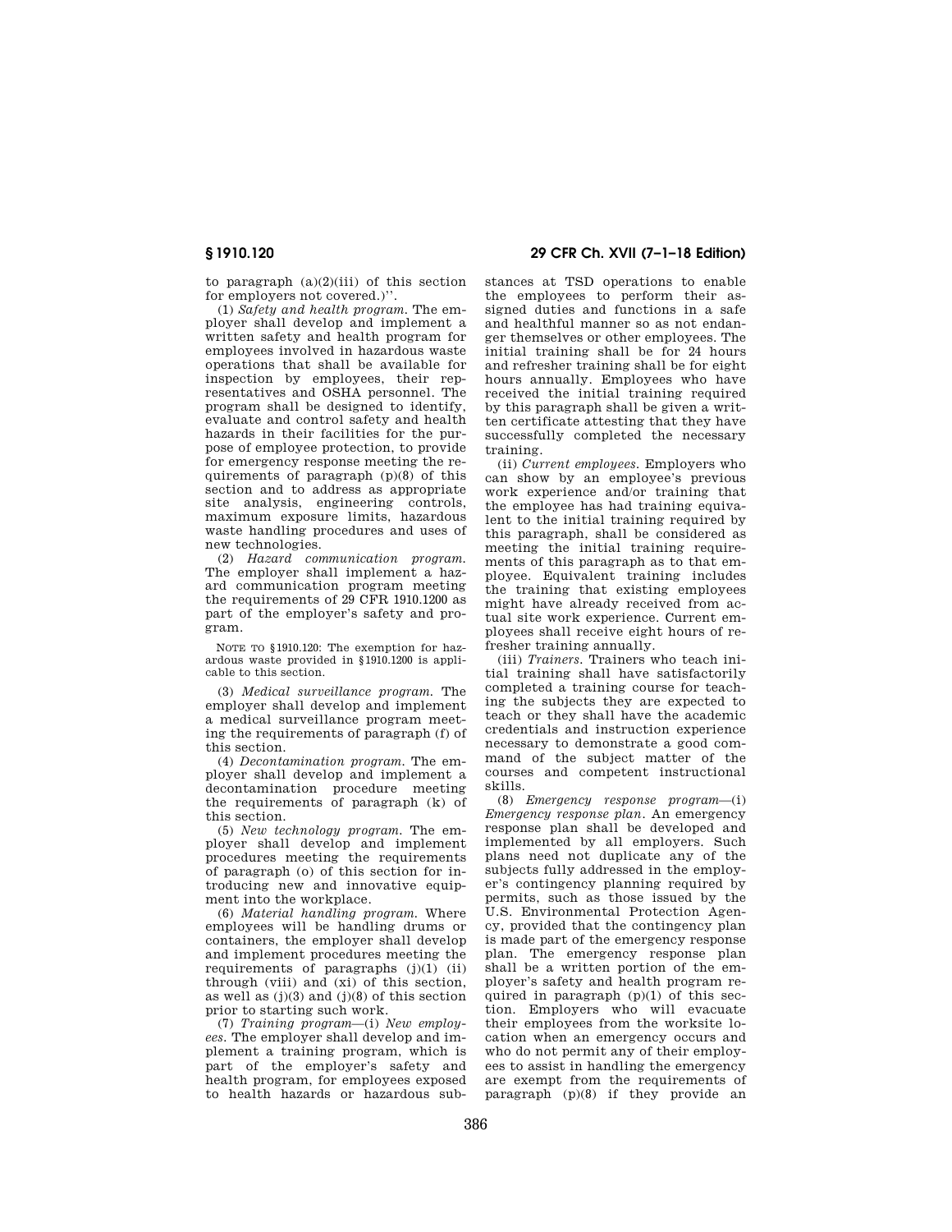to paragraph  $(a)(2)(iii)$  of this section for employers not covered.)''.

(1) *Safety and health program.* The employer shall develop and implement a written safety and health program for employees involved in hazardous waste operations that shall be available for inspection by employees, their representatives and OSHA personnel. The program shall be designed to identify, evaluate and control safety and health hazards in their facilities for the purpose of employee protection, to provide for emergency response meeting the requirements of paragraph (p)(8) of this section and to address as appropriate site analysis, engineering controls, maximum exposure limits, hazardous waste handling procedures and uses of new technologies.

(2) *Hazard communication program.*  The employer shall implement a hazard communication program meeting the requirements of 29 CFR 1910.1200 as part of the employer's safety and program.

NOTE TO §1910.120: The exemption for hazardous waste provided in §1910.1200 is applicable to this section.

(3) *Medical surveillance program.* The employer shall develop and implement a medical surveillance program meeting the requirements of paragraph (f) of this section.

(4) *Decontamination program.* The employer shall develop and implement a decontamination procedure meeting the requirements of paragraph (k) of this section.

(5) *New technology program.* The employer shall develop and implement procedures meeting the requirements of paragraph (o) of this section for introducing new and innovative equipment into the workplace.

(6) *Material handling program.* Where employees will be handling drums or containers, the employer shall develop and implement procedures meeting the requirements of paragraphs (j)(1) (ii) through (viii) and (xi) of this section, as well as  $(j)(3)$  and  $(j)(8)$  of this section prior to starting such work.

(7) *Training program*—(i) *New employees.* The employer shall develop and implement a training program, which is part of the employer's safety and health program, for employees exposed to health hazards or hazardous sub-

**§ 1910.120 29 CFR Ch. XVII (7–1–18 Edition)** 

stances at TSD operations to enable the employees to perform their assigned duties and functions in a safe and healthful manner so as not endanger themselves or other employees. The initial training shall be for 24 hours and refresher training shall be for eight hours annually. Employees who have received the initial training required by this paragraph shall be given a written certificate attesting that they have successfully completed the necessary training.

(ii) *Current employees.* Employers who can show by an employee's previous work experience and/or training that the employee has had training equivalent to the initial training required by this paragraph, shall be considered as meeting the initial training requirements of this paragraph as to that employee. Equivalent training includes the training that existing employees might have already received from actual site work experience. Current employees shall receive eight hours of refresher training annually.

(iii) *Trainers.* Trainers who teach initial training shall have satisfactorily completed a training course for teaching the subjects they are expected to teach or they shall have the academic credentials and instruction experience necessary to demonstrate a good command of the subject matter of the courses and competent instructional skills.

(8) *Emergency response program*—(i) *Emergency response plan.* An emergency response plan shall be developed and implemented by all employers. Such plans need not duplicate any of the subjects fully addressed in the employer's contingency planning required by permits, such as those issued by the U.S. Environmental Protection Agency, provided that the contingency plan is made part of the emergency response plan. The emergency response plan shall be a written portion of the employer's safety and health program required in paragraph (p)(1) of this section. Employers who will evacuate their employees from the worksite location when an emergency occurs and who do not permit any of their employees to assist in handling the emergency are exempt from the requirements of  $param<sub>p</sub>$  (p)(8) if they provide an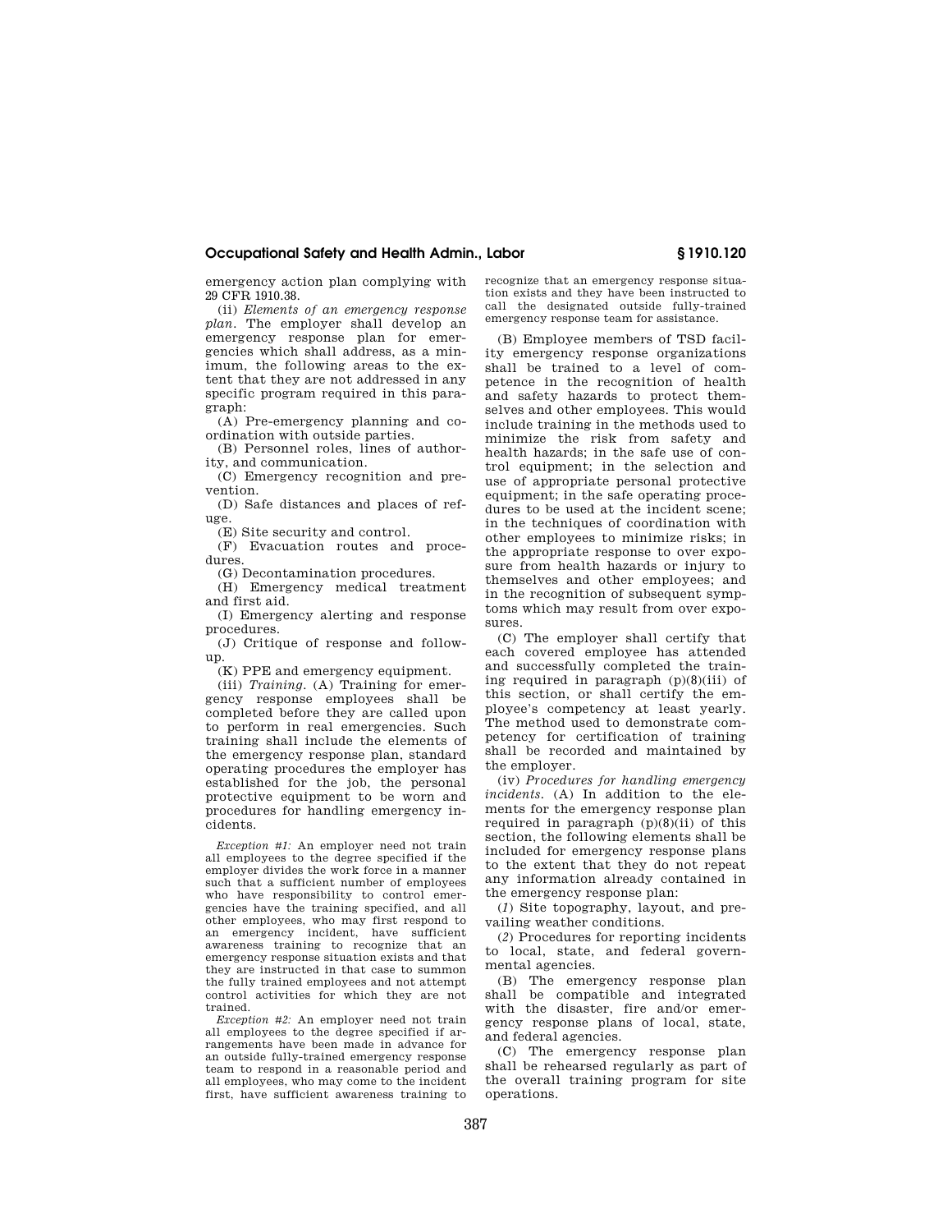emergency action plan complying with 29 CFR 1910.38.

(ii) *Elements of an emergency response plan.* The employer shall develop an emergency response plan for emergencies which shall address, as a minimum, the following areas to the extent that they are not addressed in any specific program required in this paragraph:

(A) Pre-emergency planning and coordination with outside parties.

(B) Personnel roles, lines of authority, and communication.

(C) Emergency recognition and prevention.

(D) Safe distances and places of refuge.

(E) Site security and control.

(F) Evacuation routes and procedures.

(G) Decontamination procedures.

(H) Emergency medical treatment and first aid.

(I) Emergency alerting and response procedures.

(J) Critique of response and followup.

(K) PPE and emergency equipment.

(iii) *Training.* (A) Training for emergency response employees shall be completed before they are called upon to perform in real emergencies. Such training shall include the elements of the emergency response plan, standard operating procedures the employer has established for the job, the personal protective equipment to be worn and procedures for handling emergency incidents.

*Exception #1:* An employer need not train all employees to the degree specified if the employer divides the work force in a manner such that a sufficient number of employees who have responsibility to control emergencies have the training specified, and all other employees, who may first respond to an emergency incident, have sufficient awareness training to recognize that an emergency response situation exists and that they are instructed in that case to summon the fully trained employees and not attempt control activities for which they are not trained.

*Exception #2:* An employer need not train all employees to the degree specified if arrangements have been made in advance for an outside fully-trained emergency response team to respond in a reasonable period and all employees, who may come to the incident first, have sufficient awareness training to

recognize that an emergency response situation exists and they have been instructed to call the designated outside fully-trained emergency response team for assistance.

(B) Employee members of TSD facility emergency response organizations shall be trained to a level of competence in the recognition of health and safety hazards to protect themselves and other employees. This would include training in the methods used to minimize the risk from safety and health hazards; in the safe use of control equipment; in the selection and use of appropriate personal protective equipment; in the safe operating procedures to be used at the incident scene; in the techniques of coordination with other employees to minimize risks; in the appropriate response to over exposure from health hazards or injury to themselves and other employees; and in the recognition of subsequent symptoms which may result from over exposures.

(C) The employer shall certify that each covered employee has attended and successfully completed the training required in paragraph (p)(8)(iii) of this section, or shall certify the employee's competency at least yearly. The method used to demonstrate competency for certification of training shall be recorded and maintained by the employer.

(iv) *Procedures for handling emergency incidents.* (A) In addition to the elements for the emergency response plan required in paragraph (p)(8)(ii) of this section, the following elements shall be included for emergency response plans to the extent that they do not repeat any information already contained in the emergency response plan:

(*1*) Site topography, layout, and prevailing weather conditions.

(*2*) Procedures for reporting incidents to local, state, and federal governmental agencies.

(B) The emergency response plan shall be compatible and integrated with the disaster, fire and/or emergency response plans of local, state, and federal agencies.

(C) The emergency response plan shall be rehearsed regularly as part of the overall training program for site operations.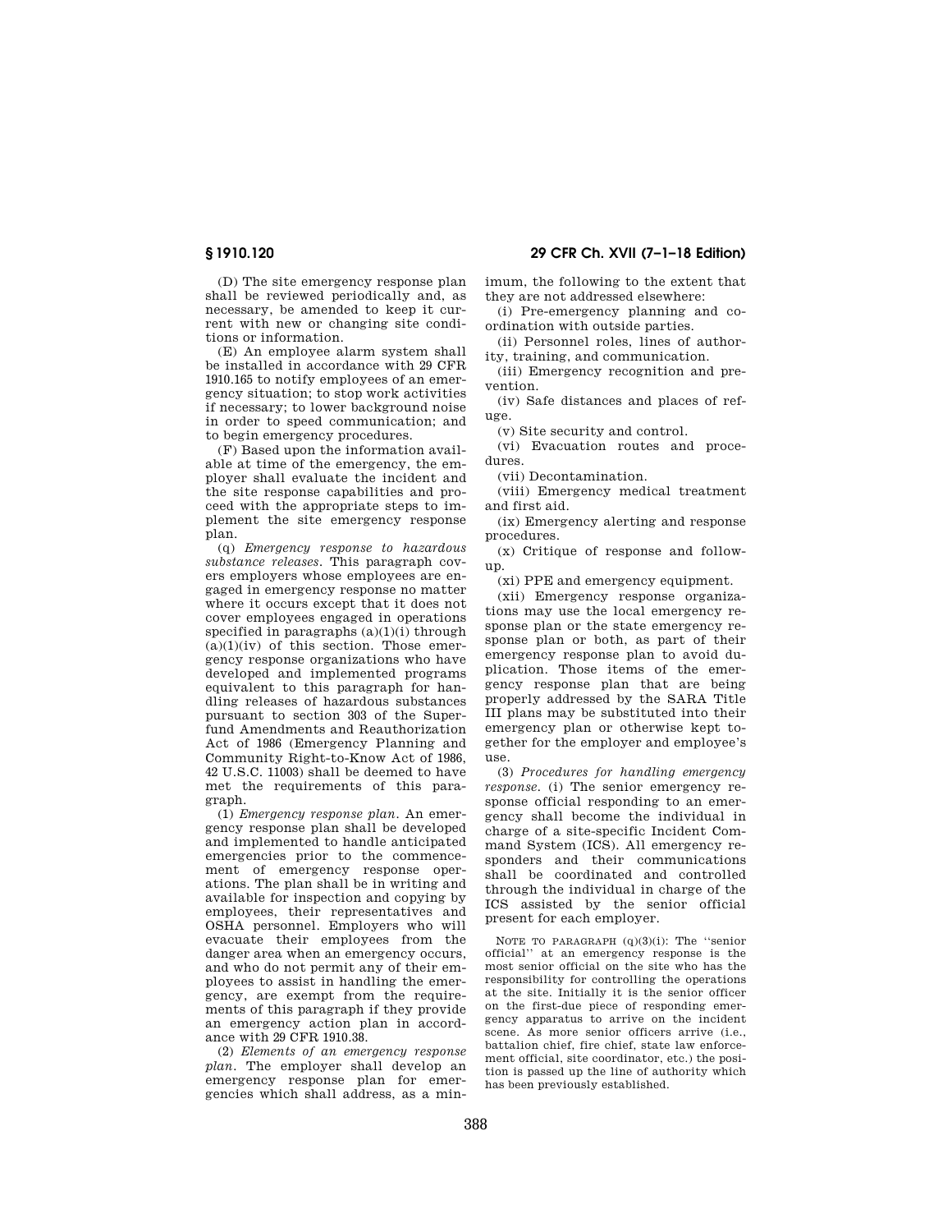**§ 1910.120 29 CFR Ch. XVII (7–1–18 Edition)** 

(D) The site emergency response plan shall be reviewed periodically and, as necessary, be amended to keep it current with new or changing site conditions or information.

(E) An employee alarm system shall be installed in accordance with 29 CFR 1910.165 to notify employees of an emergency situation; to stop work activities if necessary; to lower background noise in order to speed communication; and to begin emergency procedures.

(F) Based upon the information available at time of the emergency, the employer shall evaluate the incident and the site response capabilities and proceed with the appropriate steps to implement the site emergency response plan.

(q) *Emergency response to hazardous substance releases.* This paragraph covers employers whose employees are engaged in emergency response no matter where it occurs except that it does not cover employees engaged in operations specified in paragraphs  $(a)(1)(i)$  through  $(a)(1)(iv)$  of this section. Those emergency response organizations who have developed and implemented programs equivalent to this paragraph for handling releases of hazardous substances pursuant to section 303 of the Superfund Amendments and Reauthorization Act of 1986 (Emergency Planning and Community Right-to-Know Act of 1986, 42 U.S.C. 11003) shall be deemed to have met the requirements of this paragraph.

(1) *Emergency response plan.* An emergency response plan shall be developed and implemented to handle anticipated emergencies prior to the commencement of emergency response operations. The plan shall be in writing and available for inspection and copying by employees, their representatives and OSHA personnel. Employers who will evacuate their employees from the danger area when an emergency occurs, and who do not permit any of their employees to assist in handling the emergency, are exempt from the requirements of this paragraph if they provide an emergency action plan in accordance with 29 CFR 1910.38.

(2) *Elements of an emergency response plan.* The employer shall develop an emergency response plan for emergencies which shall address, as a minimum, the following to the extent that they are not addressed elsewhere:

(i) Pre-emergency planning and coordination with outside parties.

(ii) Personnel roles, lines of authority, training, and communication.

(iii) Emergency recognition and prevention.

(iv) Safe distances and places of ref- $\overline{119}$ e.

(v) Site security and control.

(vi) Evacuation routes and procedures.

(vii) Decontamination.

(viii) Emergency medical treatment and first aid.

(ix) Emergency alerting and response procedures.

(x) Critique of response and followup.

(xi) PPE and emergency equipment.

(xii) Emergency response organizations may use the local emergency response plan or the state emergency response plan or both, as part of their emergency response plan to avoid duplication. Those items of the emergency response plan that are being properly addressed by the SARA Title III plans may be substituted into their emergency plan or otherwise kept together for the employer and employee's use.

(3) *Procedures for handling emergency response.* (i) The senior emergency response official responding to an emergency shall become the individual in charge of a site-specific Incident Command System (ICS). All emergency responders and their communications shall be coordinated and controlled through the individual in charge of the ICS assisted by the senior official present for each employer.

NOTE TO PARAGRAPH (q)(3)(i): The ''senior official'' at an emergency response is the most senior official on the site who has the responsibility for controlling the operations at the site. Initially it is the senior officer on the first-due piece of responding emergency apparatus to arrive on the incident scene. As more senior officers arrive (i.e., battalion chief, fire chief, state law enforcement official, site coordinator, etc.) the position is passed up the line of authority which has been previously established.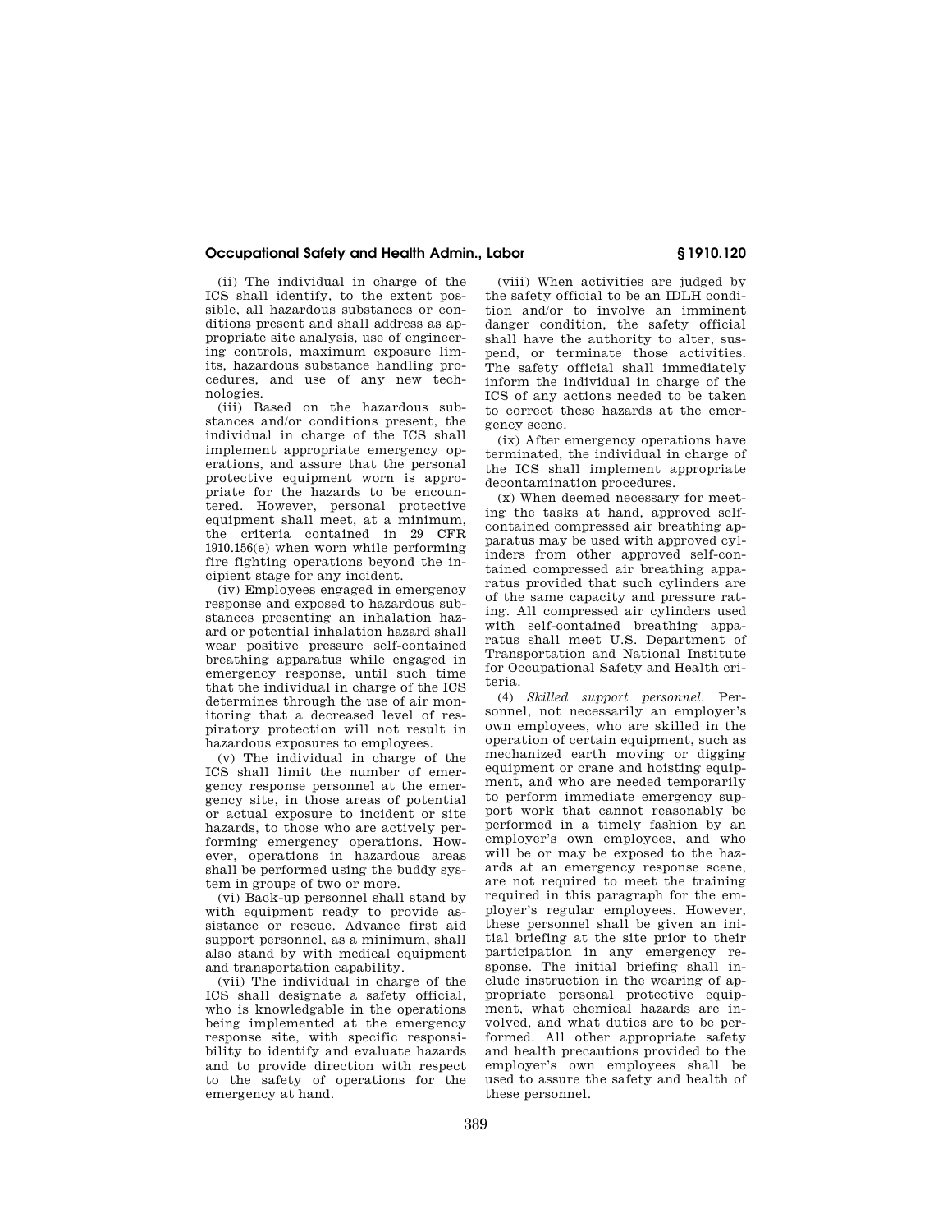(ii) The individual in charge of the ICS shall identify, to the extent possible, all hazardous substances or conditions present and shall address as appropriate site analysis, use of engineering controls, maximum exposure limits, hazardous substance handling procedures, and use of any new technologies.

(iii) Based on the hazardous substances and/or conditions present, the individual in charge of the ICS shall implement appropriate emergency operations, and assure that the personal protective equipment worn is appropriate for the hazards to be encountered. However, personal protective equipment shall meet, at a minimum, the criteria contained in 29 CFR 1910.156(e) when worn while performing fire fighting operations beyond the incipient stage for any incident.

(iv) Employees engaged in emergency response and exposed to hazardous substances presenting an inhalation hazard or potential inhalation hazard shall wear positive pressure self-contained breathing apparatus while engaged in emergency response, until such time that the individual in charge of the ICS determines through the use of air monitoring that a decreased level of respiratory protection will not result in hazardous exposures to employees.

(v) The individual in charge of the ICS shall limit the number of emergency response personnel at the emergency site, in those areas of potential or actual exposure to incident or site hazards, to those who are actively performing emergency operations. However, operations in hazardous areas shall be performed using the buddy system in groups of two or more.

(vi) Back-up personnel shall stand by with equipment ready to provide assistance or rescue. Advance first aid support personnel, as a minimum, shall also stand by with medical equipment and transportation capability.

(vii) The individual in charge of the ICS shall designate a safety official, who is knowledgable in the operations being implemented at the emergency response site, with specific responsibility to identify and evaluate hazards and to provide direction with respect to the safety of operations for the emergency at hand.

(viii) When activities are judged by the safety official to be an IDLH condition and/or to involve an imminent danger condition, the safety official shall have the authority to alter, suspend, or terminate those activities. The safety official shall immediately inform the individual in charge of the ICS of any actions needed to be taken to correct these hazards at the emergency scene.

(ix) After emergency operations have terminated, the individual in charge of the ICS shall implement appropriate decontamination procedures.

(x) When deemed necessary for meeting the tasks at hand, approved selfcontained compressed air breathing apparatus may be used with approved cylinders from other approved self-contained compressed air breathing apparatus provided that such cylinders are of the same capacity and pressure rating. All compressed air cylinders used with self-contained breathing apparatus shall meet U.S. Department of Transportation and National Institute for Occupational Safety and Health criteria.

(4) *Skilled support personnel.* Personnel, not necessarily an employer's own employees, who are skilled in the operation of certain equipment, such as mechanized earth moving or digging equipment or crane and hoisting equipment, and who are needed temporarily to perform immediate emergency support work that cannot reasonably be performed in a timely fashion by an employer's own employees, and who will be or may be exposed to the hazards at an emergency response scene, are not required to meet the training required in this paragraph for the employer's regular employees. However, these personnel shall be given an initial briefing at the site prior to their participation in any emergency response. The initial briefing shall include instruction in the wearing of appropriate personal protective equipment, what chemical hazards are involved, and what duties are to be performed. All other appropriate safety and health precautions provided to the employer's own employees shall be used to assure the safety and health of these personnel.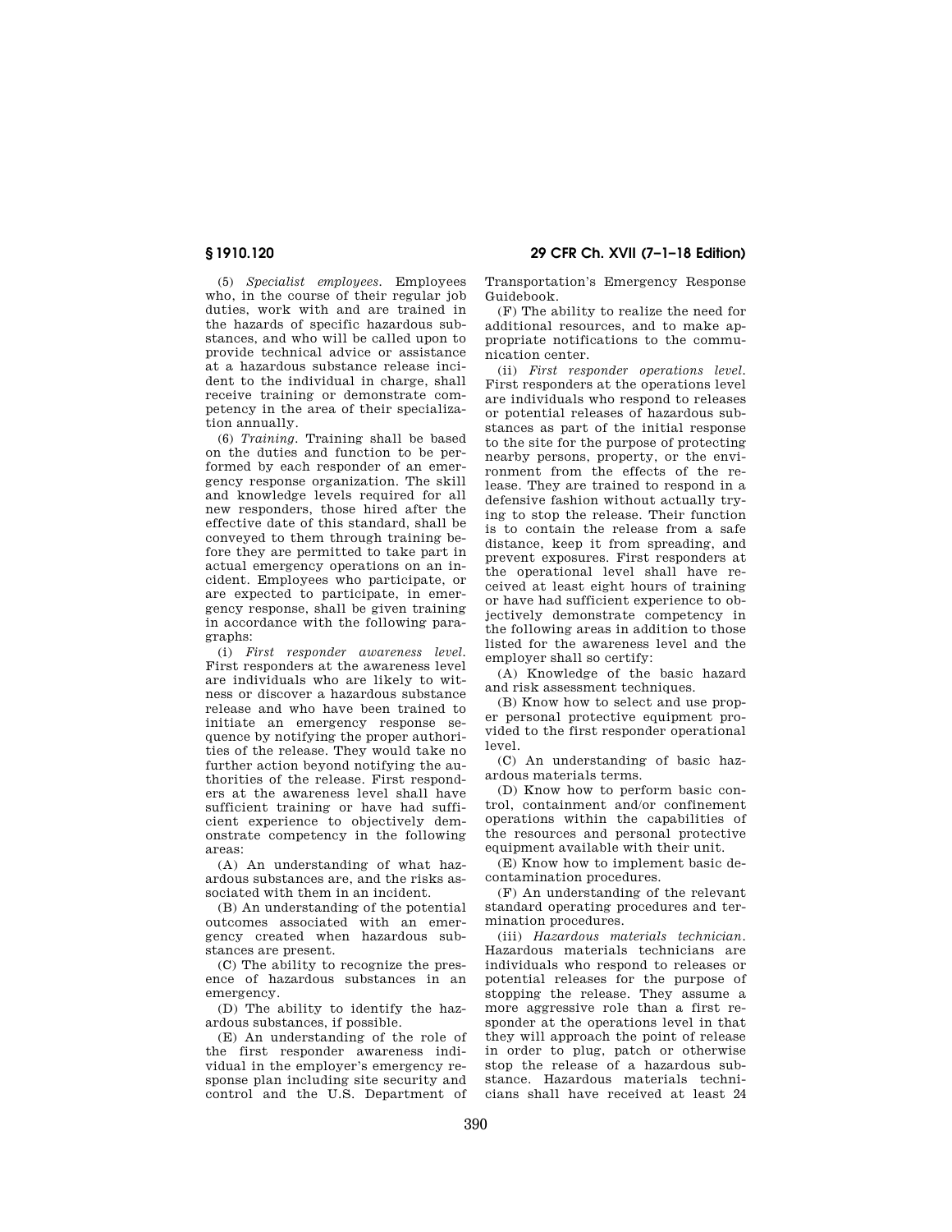**§ 1910.120 29 CFR Ch. XVII (7–1–18 Edition)** 

(5) *Specialist employees.* Employees who, in the course of their regular job duties, work with and are trained in the hazards of specific hazardous substances, and who will be called upon to provide technical advice or assistance at a hazardous substance release incident to the individual in charge, shall receive training or demonstrate competency in the area of their specialization annually.

(6) *Training.* Training shall be based on the duties and function to be performed by each responder of an emergency response organization. The skill and knowledge levels required for all new responders, those hired after the effective date of this standard, shall be conveyed to them through training before they are permitted to take part in actual emergency operations on an incident. Employees who participate, or are expected to participate, in emergency response, shall be given training in accordance with the following paragraphs:

(i) *First responder awareness level.*  First responders at the awareness level are individuals who are likely to witness or discover a hazardous substance release and who have been trained to initiate an emergency response sequence by notifying the proper authorities of the release. They would take no further action beyond notifying the authorities of the release. First responders at the awareness level shall have sufficient training or have had sufficient experience to objectively demonstrate competency in the following areas:

(A) An understanding of what hazardous substances are, and the risks associated with them in an incident.

(B) An understanding of the potential outcomes associated with an emergency created when hazardous substances are present.

(C) The ability to recognize the presence of hazardous substances in an emergency.

(D) The ability to identify the hazardous substances, if possible.

(E) An understanding of the role of the first responder awareness individual in the employer's emergency response plan including site security and control and the U.S. Department of Transportation's Emergency Response Guidebook.

(F) The ability to realize the need for additional resources, and to make appropriate notifications to the communication center.

(ii) *First responder operations level.*  First responders at the operations level are individuals who respond to releases or potential releases of hazardous substances as part of the initial response to the site for the purpose of protecting nearby persons, property, or the environment from the effects of the release. They are trained to respond in a defensive fashion without actually trying to stop the release. Their function is to contain the release from a safe distance, keep it from spreading, and prevent exposures. First responders at the operational level shall have received at least eight hours of training or have had sufficient experience to objectively demonstrate competency in the following areas in addition to those listed for the awareness level and the employer shall so certify:

(A) Knowledge of the basic hazard and risk assessment techniques.

(B) Know how to select and use proper personal protective equipment provided to the first responder operational level.

(C) An understanding of basic hazardous materials terms.

(D) Know how to perform basic control, containment and/or confinement operations within the capabilities of the resources and personal protective equipment available with their unit.

(E) Know how to implement basic decontamination procedures.

(F) An understanding of the relevant standard operating procedures and termination procedures.

(iii) *Hazardous materials technician.*  Hazardous materials technicians are individuals who respond to releases or potential releases for the purpose of stopping the release. They assume a more aggressive role than a first responder at the operations level in that they will approach the point of release in order to plug, patch or otherwise stop the release of a hazardous substance. Hazardous materials technicians shall have received at least 24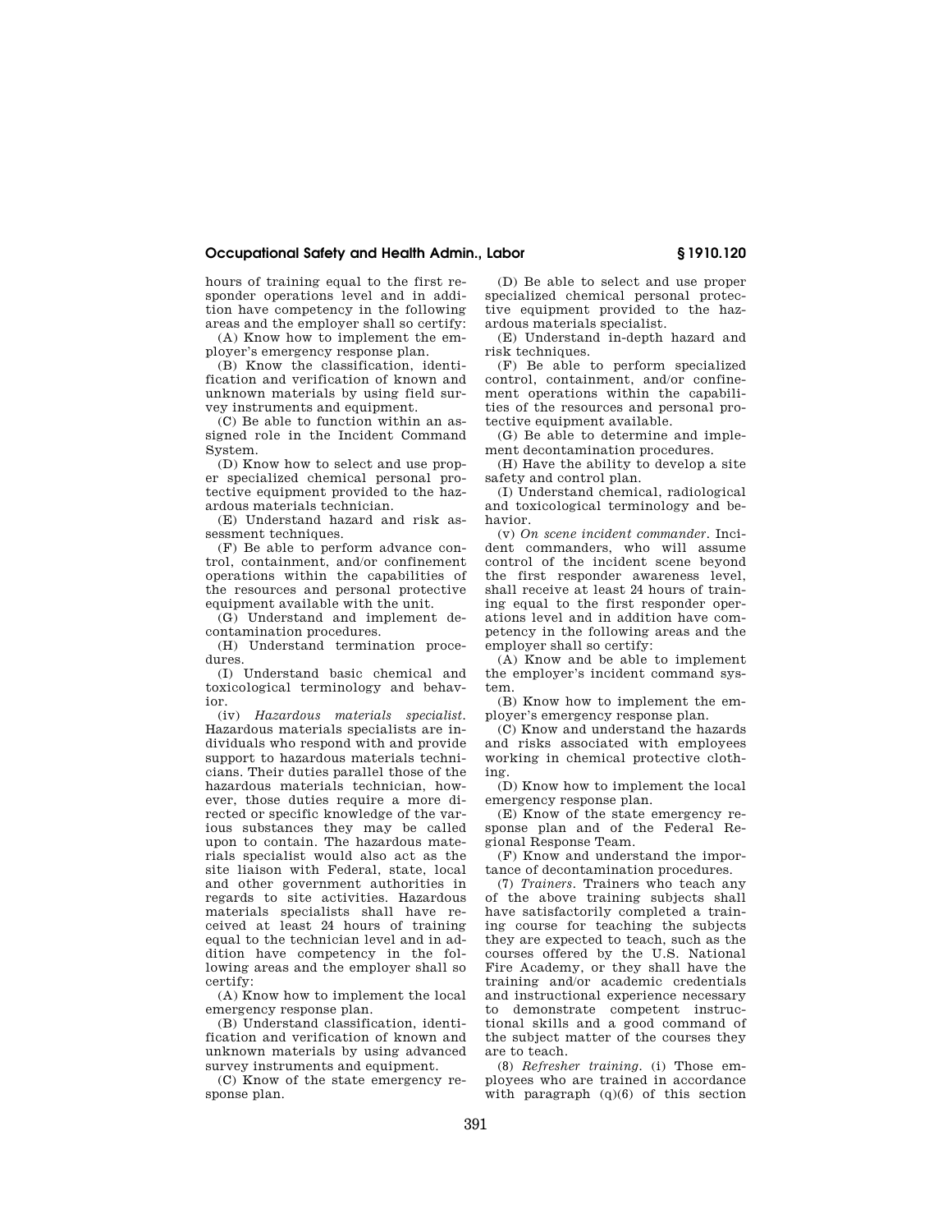hours of training equal to the first responder operations level and in addition have competency in the following areas and the employer shall so certify:

(A) Know how to implement the employer's emergency response plan.

(B) Know the classification, identification and verification of known and unknown materials by using field survey instruments and equipment.

(C) Be able to function within an assigned role in the Incident Command System.

(D) Know how to select and use proper specialized chemical personal protective equipment provided to the hazardous materials technician.

(E) Understand hazard and risk assessment techniques.

(F) Be able to perform advance control, containment, and/or confinement operations within the capabilities of the resources and personal protective equipment available with the unit.

(G) Understand and implement decontamination procedures.

(H) Understand termination procedures.

(I) Understand basic chemical and toxicological terminology and behavior.

(iv) *Hazardous materials specialist.*  Hazardous materials specialists are individuals who respond with and provide support to hazardous materials technicians. Their duties parallel those of the hazardous materials technician, however, those duties require a more directed or specific knowledge of the various substances they may be called upon to contain. The hazardous materials specialist would also act as the site liaison with Federal, state, local and other government authorities in regards to site activities. Hazardous materials specialists shall have received at least 24 hours of training equal to the technician level and in addition have competency in the following areas and the employer shall so certify:

(A) Know how to implement the local emergency response plan.

(B) Understand classification, identification and verification of known and unknown materials by using advanced survey instruments and equipment.

(C) Know of the state emergency response plan.

(D) Be able to select and use proper specialized chemical personal protective equipment provided to the hazardous materials specialist.

(E) Understand in-depth hazard and risk techniques.

(F) Be able to perform specialized control, containment, and/or confinement operations within the capabilities of the resources and personal protective equipment available.

(G) Be able to determine and implement decontamination procedures.

(H) Have the ability to develop a site safety and control plan.

(I) Understand chemical, radiological and toxicological terminology and behavior.

(v) *On scene incident commander.* Incident commanders, who will assume control of the incident scene beyond the first responder awareness level, shall receive at least 24 hours of training equal to the first responder operations level and in addition have competency in the following areas and the employer shall so certify:

(A) Know and be able to implement the employer's incident command system.

(B) Know how to implement the employer's emergency response plan.

(C) Know and understand the hazards and risks associated with employees working in chemical protective clothing.

(D) Know how to implement the local emergency response plan.

(E) Know of the state emergency response plan and of the Federal Regional Response Team.

(F) Know and understand the importance of decontamination procedures.

(7) *Trainers.* Trainers who teach any of the above training subjects shall have satisfactorily completed a training course for teaching the subjects they are expected to teach, such as the courses offered by the U.S. National Fire Academy, or they shall have the training and/or academic credentials and instructional experience necessary to demonstrate competent instructional skills and a good command of the subject matter of the courses they are to teach.

(8) *Refresher training.* (i) Those employees who are trained in accordance with paragraph  $(q)(6)$  of this section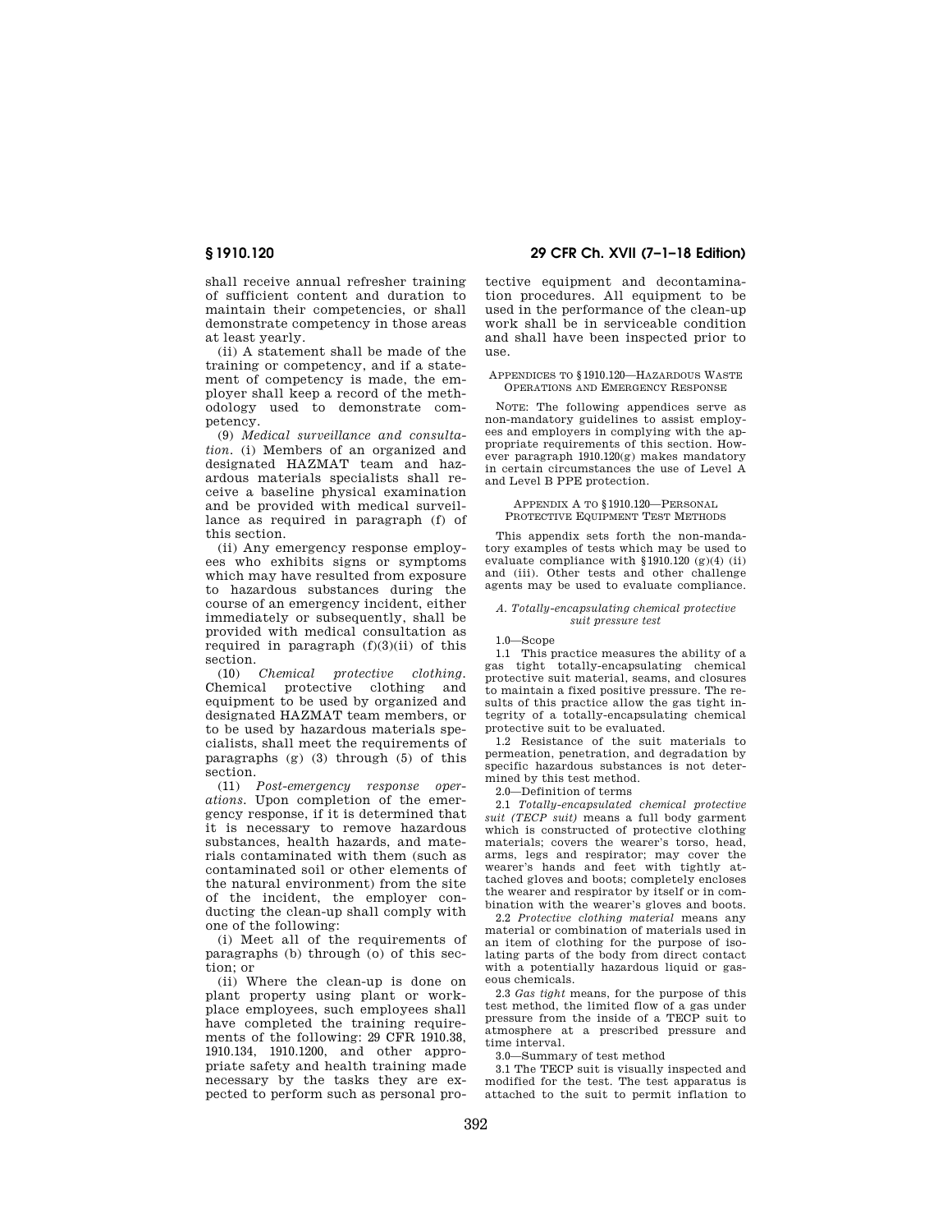shall receive annual refresher training of sufficient content and duration to maintain their competencies, or shall demonstrate competency in those areas at least yearly.

(ii) A statement shall be made of the training or competency, and if a statement of competency is made, the employer shall keep a record of the methodology used to demonstrate competency.

(9) *Medical surveillance and consultation.* (i) Members of an organized and designated HAZMAT team and hazardous materials specialists shall receive a baseline physical examination and be provided with medical surveillance as required in paragraph (f) of this section.

(ii) Any emergency response employees who exhibits signs or symptoms which may have resulted from exposure to hazardous substances during the course of an emergency incident, either immediately or subsequently, shall be provided with medical consultation as required in paragraph  $(f)(3)(ii)$  of this section.

(10) *Chemical protective clothing.*  Chemical protective clothing and equipment to be used by organized and designated HAZMAT team members, or to be used by hazardous materials specialists, shall meet the requirements of paragraphs (g) (3) through (5) of this section.

(11) *Post-emergency response operations.* Upon completion of the emergency response, if it is determined that it is necessary to remove hazardous substances, health hazards, and materials contaminated with them (such as contaminated soil or other elements of the natural environment) from the site of the incident, the employer conducting the clean-up shall comply with one of the following:

(i) Meet all of the requirements of paragraphs (b) through (o) of this section; or

(ii) Where the clean-up is done on plant property using plant or workplace employees, such employees shall have completed the training requirements of the following: 29 CFR 1910.38, 1910.134, 1910.1200, and other appropriate safety and health training made necessary by the tasks they are expected to perform such as personal pro-

**§ 1910.120 29 CFR Ch. XVII (7–1–18 Edition)** 

tective equipment and decontamination procedures. All equipment to be used in the performance of the clean-up work shall be in serviceable condition and shall have been inspected prior to use.

## APPENDICES TO §1910.120—HAZARDOUS WASTE OPERATIONS AND EMERGENCY RESPONSE

NOTE: The following appendices serve as non-mandatory guidelines to assist employees and employers in complying with the appropriate requirements of this section. However paragraph 1910.120(g) makes mandatory in certain circumstances the use of Level A and Level B PPE protection.

## APPENDIX A TO §1910.120—PERSONAL PROTECTIVE EQUIPMENT TEST METHODS

This appendix sets forth the non-mandatory examples of tests which may be used to evaluate compliance with §1910.120 (g)(4) (ii) and (iii). Other tests and other challenge agents may be used to evaluate compliance.

### *A. Totally-encapsulating chemical protective suit pressure test*

1.0—Scope

1.1 This practice measures the ability of a gas tight totally-encapsulating chemical protective suit material, seams, and closures to maintain a fixed positive pressure. The results of this practice allow the gas tight integrity of a totally-encapsulating chemical protective suit to be evaluated.

1.2 Resistance of the suit materials to permeation, penetration, and degradation by specific hazardous substances is not determined by this test method.

2.0—Definition of terms

2.1 *Totally-encapsulated chemical protective suit (TECP suit)* means a full body garment which is constructed of protective clothing materials; covers the wearer's torso, head, arms, legs and respirator; may cover the wearer's hands and feet with tightly attached gloves and boots; completely encloses the wearer and respirator by itself or in combination with the wearer's gloves and boots.

2.2 *Protective clothing material* means any material or combination of materials used in an item of clothing for the purpose of isolating parts of the body from direct contact with a potentially hazardous liquid or gaseous chemicals.

2.3 *Gas tight* means, for the purpose of this test method, the limited flow of a gas under pressure from the inside of a TECP suit to atmosphere at a prescribed pressure and time interval.

3.0—Summary of test method

3.1 The TECP suit is visually inspected and modified for the test. The test apparatus is attached to the suit to permit inflation to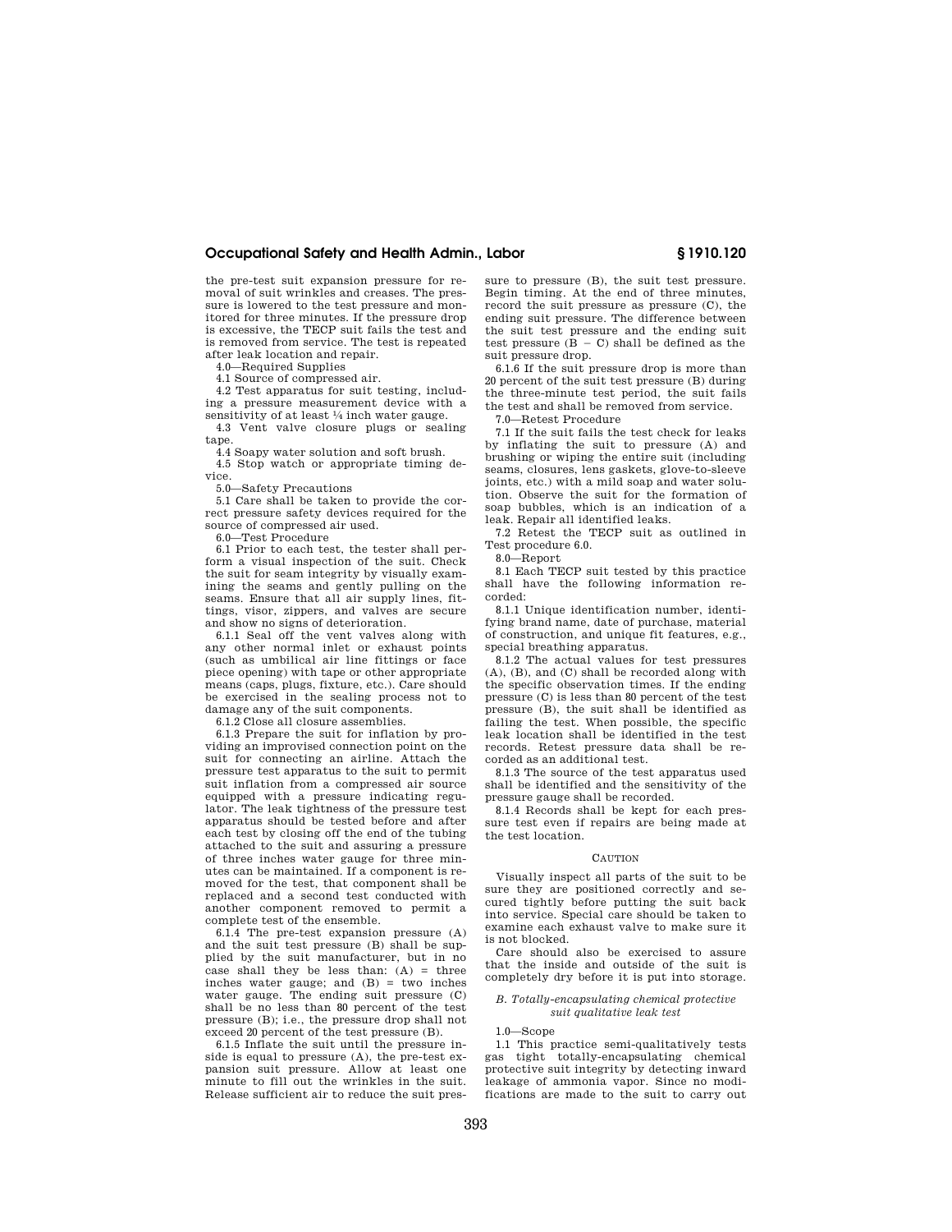the pre-test suit expansion pressure for removal of suit wrinkles and creases. The pressure is lowered to the test pressure and monitored for three minutes. If the pressure drop is excessive, the TECP suit fails the test and is removed from service. The test is repeated after leak location and repair.

4.0—Required Supplies

4.1 Source of compressed air.

4.2 Test apparatus for suit testing, including a pressure measurement device with a sensitivity of at least 1⁄4 inch water gauge.

4.3 Vent valve closure plugs or sealing tape.

4.4 Soapy water solution and soft brush.

4.5 Stop watch or appropriate timing device.

5.0—Safety Precautions

5.1 Care shall be taken to provide the correct pressure safety devices required for the source of compressed air used.

6.0—Test Procedure

6.1 Prior to each test, the tester shall perform a visual inspection of the suit. Check the suit for seam integrity by visually examining the seams and gently pulling on the seams. Ensure that all air supply lines, fittings, visor, zippers, and valves are secure and show no signs of deterioration.

6.1.1 Seal off the vent valves along with any other normal inlet or exhaust points (such as umbilical air line fittings or face piece opening) with tape or other appropriate means (caps, plugs, fixture, etc.). Care should be exercised in the sealing process not to damage any of the suit components.

6.1.2 Close all closure assemblies.

6.1.3 Prepare the suit for inflation by providing an improvised connection point on the suit for connecting an airline. Attach the pressure test apparatus to the suit to permit suit inflation from a compressed air source equipped with a pressure indicating regulator. The leak tightness of the pressure test apparatus should be tested before and after each test by closing off the end of the tubing attached to the suit and assuring a pressure of three inches water gauge for three minutes can be maintained. If a component is removed for the test, that component shall be replaced and a second test conducted with another component removed to permit a complete test of the ensemble.

6.1.4 The pre-test expansion pressure (A) and the suit test pressure (B) shall be supplied by the suit manufacturer, but in no case shall they be less than:  $(A) =$  three inches water gauge; and (B) = two inches water gauge. The ending suit pressure (C) shall be no less than 80 percent of the test pressure (B); i.e., the pressure drop shall not exceed 20 percent of the test pressure (B).

6.1.5 Inflate the suit until the pressure inside is equal to pressure  $(A)$ , the pre-test expansion suit pressure. Allow at least one minute to fill out the wrinkles in the suit. Release sufficient air to reduce the suit pressure to pressure (B), the suit test pressure. Begin timing. At the end of three minutes, record the suit pressure as pressure (C), the ending suit pressure. The difference between the suit test pressure and the ending suit test pressure  $(B - C)$  shall be defined as the suit pressure drop.

6.1.6 If the suit pressure drop is more than 20 percent of the suit test pressure (B) during the three-minute test period, the suit fails the test and shall be removed from service.

7.0—Retest Procedure

7.1 If the suit fails the test check for leaks by inflating the suit to pressure (A) and brushing or wiping the entire suit (including seams, closures, lens gaskets, glove-to-sleeve joints, etc.) with a mild soap and water solution. Observe the suit for the formation of soap bubbles, which is an indication of a leak. Repair all identified leaks.

7.2 Retest the TECP suit as outlined in Test procedure 6.0.

8.0—Report

8.1 Each TECP suit tested by this practice shall have the following information recorded:

8.1.1 Unique identification number, identifying brand name, date of purchase, material of construction, and unique fit features, e.g., special breathing apparatus.

8.1.2 The actual values for test pressures (A), (B), and (C) shall be recorded along with the specific observation times. If the ending pressure (C) is less than 80 percent of the test pressure (B), the suit shall be identified as failing the test. When possible, the specific leak location shall be identified in the test records. Retest pressure data shall be recorded as an additional test.

8.1.3 The source of the test apparatus used shall be identified and the sensitivity of the pressure gauge shall be recorded.

8.1.4 Records shall be kept for each pressure test even if repairs are being made at the test location.

### CAUTION

Visually inspect all parts of the suit to be sure they are positioned correctly and secured tightly before putting the suit back into service. Special care should be taken to examine each exhaust valve to make sure it is not blocked.

Care should also be exercised to assure that the inside and outside of the suit is completely dry before it is put into storage.

### *B. Totally-encapsulating chemical protective suit qualitative leak test*

1.0—Scope

1.1 This practice semi-qualitatively tests gas tight totally-encapsulating chemical protective suit integrity by detecting inward leakage of ammonia vapor. Since no modifications are made to the suit to carry out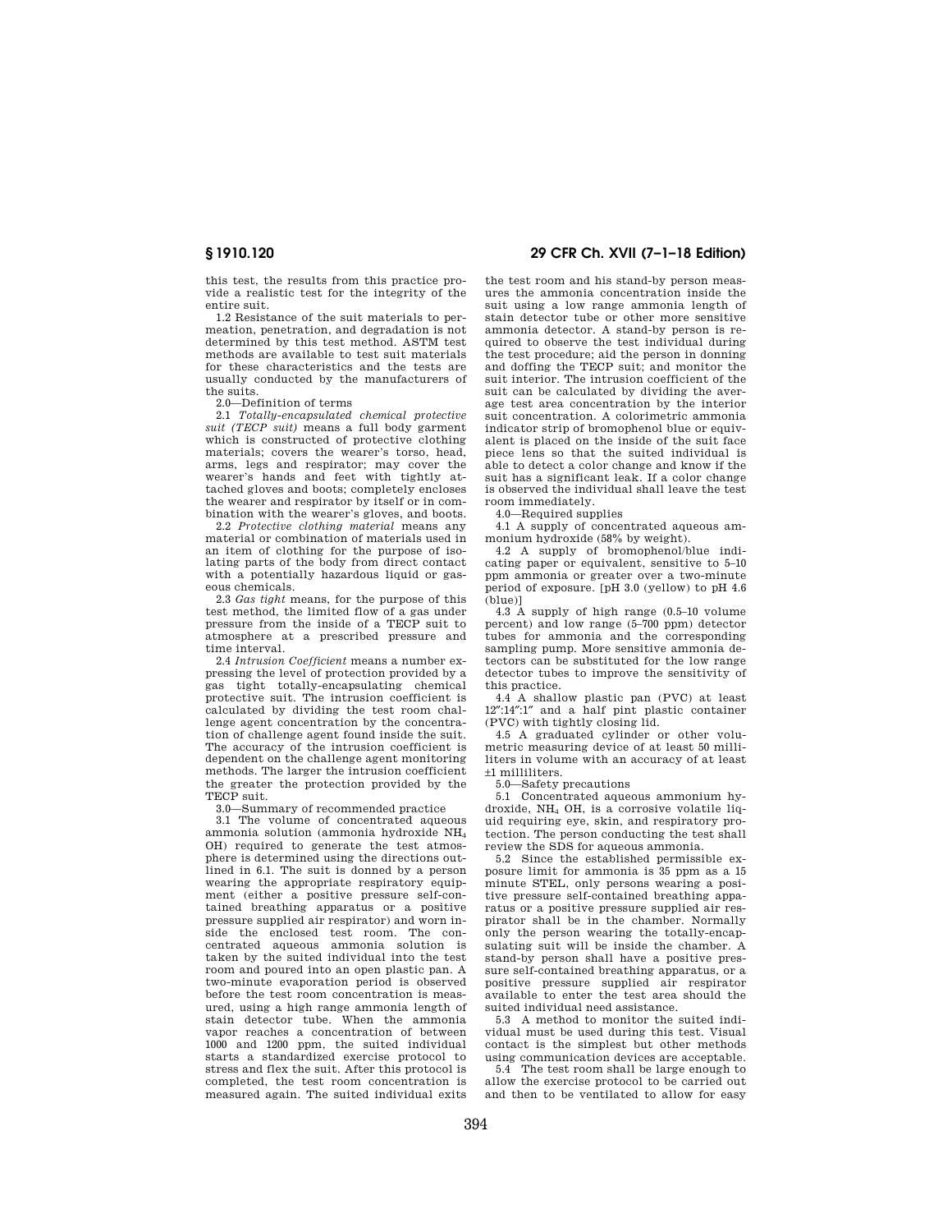this test, the results from this practice provide a realistic test for the integrity of the entire suit.

1.2 Resistance of the suit materials to permeation, penetration, and degradation is not determined by this test method. ASTM test methods are available to test suit materials for these characteristics and the tests are usually conducted by the manufacturers of the suits.

2.0—Definition of terms

2.1 *Totally-encapsulated chemical protective suit (TECP suit)* means a full body garment which is constructed of protective clothing materials; covers the wearer's torso, head, arms, legs and respirator; may cover the wearer's hands and feet with tightly attached gloves and boots; completely encloses the wearer and respirator by itself or in combination with the wearer's gloves, and boots.

2.2 *Protective clothing material* means any material or combination of materials used in an item of clothing for the purpose of isolating parts of the body from direct contact with a potentially hazardous liquid or gaseous chemicals.

2.3 *Gas tight* means, for the purpose of this test method, the limited flow of a gas under pressure from the inside of a TECP suit to atmosphere at a prescribed pressure and time interval.

2.4 *Intrusion Coefficient* means a number expressing the level of protection provided by a gas tight totally-encapsulating chemical protective suit. The intrusion coefficient is calculated by dividing the test room challenge agent concentration by the concentration of challenge agent found inside the suit. The accuracy of the intrusion coefficient is dependent on the challenge agent monitoring methods. The larger the intrusion coefficient the greater the protection provided by the TECP suit.

3.0—Summary of recommended practice

3.1 The volume of concentrated aqueous ammonia solution (ammonia hydroxide NH<sup>4</sup> OH) required to generate the test atmosphere is determined using the directions outlined in 6.1. The suit is donned by a person wearing the appropriate respiratory equipment (either a positive pressure self-contained breathing apparatus or a positive pressure supplied air respirator) and worn inside the enclosed test room. The concentrated aqueous ammonia solution is taken by the suited individual into the test room and poured into an open plastic pan. A two-minute evaporation period is observed before the test room concentration is measured, using a high range ammonia length of stain detector tube. When the ammonia vapor reaches a concentration of between 1000 and 1200 ppm, the suited individual starts a standardized exercise protocol to stress and flex the suit. After this protocol is completed, the test room concentration is measured again. The suited individual exits

**§ 1910.120 29 CFR Ch. XVII (7–1–18 Edition)** 

the test room and his stand-by person measures the ammonia concentration inside the suit using a low range ammonia length of stain detector tube or other more sensitive ammonia detector. A stand-by person is required to observe the test individual during the test procedure; aid the person in donning and doffing the TECP suit; and monitor the suit interior. The intrusion coefficient of the suit can be calculated by dividing the average test area concentration by the interior suit concentration. A colorimetric ammonia indicator strip of bromophenol blue or equivalent is placed on the inside of the suit face piece lens so that the suited individual is able to detect a color change and know if the suit has a significant leak. If a color change is observed the individual shall leave the test room immediately.

4.0—Required supplies

4.1 A supply of concentrated aqueous ammonium hydroxide (58% by weight).

4.2 A supply of bromophenol/blue indicating paper or equivalent, sensitive to 5–10 ppm ammonia or greater over a two-minute period of exposure. [pH 3.0 (yellow) to pH 4.6 (blue)]

4.3 A supply of high range (0.5–10 volume percent) and low range (5–700 ppm) detector tubes for ammonia and the corresponding sampling pump. More sensitive ammonia detectors can be substituted for the low range detector tubes to improve the sensitivity of this practice.

4.4 A shallow plastic pan (PVC) at least 12″:14″:1″ and a half pint plastic container (PVC) with tightly closing lid.

4.5 A graduated cylinder or other volumetric measuring device of at least 50 milliliters in volume with an accuracy of at least ±1 milliliters.

5.0—Safety precautions

5.1 Concentrated aqueous ammonium hydroxide, NH<sup>4</sup> OH, is a corrosive volatile liquid requiring eye, skin, and respiratory protection. The person conducting the test shall review the SDS for aqueous ammonia.

5.2 Since the established permissible exposure limit for ammonia is 35 ppm as a 15 minute STEL, only persons wearing a positive pressure self-contained breathing apparatus or a positive pressure supplied air respirator shall be in the chamber. Normally only the person wearing the totally-encapsulating suit will be inside the chamber. A stand-by person shall have a positive pressure self-contained breathing apparatus, or a positive pressure supplied air respirator available to enter the test area should the suited individual need assistance.

5.3 A method to monitor the suited individual must be used during this test. Visual contact is the simplest but other methods using communication devices are acceptable.

5.4 The test room shall be large enough to allow the exercise protocol to be carried out and then to be ventilated to allow for easy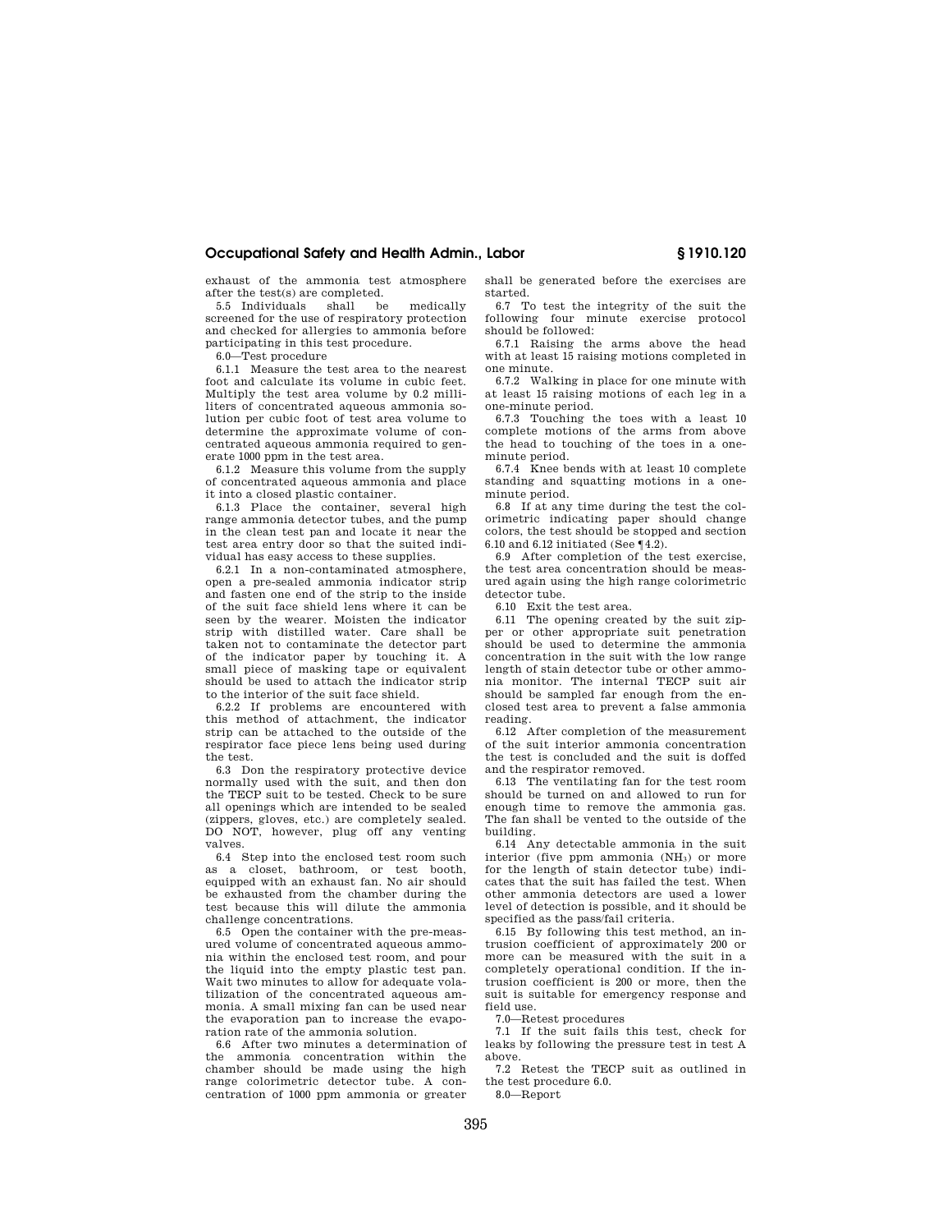exhaust of the ammonia test atmosphere after the test(s) are completed.

5.5 Individuals shall be medically screened for the use of respiratory protection and checked for allergies to ammonia before participating in this test procedure.

6.0—Test procedure

6.1.1 Measure the test area to the nearest foot and calculate its volume in cubic feet. Multiply the test area volume by 0.2 milliliters of concentrated aqueous ammonia solution per cubic foot of test area volume to determine the approximate volume of concentrated aqueous ammonia required to generate 1000 ppm in the test area.

6.1.2 Measure this volume from the supply of concentrated aqueous ammonia and place it into a closed plastic container.

6.1.3 Place the container, several high range ammonia detector tubes, and the pump in the clean test pan and locate it near the test area entry door so that the suited individual has easy access to these supplies.

6.2.1 In a non-contaminated atmosphere, open a pre-sealed ammonia indicator strip and fasten one end of the strip to the inside of the suit face shield lens where it can be seen by the wearer. Moisten the indicator strip with distilled water. Care shall be taken not to contaminate the detector part of the indicator paper by touching it. A small piece of masking tape or equivalent should be used to attach the indicator strip to the interior of the suit face shield.

6.2.2 If problems are encountered with this method of attachment, the indicator strip can be attached to the outside of the respirator face piece lens being used during the test.

6.3 Don the respiratory protective device normally used with the suit, and then don the TECP suit to be tested. Check to be sure all openings which are intended to be sealed (zippers, gloves, etc.) are completely sealed. DO NOT, however, plug off any venting valves.

6.4 Step into the enclosed test room such as a closet, bathroom, or test booth, equipped with an exhaust fan. No air should be exhausted from the chamber during the test because this will dilute the ammonia challenge concentrations.

6.5 Open the container with the pre-measured volume of concentrated aqueous ammonia within the enclosed test room, and pour the liquid into the empty plastic test pan. Wait two minutes to allow for adequate volatilization of the concentrated aqueous ammonia. A small mixing fan can be used near the evaporation pan to increase the evaporation rate of the ammonia solution.

6.6 After two minutes a determination of the ammonia concentration within the chamber should be made using the high range colorimetric detector tube. A concentration of 1000 ppm ammonia or greater shall be generated before the exercises are started.

6.7 To test the integrity of the suit the following four minute exercise protocol should be followed:

6.7.1 Raising the arms above the head with at least 15 raising motions completed in one minute.

6.7.2 Walking in place for one minute with at least 15 raising motions of each leg in a one-minute period.

6.7.3 Touching the toes with a least 10 complete motions of the arms from above the head to touching of the toes in a oneminute period.

6.7.4 Knee bends with at least 10 complete standing and squatting motions in a oneminute period.

6.8 If at any time during the test the colorimetric indicating paper should change colors, the test should be stopped and section 6.10 and 6.12 initiated (See ¶4.2).

6.9 After completion of the test exercise, the test area concentration should be measured again using the high range colorimetric detector tube.

6.10 Exit the test area.

6.11 The opening created by the suit zipper or other appropriate suit penetration should be used to determine the ammonia concentration in the suit with the low range length of stain detector tube or other ammonia monitor. The internal TECP suit air should be sampled far enough from the enclosed test area to prevent a false ammonia reading.

6.12 After completion of the measurement of the suit interior ammonia concentration the test is concluded and the suit is doffed and the respirator removed.

6.13 The ventilating fan for the test room should be turned on and allowed to run for enough time to remove the ammonia gas. The fan shall be vented to the outside of the building.

6.14 Any detectable ammonia in the suit interior (five ppm ammonia (NH3) or more for the length of stain detector tube) indicates that the suit has failed the test. When other ammonia detectors are used a lower level of detection is possible, and it should be specified as the pass/fail criteria.

6.15 By following this test method, an intrusion coefficient of approximately 200 or more can be measured with the suit in a completely operational condition. If the intrusion coefficient is 200 or more, then the suit is suitable for emergency response and field use.

7.0—Retest procedures

7.1 If the suit fails this test, check for leaks by following the pressure test in test A above.

7.2 Retest the TECP suit as outlined in the test procedure 6.0.

8.0—Report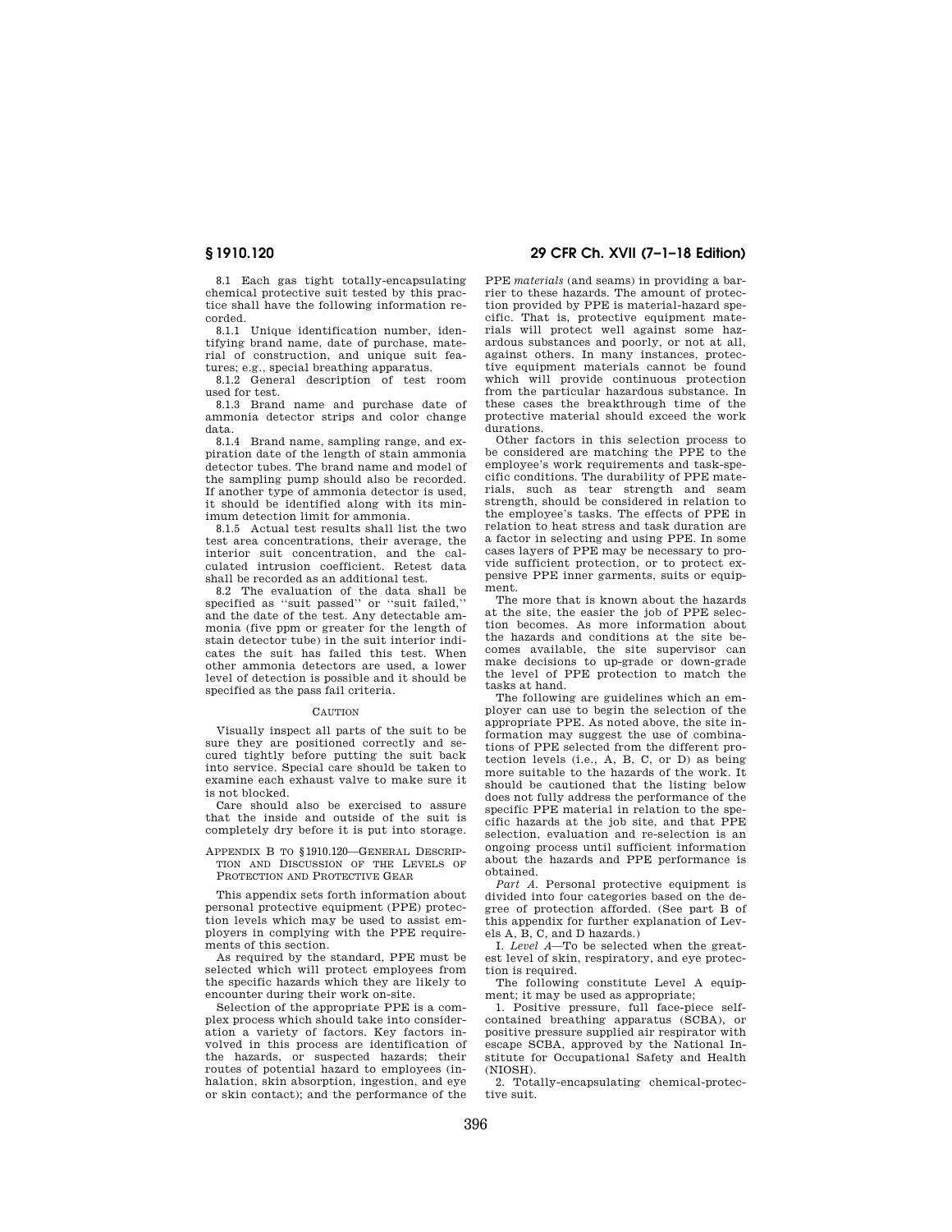8.1 Each gas tight totally-encapsulating chemical protective suit tested by this practice shall have the following information recorded.

8.1.1 Unique identification number, identifying brand name, date of purchase, material of construction, and unique suit features; e.g., special breathing apparatus.

8.1.2 General description of test room used for test.

8.1.3 Brand name and purchase date of ammonia detector strips and color change data.

8.1.4 Brand name, sampling range, and expiration date of the length of stain ammonia detector tubes. The brand name and model of the sampling pump should also be recorded. If another type of ammonia detector is used, it should be identified along with its minimum detection limit for ammonia.

8.1.5 Actual test results shall list the two test area concentrations, their average, the interior suit concentration, and the calculated intrusion coefficient. Retest data shall be recorded as an additional test.

8.2 The evaluation of the data shall be specified as ''suit passed'' or ''suit failed,'' and the date of the test. Any detectable ammonia (five ppm or greater for the length of stain detector tube) in the suit interior indicates the suit has failed this test. When other ammonia detectors are used, a lower level of detection is possible and it should be specified as the pass fail criteria.

### **CAUTION**

Visually inspect all parts of the suit to be sure they are positioned correctly and secured tightly before putting the suit back into service. Special care should be taken to examine each exhaust valve to make sure it is not blocked.

Care should also be exercised to assure that the inside and outside of the suit is completely dry before it is put into storage.

## APPENDIX B TO §1910.120—GENERAL DESCRIP-TION AND DISCUSSION OF THE LEVELS OF PROTECTION AND PROTECTIVE GEAR

This appendix sets forth information about personal protective equipment (PPE) protection levels which may be used to assist employers in complying with the PPE requirements of this section.

As required by the standard, PPE must be selected which will protect employees from the specific hazards which they are likely to encounter during their work on-site.

Selection of the appropriate PPE is a complex process which should take into consideration a variety of factors. Key factors involved in this process are identification of the hazards, or suspected hazards; their routes of potential hazard to employees (inhalation, skin absorption, ingestion, and eye or skin contact); and the performance of the

## **§ 1910.120 29 CFR Ch. XVII (7–1–18 Edition)**

PPE *materials* (and seams) in providing a barrier to these hazards. The amount of protection provided by PPE is material-hazard specific. That is, protective equipment materials will protect well against some hazardous substances and poorly, or not at all, against others. In many instances, protective equipment materials cannot be found which will provide continuous protection from the particular hazardous substance. In these cases the breakthrough time of the protective material should exceed the work durations.

Other factors in this selection process to be considered are matching the PPE to the employee's work requirements and task-specific conditions. The durability of PPE materials, such as tear strength and seam strength, should be considered in relation to the employee's tasks. The effects of PPE in relation to heat stress and task duration are a factor in selecting and using PPE. In some cases layers of PPE may be necessary to provide sufficient protection, or to protect expensive PPE inner garments, suits or equipment.

The more that is known about the hazards at the site, the easier the job of PPE selection becomes. As more information about the hazards and conditions at the site becomes available, the site supervisor can make decisions to up-grade or down-grade the level of PPE protection to match the tasks at hand.

The following are guidelines which an employer can use to begin the selection of the appropriate PPE. As noted above, the site information may suggest the use of combinations of PPE selected from the different protection levels (i.e., A, B, C, or D) as being more suitable to the hazards of the work. It should be cautioned that the listing below does not fully address the performance of the specific PPE material in relation to the specific hazards at the job site, and that PPE selection, evaluation and re-selection is an ongoing process until sufficient information about the hazards and PPE performance is obtained.

Part A. Personal protective equipment is divided into four categories based on the degree of protection afforded. (See part B of this appendix for further explanation of Levels A, B, C, and D hazards.)

I. *Level A*—To be selected when the greatest level of skin, respiratory, and eye protection is required.

The following constitute Level A equipment; it may be used as appropriate;

1. Positive pressure, full face-piece selfcontained breathing apparatus (SCBA), or positive pressure supplied air respirator with escape SCBA, approved by the National Institute for Occupational Safety and Health (NIOSH).

2. Totally-encapsulating chemical-protective suit.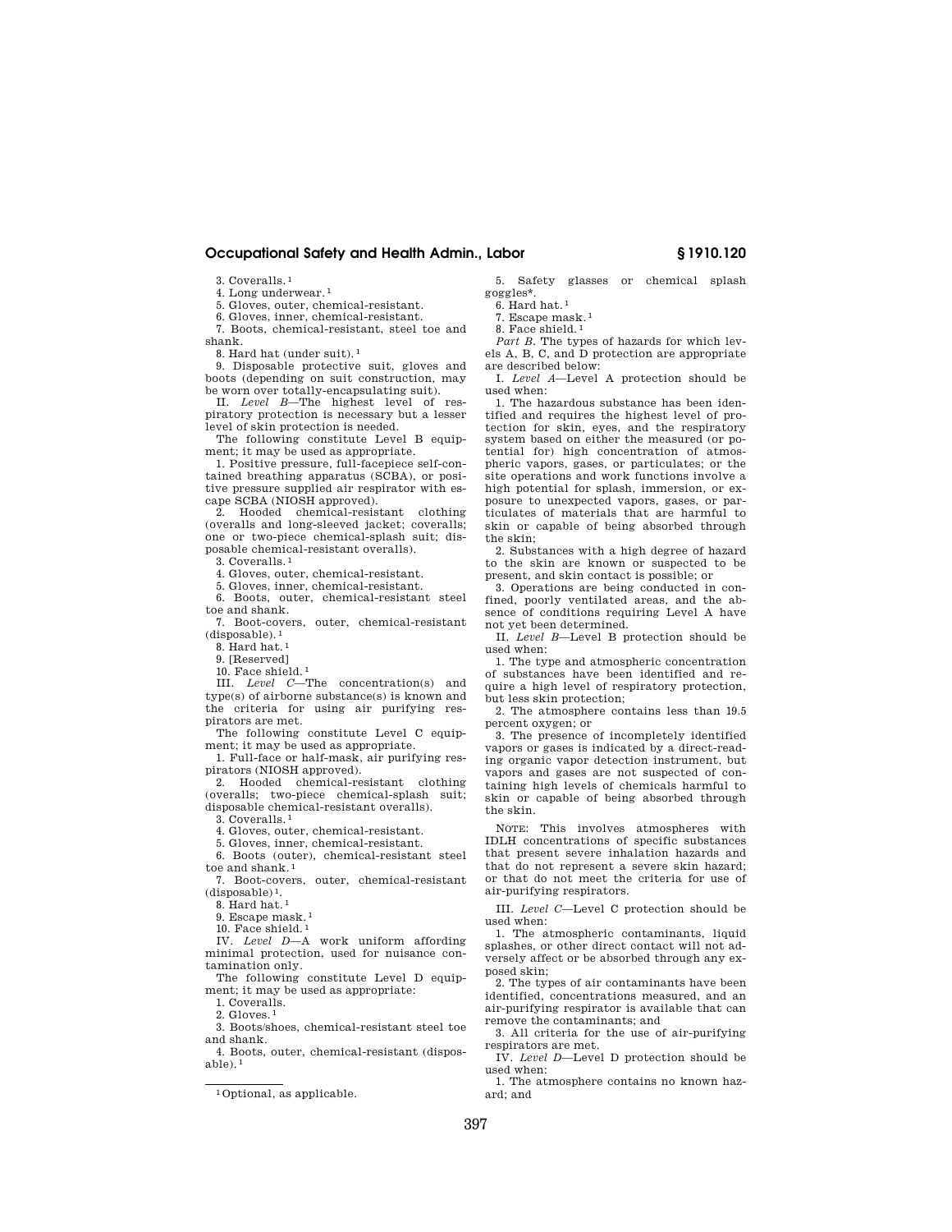3. Coveralls. 1

4. Long underwear. 1

5. Gloves, outer, chemical-resistant. 6. Gloves, inner, chemical-resistant.

7. Boots, chemical-resistant, steel toe and shank.

8. Hard hat (under suit). 1

9. Disposable protective suit, gloves and boots (depending on suit construction, may be worn over totally-encapsulating suit).

II. *Level B*—The highest level of respiratory protection is necessary but a lesser level of skin protection is needed.

The following constitute Level B equipment; it may be used as appropriate.

1. Positive pressure, full-facepiece self-contained breathing apparatus (SCBA), or positive pressure supplied air respirator with escape SCBA (NIOSH approved).

2. Hooded chemical-resistant clothing (overalls and long-sleeved jacket; coveralls; one or two-piece chemical-splash suit; disposable chemical-resistant overalls).

3. Coveralls. 1

4. Gloves, outer, chemical-resistant.

5. Gloves, inner, chemical-resistant.

6. Boots, outer, chemical-resistant steel toe and shank.

7. Boot-covers, outer, chemical-resistant (disposable). 1

8. Hard hat. 1

9. [Reserved]

10. Face shield. 1

III. *Level C*—The concentration(s) and type(s) of airborne substance(s) is known and the criteria for using air purifying respirators are met.

The following constitute Level C equipment; it may be used as appropriate.

1. Full-face or half-mask, air purifying respirators (NIOSH approved).

2. Hooded chemical-resistant clothing (overalls; two-piece chemical-splash suit; disposable chemical-resistant overalls).

3. Coveralls. 1

4. Gloves, outer, chemical-resistant.

5. Gloves, inner, chemical-resistant.

6. Boots (outer), chemical-resistant steel toe and shank.<sup>1</sup>

7. Boot-covers, outer, chemical-resistant (disposable) 1.

8. Hard hat. 1

9. Escape mask. 1

10. Face shield. 1

IV. *Level D*—A work uniform affording minimal protection, used for nuisance contamination only.

The following constitute Level D equipment; it may be used as appropriate:

1. Coveralls.

2. Gloves. 1

3. Boots/shoes, chemical-resistant steel toe and shank.

4. Boots, outer, chemical-resistant (disposable). 1

1Optional, as applicable.

5. Safety glasses or chemical splash goggles\*.

6. Hard hat. 1

7. Escape mask. 1 8. Face shield. 1

*Part B.* The types of hazards for which levels A, B, C, and D protection are appropriate are described below:

I. *Level A*—Level A protection should be used when:

1. The hazardous substance has been identified and requires the highest level of protection for skin, eyes, and the respiratory system based on either the measured (or potential for) high concentration of atmospheric vapors, gases, or particulates; or the site operations and work functions involve a high potential for splash, immersion, or exposure to unexpected vapors, gases, or particulates of materials that are harmful to skin or capable of being absorbed through the skin;

2. Substances with a high degree of hazard to the skin are known or suspected to be present, and skin contact is possible; or

3. Operations are being conducted in confined, poorly ventilated areas, and the absence of conditions requiring Level A have not yet been determined.

II. *Level B*—Level B protection should be used when:

1. The type and atmospheric concentration of substances have been identified and require a high level of respiratory protection, but less skin protection;

2. The atmosphere contains less than 19.5 percent oxygen; or

3. The presence of incompletely identified vapors or gases is indicated by a direct-reading organic vapor detection instrument, but vapors and gases are not suspected of containing high levels of chemicals harmful to skin or capable of being absorbed through the skin.

NOTE: This involves atmospheres with IDLH concentrations of specific substances that present severe inhalation hazards and that do not represent a severe skin hazard; or that do not meet the criteria for use of air-purifying respirators.

III. *Level C*—Level C protection should be used when:

1. The atmospheric contaminants, liquid splashes, or other direct contact will not adversely affect or be absorbed through any exposed skin;

2. The types of air contaminants have been identified, concentrations measured, and an air-purifying respirator is available that can remove the contaminants; and

3. All criteria for the use of air-purifying respirators are met.

IV. *Level D*—Level D protection should be used when:

1. The atmosphere contains no known hazard; and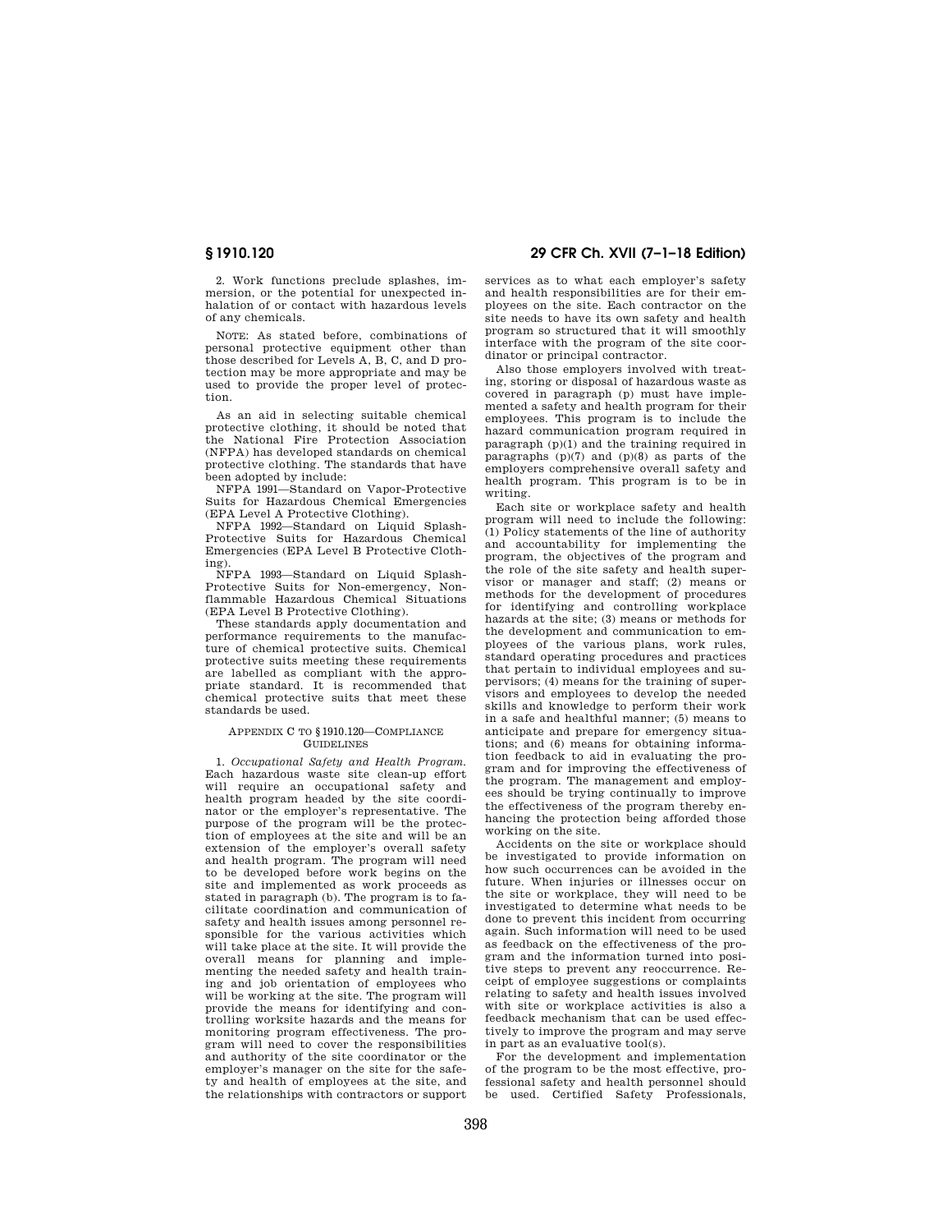2. Work functions preclude splashes, immersion, or the potential for unexpected inhalation of or contact with hazardous levels of any chemicals.

NOTE: As stated before, combinations of personal protective equipment other than those described for Levels A, B, C, and D protection may be more appropriate and may be used to provide the proper level of protection.

As an aid in selecting suitable chemical protective clothing, it should be noted that the National Fire Protection Association (NFPA) has developed standards on chemical protective clothing. The standards that have been adopted by include:

NFPA 1991—Standard on Vapor-Protective Suits for Hazardous Chemical Emergencies (EPA Level A Protective Clothing).

NFPA 1992—Standard on Liquid Splash-Protective Suits for Hazardous Chemical Emergencies (EPA Level B Protective Clothing).

NFPA 1993—Standard on Liquid Splash-Protective Suits for Non-emergency, Nonflammable Hazardous Chemical Situations (EPA Level B Protective Clothing).

These standards apply documentation and performance requirements to the manufacture of chemical protective suits. Chemical protective suits meeting these requirements are labelled as compliant with the appropriate standard. It is recommended that chemical protective suits that meet these standards be used.

## APPENDIX C TO §1910.120—COMPLIANCE GUIDELINES

1. *Occupational Safety and Health Program.*  Each hazardous waste site clean-up effort will require an occupational safety and health program headed by the site coordinator or the employer's representative. The purpose of the program will be the protection of employees at the site and will be an extension of the employer's overall safety and health program. The program will need to be developed before work begins on the site and implemented as work proceeds as stated in paragraph (b). The program is to facilitate coordination and communication of safety and health issues among personnel responsible for the various activities which will take place at the site. It will provide the overall means for planning and implementing the needed safety and health training and job orientation of employees who will be working at the site. The program will provide the means for identifying and controlling worksite hazards and the means for monitoring program effectiveness. The program will need to cover the responsibilities and authority of the site coordinator or the employer's manager on the site for the safety and health of employees at the site, and the relationships with contractors or support

# **§ 1910.120 29 CFR Ch. XVII (7–1–18 Edition)**

services as to what each employer's safety and health responsibilities are for their employees on the site. Each contractor on the site needs to have its own safety and health program so structured that it will smoothly interface with the program of the site coordinator or principal contractor.

Also those employers involved with treating, storing or disposal of hazardous waste as covered in paragraph (p) must have implemented a safety and health program for their employees. This program is to include the hazard communication program required in paragraph (p)(1) and the training required in paragraphs (p)(7) and (p)(8) as parts of the employers comprehensive overall safety and health program. This program is to be in writing.

Each site or workplace safety and health program will need to include the following: (1) Policy statements of the line of authority and accountability for implementing the program, the objectives of the program and the role of the site safety and health supervisor or manager and staff; (2) means or methods for the development of procedures for identifying and controlling workplace hazards at the site; (3) means or methods for the development and communication to employees of the various plans, work rules, standard operating procedures and practices that pertain to individual employees and supervisors; (4) means for the training of supervisors and employees to develop the needed skills and knowledge to perform their work in a safe and healthful manner; (5) means to anticipate and prepare for emergency situations; and (6) means for obtaining information feedback to aid in evaluating the program and for improving the effectiveness of the program. The management and employees should be trying continually to improve the effectiveness of the program thereby enhancing the protection being afforded those working on the site.

Accidents on the site or workplace should be investigated to provide information on how such occurrences can be avoided in the future. When injuries or illnesses occur on the site or workplace, they will need to be investigated to determine what needs to be done to prevent this incident from occurring again. Such information will need to be used as feedback on the effectiveness of the program and the information turned into positive steps to prevent any reoccurrence. Receipt of employee suggestions or complaints relating to safety and health issues involved with site or workplace activities is also a feedback mechanism that can be used effectively to improve the program and may serve in part as an evaluative tool(s).

For the development and implementation of the program to be the most effective, professional safety and health personnel should be used. Certified Safety Professionals,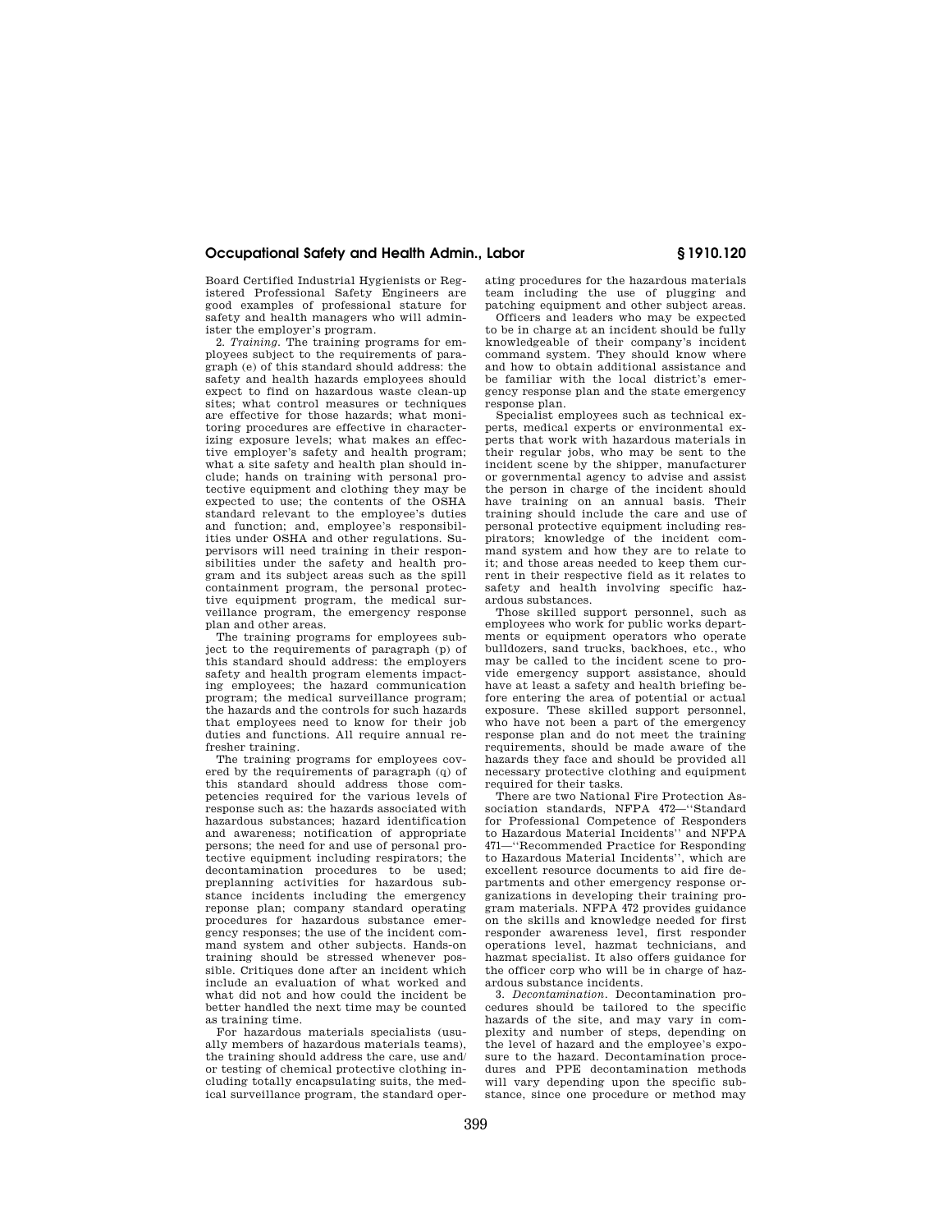Board Certified Industrial Hygienists or Registered Professional Safety Engineers are good examples of professional stature for safety and health managers who will administer the employer's program.

2. *Training.* The training programs for employees subject to the requirements of paragraph (e) of this standard should address: the safety and health hazards employees should expect to find on hazardous waste clean-up sites; what control measures or techniques are effective for those hazards; what monitoring procedures are effective in characterizing exposure levels; what makes an effective employer's safety and health program; what a site safety and health plan should include; hands on training with personal protective equipment and clothing they may be expected to use; the contents of the OSHA standard relevant to the employee's duties and function; and, employee's responsibilities under OSHA and other regulations. Supervisors will need training in their responsibilities under the safety and health program and its subject areas such as the spill containment program, the personal protective equipment program, the medical surveillance program, the emergency response plan and other areas.

The training programs for employees subject to the requirements of paragraph (p) of this standard should address: the employers safety and health program elements impacting employees; the hazard communication program; the medical surveillance program; the hazards and the controls for such hazards that employees need to know for their job duties and functions. All require annual refresher training.

The training programs for employees covered by the requirements of paragraph (q) of this standard should address those competencies required for the various levels of response such as: the hazards associated with hazardous substances; hazard identification and awareness; notification of appropriate persons; the need for and use of personal protective equipment including respirators; the decontamination procedures to be used; preplanning activities for hazardous substance incidents including the emergency reponse plan; company standard operating procedures for hazardous substance emergency responses; the use of the incident command system and other subjects. Hands-on training should be stressed whenever possible. Critiques done after an incident which include an evaluation of what worked and what did not and how could the incident be better handled the next time may be counted as training time.

For hazardous materials specialists (usually members of hazardous materials teams), the training should address the care, use and/ or testing of chemical protective clothing including totally encapsulating suits, the medical surveillance program, the standard operating procedures for the hazardous materials team including the use of plugging and patching equipment and other subject areas.

Officers and leaders who may be expected to be in charge at an incident should be fully knowledgeable of their company's incident command system. They should know where and how to obtain additional assistance and be familiar with the local district's emergency response plan and the state emergency response plan.

Specialist employees such as technical experts, medical experts or environmental experts that work with hazardous materials in their regular jobs, who may be sent to the incident scene by the shipper, manufacturer or governmental agency to advise and assist the person in charge of the incident should have training on an annual basis. Their training should include the care and use of personal protective equipment including respirators; knowledge of the incident command system and how they are to relate to it; and those areas needed to keep them current in their respective field as it relates to safety and health involving specific hazardous substances.

Those skilled support personnel, such as employees who work for public works departments or equipment operators who operate bulldozers, sand trucks, backhoes, etc., who may be called to the incident scene to provide emergency support assistance, should have at least a safety and health briefing before entering the area of potential or actual exposure. These skilled support personnel, who have not been a part of the emergency response plan and do not meet the training requirements, should be made aware of the hazards they face and should be provided all necessary protective clothing and equipment required for their tasks.

There are two National Fire Protection Association standards, NFPA 472—''Standard for Professional Competence of Responders to Hazardous Material Incidents'' and NFPA 471—''Recommended Practice for Responding to Hazardous Material Incidents'', which are excellent resource documents to aid fire departments and other emergency response organizations in developing their training program materials. NFPA 472 provides guidance on the skills and knowledge needed for first responder awareness level, first responder operations level, hazmat technicians, and hazmat specialist. It also offers guidance for the officer corp who will be in charge of hazardous substance incidents.

3. *Decontamination.* Decontamination procedures should be tailored to the specific hazards of the site, and may vary in complexity and number of steps, depending on the level of hazard and the employee's exposure to the hazard. Decontamination procedures and PPE decontamination methods will vary depending upon the specific substance, since one procedure or method may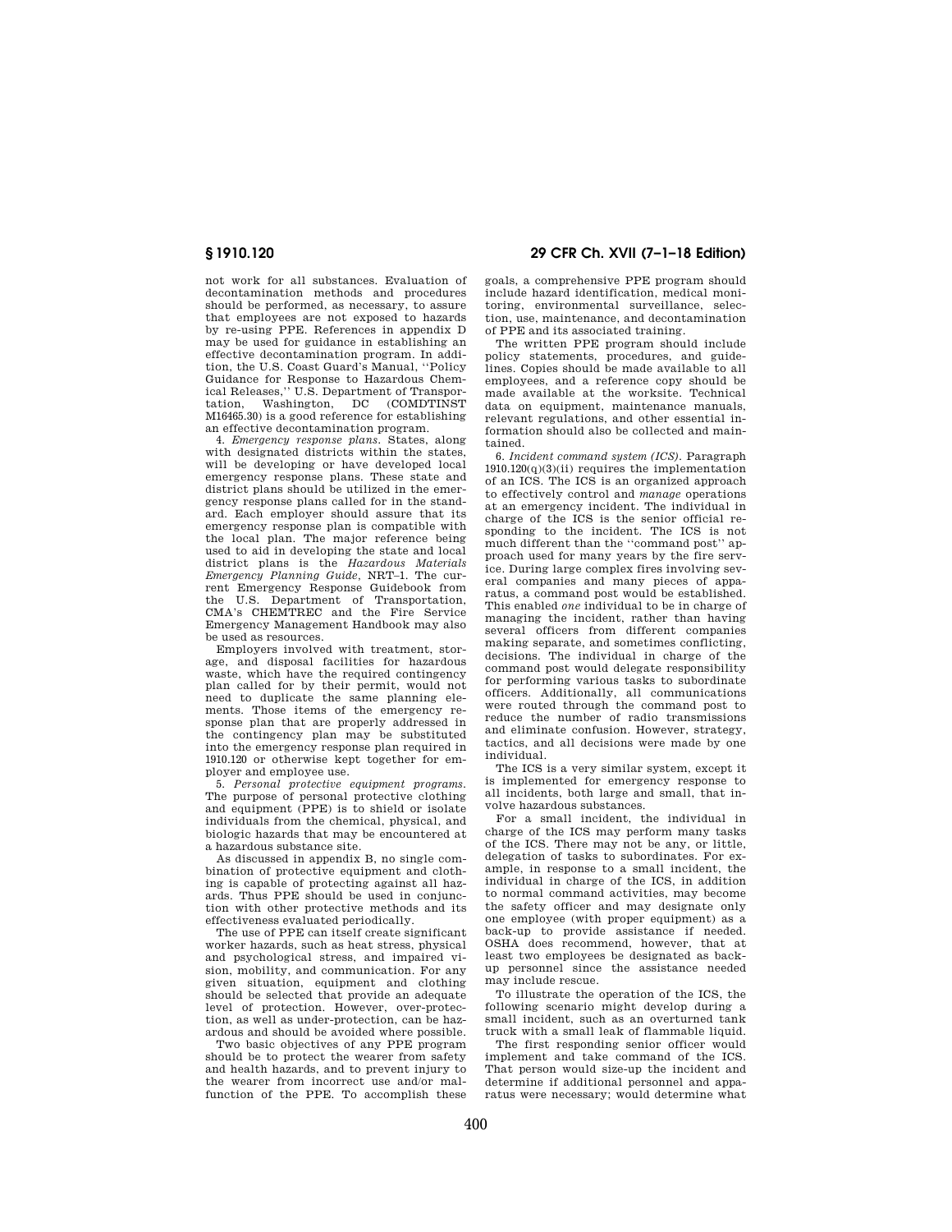not work for all substances. Evaluation of decontamination methods and procedures should be performed, as necessary, to assure that employees are not exposed to hazards by re-using PPE. References in appendix D may be used for guidance in establishing an effective decontamination program. In addition, the U.S. Coast Guard's Manual, ''Policy Guidance for Response to Hazardous Chemical Releases,'' U.S. Department of Transportation, Washington, DC M16465.30) is a good reference for establishing an effective decontamination program.

4. *Emergency response plans.* States, along with designated districts within the states, will be developing or have developed local emergency response plans. These state and district plans should be utilized in the emergency response plans called for in the standard. Each employer should assure that its emergency response plan is compatible with the local plan. The major reference being used to aid in developing the state and local district plans is the *Hazardous Materials Emergency Planning Guide,* NRT–1. The current Emergency Response Guidebook from the U.S. Department of Transportation, CMA's CHEMTREC and the Fire Service Emergency Management Handbook may also be used as resources.

Employers involved with treatment, storage, and disposal facilities for hazardous waste, which have the required contingency plan called for by their permit, would not need to duplicate the same planning elements. Those items of the emergency response plan that are properly addressed in the contingency plan may be substituted into the emergency response plan required in 1910.120 or otherwise kept together for employer and employee use.

5. *Personal protective equipment programs.*  The purpose of personal protective clothing and equipment (PPE) is to shield or isolate individuals from the chemical, physical, and biologic hazards that may be encountered at a hazardous substance site.

As discussed in appendix B, no single combination of protective equipment and clothing is capable of protecting against all hazards. Thus PPE should be used in conjunction with other protective methods and its effectiveness evaluated periodically.

The use of PPE can itself create significant worker hazards, such as heat stress, physical and psychological stress, and impaired vision, mobility, and communication. For any given situation, equipment and clothing should be selected that provide an adequate level of protection. However, over-protection, as well as under-protection, can be hazardous and should be avoided where possible.

Two basic objectives of any PPE program should be to protect the wearer from safety and health hazards, and to prevent injury to the wearer from incorrect use and/or malfunction of the PPE. To accomplish these

**§ 1910.120 29 CFR Ch. XVII (7–1–18 Edition)** 

goals, a comprehensive PPE program should include hazard identification, medical monitoring, environmental surveillance, selection, use, maintenance, and decontamination of PPE and its associated training.

The written PPE program should include policy statements, procedures, and guidelines. Copies should be made available to all employees, and a reference copy should be made available at the worksite. Technical data on equipment, maintenance manuals, relevant regulations, and other essential information should also be collected and maintained.

6. *Incident command system (ICS).* Paragraph  $1910.120(q)(3)(ii)$  requires the implementation of an ICS. The ICS is an organized approach to effectively control and *manage* operations at an emergency incident. The individual in charge of the ICS is the senior official responding to the incident. The ICS is not much different than the ''command post'' approach used for many years by the fire service. During large complex fires involving several companies and many pieces of apparatus, a command post would be established. This enabled *one* individual to be in charge of managing the incident, rather than having several officers from different companies making separate, and sometimes conflicting, decisions. The individual in charge of the command post would delegate responsibility for performing various tasks to subordinate officers. Additionally, all communications were routed through the command post to reduce the number of radio transmissions and eliminate confusion. However, strategy, tactics, and all decisions were made by one individual.

The ICS is a very similar system, except it is implemented for emergency response to all incidents, both large and small, that involve hazardous substances.

For a small incident, the individual in charge of the ICS may perform many tasks of the ICS. There may not be any, or little, delegation of tasks to subordinates. For example, in response to a small incident, the individual in charge of the ICS, in addition to normal command activities, may become the safety officer and may designate only one employee (with proper equipment) as a back-up to provide assistance if needed. OSHA does recommend, however, that at least two employees be designated as backup personnel since the assistance needed may include rescue.

To illustrate the operation of the ICS, the following scenario might develop during a small incident, such as an overturned tank truck with a small leak of flammable liquid.

The first responding senior officer would implement and take command of the ICS. That person would size-up the incident and determine if additional personnel and apparatus were necessary; would determine what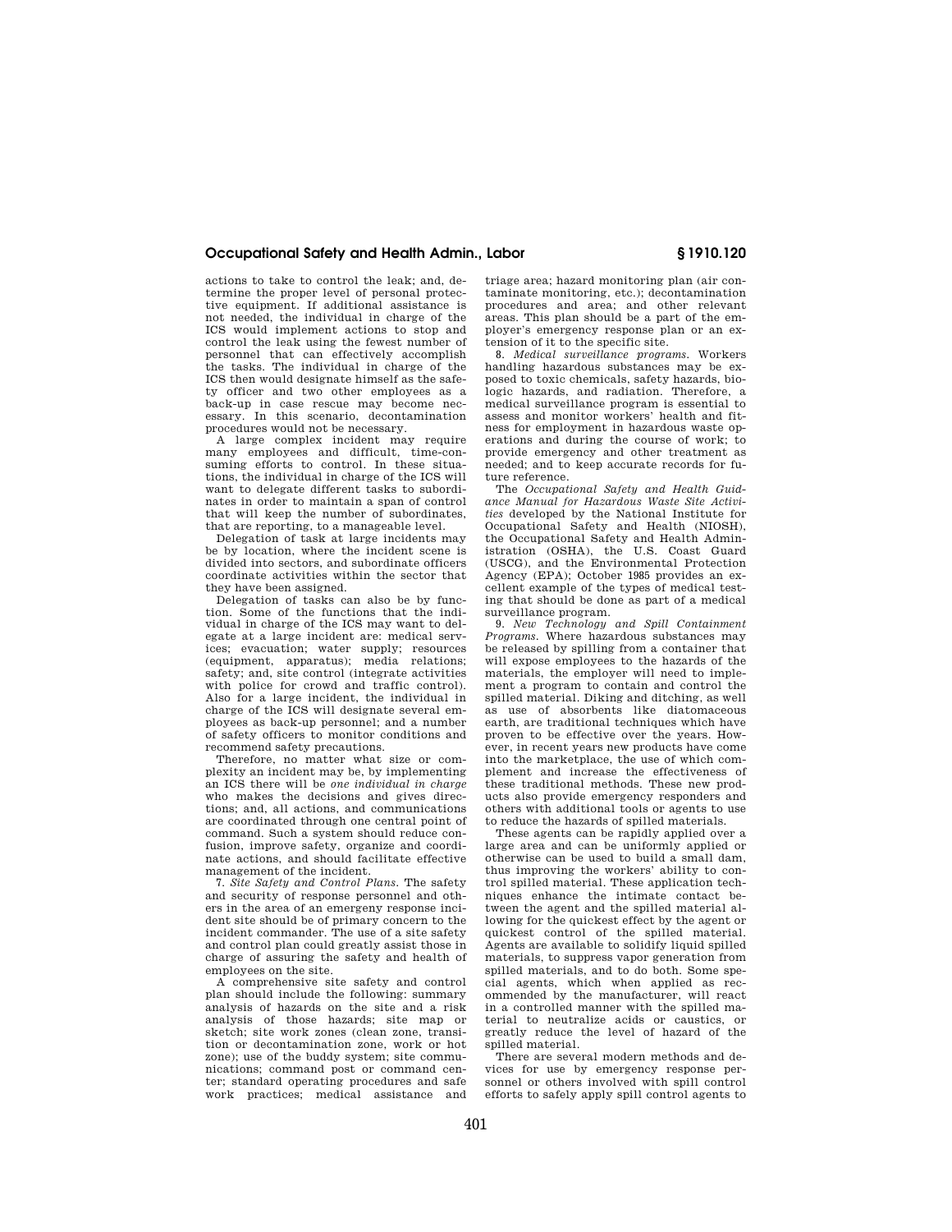actions to take to control the leak; and, determine the proper level of personal protective equipment. If additional assistance is not needed, the individual in charge of the ICS would implement actions to stop and control the leak using the fewest number of personnel that can effectively accomplish the tasks. The individual in charge of the ICS then would designate himself as the safety officer and two other employees as a back-up in case rescue may become necessary. In this scenario, decontamination procedures would not be necessary.

A large complex incident may require many employees and difficult, time-consuming efforts to control. In these situations, the individual in charge of the ICS will want to delegate different tasks to subordinates in order to maintain a span of control that will keep the number of subordinates, that are reporting, to a manageable level.

Delegation of task at large incidents may be by location, where the incident scene is divided into sectors, and subordinate officers coordinate activities within the sector that they have been assigned.

Delegation of tasks can also be by function. Some of the functions that the individual in charge of the ICS may want to delegate at a large incident are: medical services; evacuation; water supply; resources (equipment, apparatus); media relations; safety; and, site control (integrate activities with police for crowd and traffic control). Also for a large incident, the individual in charge of the ICS will designate several employees as back-up personnel; and a number of safety officers to monitor conditions and recommend safety precautions.

Therefore, no matter what size or complexity an incident may be, by implementing an ICS there will be *one individual in charge*  who makes the decisions and gives directions; and, all actions, and communications are coordinated through one central point of command. Such a system should reduce confusion, improve safety, organize and coordinate actions, and should facilitate effective management of the incident.

7. *Site Safety and Control Plans.* The safety and security of response personnel and others in the area of an emergeny response incident site should be of primary concern to the incident commander. The use of a site safety and control plan could greatly assist those in charge of assuring the safety and health of employees on the site.

A comprehensive site safety and control plan should include the following: summary analysis of hazards on the site and a risk analysis of those hazards; site map or sketch; site work zones (clean zone, transition or decontamination zone, work or hot zone); use of the buddy system; site communications; command post or command center; standard operating procedures and safe work practices; medical assistance and

triage area; hazard monitoring plan (air contaminate monitoring, etc.); decontamination procedures and area; and other relevant areas. This plan should be a part of the employer's emergency response plan or an extension of it to the specific site.

8. *Medical surveillance programs.* Workers handling hazardous substances may be exposed to toxic chemicals, safety hazards, biologic hazards, and radiation. Therefore, a medical surveillance program is essential to assess and monitor workers' health and fitness for employment in hazardous waste operations and during the course of work; to provide emergency and other treatment as needed; and to keep accurate records for future reference.

The *Occupational Safety and Health Guidance Manual for Hazardous Waste Site Activities* developed by the National Institute for Occupational Safety and Health (NIOSH), the Occupational Safety and Health Administration (OSHA), the U.S. Coast Guard (USCG), and the Environmental Protection Agency (EPA); October 1985 provides an excellent example of the types of medical testing that should be done as part of a medical surveillance program.

9. *New Technology and Spill Containment Programs.* Where hazardous substances may be released by spilling from a container that will expose employees to the hazards of the materials, the employer will need to implement a program to contain and control the spilled material. Diking and ditching, as well as use of absorbents like diatomaceous earth, are traditional techniques which have proven to be effective over the years. However, in recent years new products have come into the marketplace, the use of which complement and increase the effectiveness of these traditional methods. These new products also provide emergency responders and others with additional tools or agents to use to reduce the hazards of spilled materials.

These agents can be rapidly applied over a large area and can be uniformly applied or otherwise can be used to build a small dam, thus improving the workers' ability to control spilled material. These application techniques enhance the intimate contact between the agent and the spilled material allowing for the quickest effect by the agent or quickest control of the spilled material. Agents are available to solidify liquid spilled materials, to suppress vapor generation from spilled materials, and to do both. Some special agents, which when applied as recommended by the manufacturer, will react in a controlled manner with the spilled material to neutralize acids or caustics, or greatly reduce the level of hazard of the spilled material.

There are several modern methods and devices for use by emergency response personnel or others involved with spill control efforts to safely apply spill control agents to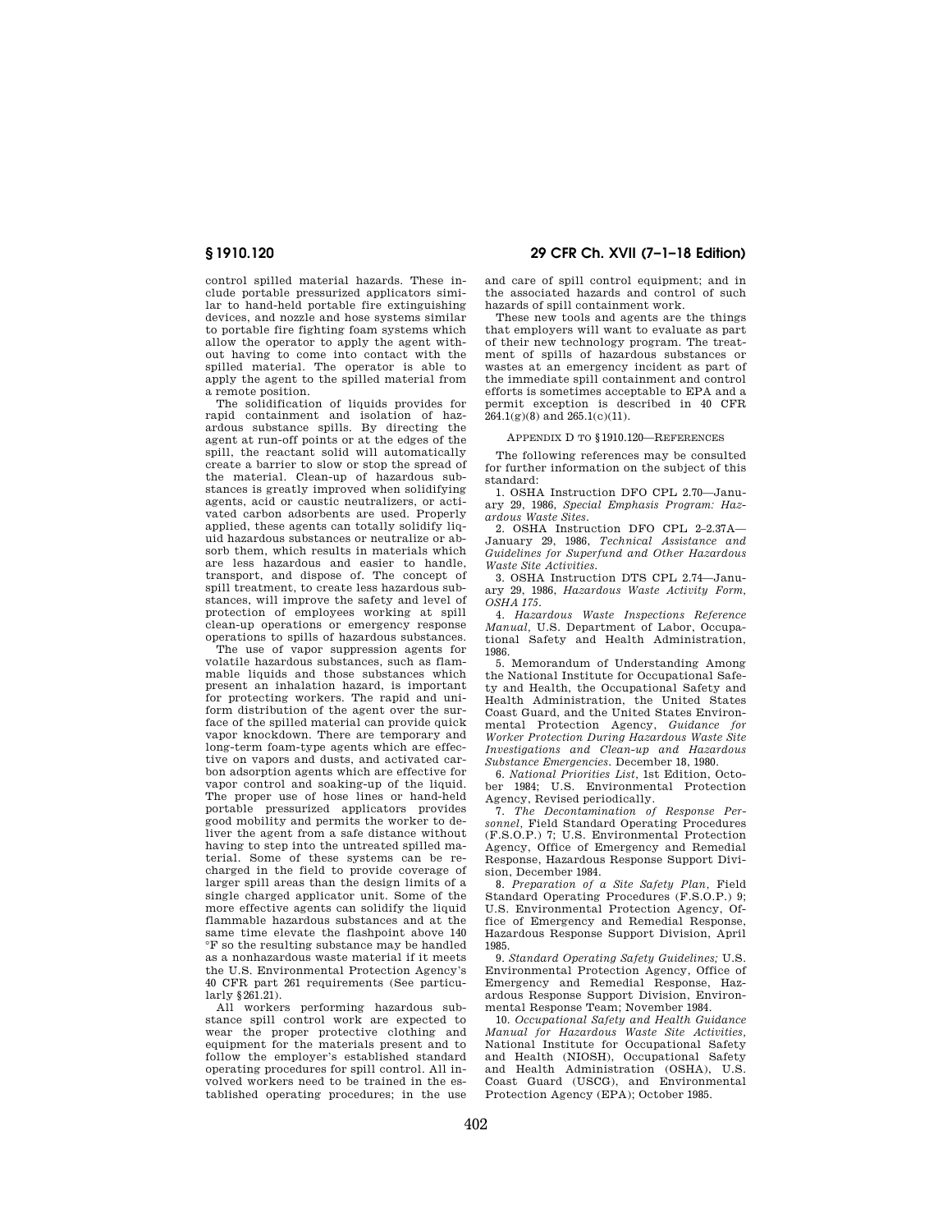control spilled material hazards. These include portable pressurized applicators similar to hand-held portable fire extinguishing devices, and nozzle and hose systems similar to portable fire fighting foam systems which allow the operator to apply the agent without having to come into contact with the spilled material. The operator is able to apply the agent to the spilled material from a remote position.

The solidification of liquids provides for rapid containment and isolation of hazardous substance spills. By directing the agent at run-off points or at the edges of the spill, the reactant solid will automatically create a barrier to slow or stop the spread of the material. Clean-up of hazardous substances is greatly improved when solidifying agents, acid or caustic neutralizers, or activated carbon adsorbents are used. Properly applied, these agents can totally solidify liquid hazardous substances or neutralize or absorb them, which results in materials which are less hazardous and easier to handle, transport, and dispose of. The concept of spill treatment, to create less hazardous substances, will improve the safety and level of protection of employees working at spill clean-up operations or emergency response operations to spills of hazardous substances.

The use of vapor suppression agents for volatile hazardous substances, such as flammable liquids and those substances which present an inhalation hazard, is important for protecting workers. The rapid and uniform distribution of the agent over the surface of the spilled material can provide quick vapor knockdown. There are temporary and long-term foam-type agents which are effective on vapors and dusts, and activated carbon adsorption agents which are effective for vapor control and soaking-up of the liquid. The proper use of hose lines or hand-held portable pressurized applicators provides good mobility and permits the worker to deliver the agent from a safe distance without having to step into the untreated spilled material. Some of these systems can be recharged in the field to provide coverage of larger spill areas than the design limits of a single charged applicator unit. Some of the more effective agents can solidify the liquid flammable hazardous substances and at the same time elevate the flashpoint above 140 °F so the resulting substance may be handled as a nonhazardous waste material if it meets the U.S. Environmental Protection Agency's 40 CFR part 261 requirements (See particularly §261.21).

All workers performing hazardous substance spill control work are expected to wear the proper protective clothing and equipment for the materials present and to follow the employer's established standard operating procedures for spill control. All involved workers need to be trained in the established operating procedures; in the use

**§ 1910.120 29 CFR Ch. XVII (7–1–18 Edition)** 

and care of spill control equipment; and in the associated hazards and control of such hazards of spill containment work.

These new tools and agents are the things that employers will want to evaluate as part of their new technology program. The treatment of spills of hazardous substances or wastes at an emergency incident as part of the immediate spill containment and control efforts is sometimes acceptable to EPA and a permit exception is described in 40 CFR 264.1(g)(8) and 265.1(c)(11).

## APPENDIX D TO §1910.120—REFERENCES

The following references may be consulted for further information on the subject of this standard:

1. OSHA Instruction DFO CPL 2.70—January 29, 1986, *Special Emphasis Program: Hazardous Waste Sites.* 

2. OSHA Instruction DFO CPL 2–2.37A— January 29, 1986, *Technical Assistance and Guidelines for Superfund and Other Hazardous Waste Site Activities.* 

3. OSHA Instruction DTS CPL 2.74—January 29, 1986, *Hazardous Waste Activity Form, OSHA 175.* 

4. *Hazardous Waste Inspections Reference Manual,* U.S. Department of Labor, Occupational Safety and Health Administration, 1986.

5. Memorandum of Understanding Among the National Institute for Occupational Safety and Health, the Occupational Safety and Health Administration, the United States Coast Guard, and the United States Environmental Protection Agency, *Guidance for Worker Protection During Hazardous Waste Site Investigations and Clean-up and Hazardous Substance Emergencies.* December 18, 1980.

6. *National Priorities List,* 1st Edition, October 1984; U.S. Environmental Protection

Agency, Revised periodically. 7. *The Decontamination of Response Personnel,* Field Standard Operating Procedures  $(F.S.$  O P  $\rightarrow$  7; II S. Environmental Protection Agency, Office of Emergency and Remedial Response, Hazardous Response Support Division, December 1984.

8. *Preparation of a Site Safety Plan,* Field Standard Operating Procedures (F.S.O.P.) 9; U.S. Environmental Protection Agency, Office of Emergency and Remedial Response, Hazardous Response Support Division, April 1985.

9. *Standard Operating Safety Guidelines;* U.S. Environmental Protection Agency, Office of Emergency and Remedial Response, Hazardous Response Support Division, Environmental Response Team; November 1984.

10. *Occupational Safety and Health Guidance Manual for Hazardous Waste Site Activities,*  National Institute for Occupational Safety and Health (NIOSH), Occupational Safety and Health Administration (OSHA), U.S. Coast Guard (USCG), and Environmental Protection Agency (EPA); October 1985.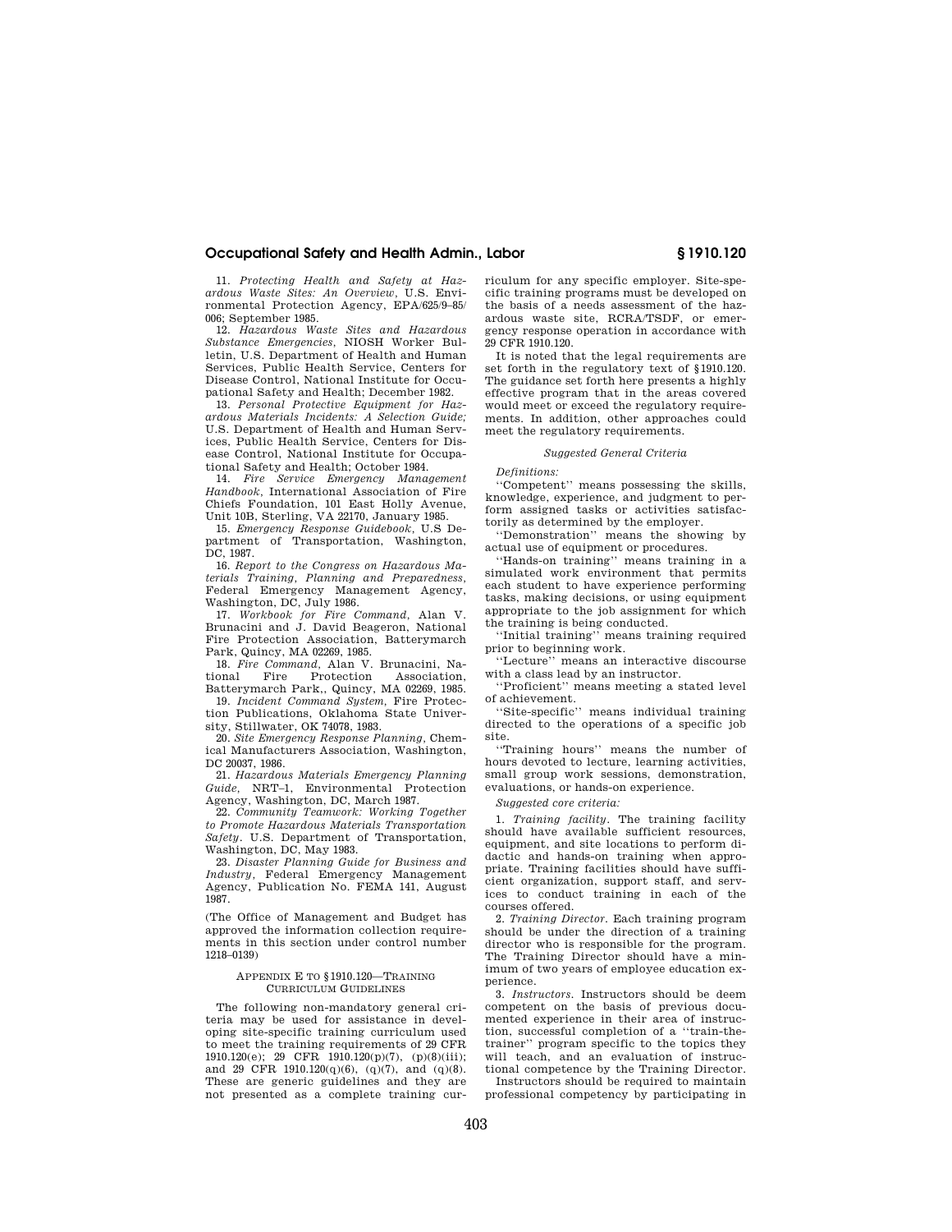11. *Protecting Health and Safety at Hazardous Waste Sites: An Overview,* U.S. Environmental Protection Agency, EPA/625/9–85/ 006; September 1985.

12. *Hazardous Waste Sites and Hazardous Substance Emergencies,* NIOSH Worker Bulletin, U.S. Department of Health and Human Services, Public Health Service, Centers for Disease Control, National Institute for Occupational Safety and Health; December 1982.

13. *Personal Protective Equipment for Hazardous Materials Incidents: A Selection Guide;*  U.S. Department of Health and Human Services, Public Health Service, Centers for Disease Control, National Institute for Occupational Safety and Health; October 1984.

14. *Fire Service Emergency Management Handbook,* International Association of Fire Chiefs Foundation, 101 East Holly Avenue, Unit 10B, Sterling, VA 22170, January 1985.

15. *Emergency Response Guidebook,* U.S Department of Transportation, Washington, DC, 1987.

16. *Report to the Congress on Hazardous Materials Training, Planning and Preparedness,*  Federal Emergency Management Agency, Washington, DC, July 1986.

17. *Workbook for Fire Command,* Alan V. Brunacini and J. David Beageron, National Fire Protection Association, Batterymarch Park, Quincy, MA 02269, 1985.

18. *Fire Command*, Alan V. Brunacini, National Fire Protection Association. Protection Association, Batterymarch Park,, Quincy, MA 02269, 1985.

19. *Incident Command System,* Fire Protection Publications, Oklahoma State University, Stillwater, OK 74078, 1983.

20. *Site Emergency Response Planning,* Chemical Manufacturers Association, Washington, DC 20037, 1986.

21. *Hazardous Materials Emergency Planning Guide,* NRT–1, Environmental Protection Agency, Washington, DC, March 1987.

22. *Community Teamwork: Working Together to Promote Hazardous Materials Transportation Safety.* U.S. Department of Transportation, Washington, DC, May 1983.

23. *Disaster Planning Guide for Business and Industry,* Federal Emergency Management Agency, Publication No. FEMA 141, August 1987.

(The Office of Management and Budget has approved the information collection requirements in this section under control number 1218–0139)

## APPENDIX E TO §1910.120—TRAINING CURRICULUM GUIDELINES

The following non-mandatory general criteria may be used for assistance in developing site-specific training curriculum used to meet the training requirements of 29 CFR 1910.120(e); 29 CFR 1910.120(p)(7), (p)(8)(iii); and 29 CFR 1910.120 $(q)(6)$ ,  $(q)(7)$ , and  $(q)(8)$ . These are generic guidelines and they are not presented as a complete training curriculum for any specific employer. Site-specific training programs must be developed on the basis of a needs assessment of the hazardous waste site, RCRA/TSDF, or emergency response operation in accordance with 29 CFR 1910.120.

It is noted that the legal requirements are set forth in the regulatory text of §1910.120. The guidance set forth here presents a highly effective program that in the areas covered would meet or exceed the regulatory requirements. In addition, other approaches could meet the regulatory requirements.

## *Suggested General Criteria*

*Definitions:* 

''Competent'' means possessing the skills, knowledge, experience, and judgment to perform assigned tasks or activities satisfactorily as determined by the employer.

''Demonstration'' means the showing by actual use of equipment or procedures.

''Hands-on training'' means training in a simulated work environment that permits each student to have experience performing tasks, making decisions, or using equipment appropriate to the job assignment for which the training is being conducted.

''Initial training'' means training required prior to beginning work.

''Lecture'' means an interactive discourse with a class lead by an instructor.

''Proficient'' means meeting a stated level of achievement.

''Site-specific'' means individual training directed to the operations of a specific job site.

''Training hours'' means the number of hours devoted to lecture, learning activities, small group work sessions, demonstration, evaluations, or hands-on experience.

*Suggested core criteria:* 

1. *Training facility.* The training facility should have available sufficient resources, equipment, and site locations to perform didactic and hands-on training when appropriate. Training facilities should have sufficient organization, support staff, and services to conduct training in each of the courses offered.

2. *Training Director.* Each training program should be under the direction of a training director who is responsible for the program. The Training Director should have a minimum of two years of employee education experience.

3. *Instructors.* Instructors should be deem competent on the basis of previous documented experience in their area of instruction, successful completion of a ''train-thetrainer'' program specific to the topics they will teach, and an evaluation of instructional competence by the Training Director.

Instructors should be required to maintain professional competency by participating in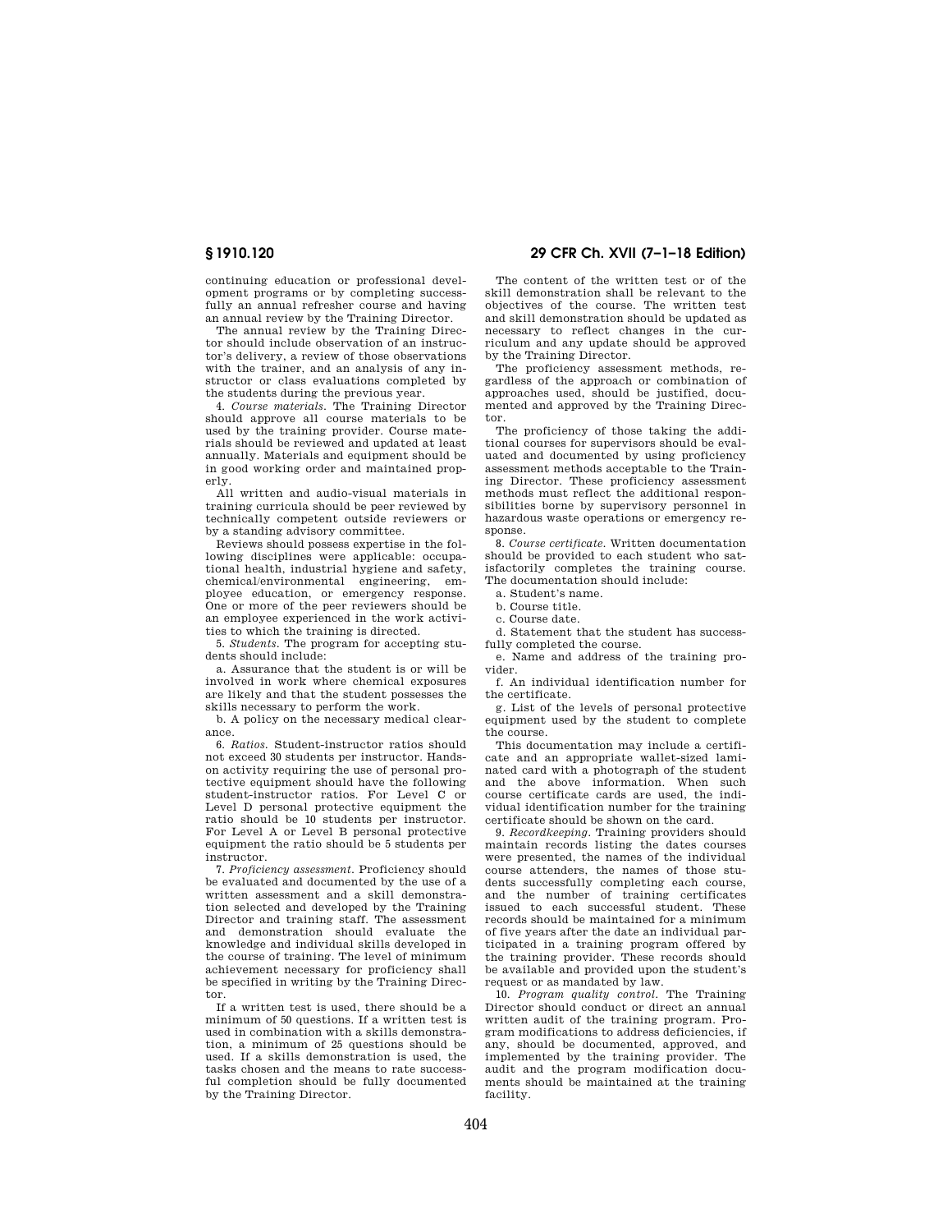continuing education or professional development programs or by completing successfully an annual refresher course and having an annual review by the Training Director.

The annual review by the Training Director should include observation of an instructor's delivery, a review of those observations with the trainer, and an analysis of any instructor or class evaluations completed by the students during the previous year.

4. *Course materials.* The Training Director should approve all course materials to be used by the training provider. Course materials should be reviewed and updated at least annually. Materials and equipment should be in good working order and maintained properly.

All written and audio-visual materials in training curricula should be peer reviewed by technically competent outside reviewers or by a standing advisory committee.

Reviews should possess expertise in the following disciplines were applicable: occupational health, industrial hygiene and safety, chemical/environmental engineering, employee education, or emergency response. One or more of the peer reviewers should be an employee experienced in the work activities to which the training is directed.

5. *Students.* The program for accepting students should include:

a. Assurance that the student is or will be involved in work where chemical exposures are likely and that the student possesses the skills necessary to perform the work.

b. A policy on the necessary medical clearance.

6. *Ratios.* Student-instructor ratios should not exceed 30 students per instructor. Handson activity requiring the use of personal protective equipment should have the following student-instructor ratios. For Level C or Level D personal protective equipment the ratio should be 10 students per instructor. For Level A or Level B personal protective equipment the ratio should be 5 students per instructor.

7. *Proficiency assessment.* Proficiency should be evaluated and documented by the use of a written assessment and a skill demonstration selected and developed by the Training Director and training staff. The assessment and demonstration should evaluate the knowledge and individual skills developed in the course of training. The level of minimum achievement necessary for proficiency shall be specified in writing by the Training Director.

If a written test is used, there should be a minimum of 50 questions. If a written test is used in combination with a skills demonstration, a minimum of 25 questions should be used. If a skills demonstration is used, the tasks chosen and the means to rate successful completion should be fully documented by the Training Director.

**§ 1910.120 29 CFR Ch. XVII (7–1–18 Edition)** 

The content of the written test or of the skill demonstration shall be relevant to the objectives of the course. The written test and skill demonstration should be updated as necessary to reflect changes in the curriculum and any update should be approved by the Training Director.

The proficiency assessment methods, regardless of the approach or combination of approaches used, should be justified, documented and approved by the Training Director.

The proficiency of those taking the additional courses for supervisors should be evaluated and documented by using proficiency assessment methods acceptable to the Training Director. These proficiency assessment methods must reflect the additional responsibilities borne by supervisory personnel in hazardous waste operations or emergency response.

8. *Course certificate.* Written documentation should be provided to each student who satisfactorily completes the training course. The documentation should include:

a. Student's name.

b. Course title.

c. Course date.

d. Statement that the student has successfully completed the course.

e. Name and address of the training provider.

f. An individual identification number for the certificate.

g. List of the levels of personal protective equipment used by the student to complete the course.

This documentation may include a certificate and an appropriate wallet-sized laminated card with a photograph of the student and the above information. When such course certificate cards are used, the individual identification number for the training certificate should be shown on the card.

9. *Recordkeeping.* Training providers should maintain records listing the dates courses were presented, the names of the individual course attenders, the names of those students successfully completing each course, and the number of training certificates issued to each successful student. These records should be maintained for a minimum of five years after the date an individual participated in a training program offered by the training provider. These records should be available and provided upon the student's request or as mandated by law.

10. *Program quality control.* The Training Director should conduct or direct an annual written audit of the training program. Program modifications to address deficiencies, if any, should be documented, approved, and implemented by the training provider. The audit and the program modification documents should be maintained at the training facility.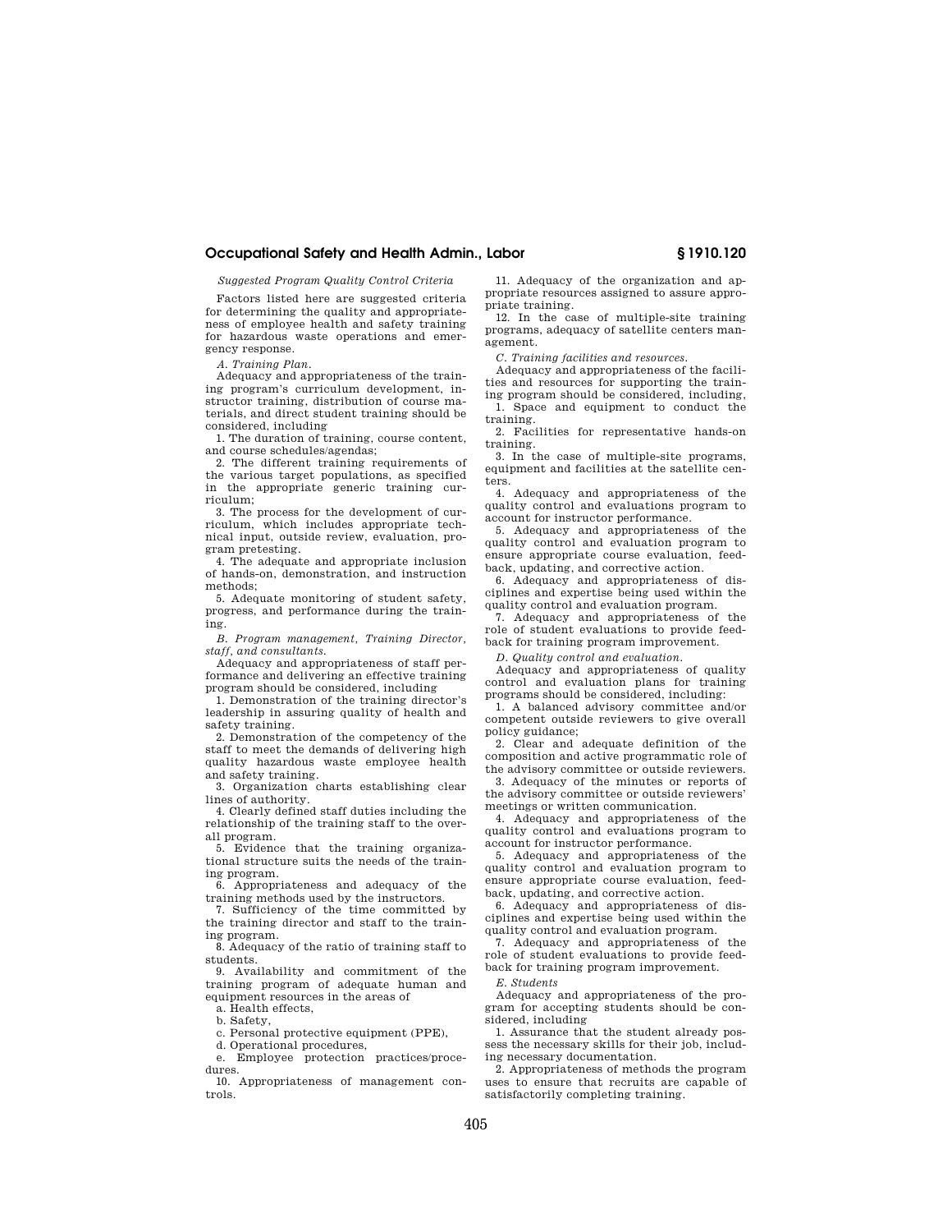*Suggested Program Quality Control Criteria* 

Factors listed here are suggested criteria for determining the quality and appropriateness of employee health and safety training for hazardous waste operations and emergency response.

*A. Training Plan.* 

Adequacy and appropriateness of the training program's curriculum development, instructor training, distribution of course materials, and direct student training should be considered, including

1. The duration of training, course content, and course schedules/agendas;

2. The different training requirements of the various target populations, as specified in the appropriate generic training curriculum;

3. The process for the development of curriculum, which includes appropriate technical input, outside review, evaluation, program pretesting.

4. The adequate and appropriate inclusion of hands-on, demonstration, and instruction methods;

5. Adequate monitoring of student safety, progress, and performance during the training.

*B. Program management, Training Director, staff, and consultants.* 

Adequacy and appropriateness of staff performance and delivering an effective training program should be considered, including

1. Demonstration of the training director's leadership in assuring quality of health and safety training.

2. Demonstration of the competency of the staff to meet the demands of delivering high quality hazardous waste employee health and safety training.

3. Organization charts establishing clear lines of authority.

4. Clearly defined staff duties including the relationship of the training staff to the overall program.

5. Evidence that the training organizational structure suits the needs of the training program.

6. Appropriateness and adequacy of the training methods used by the instructors.

7. Sufficiency of the time committed by the training director and staff to the training program.

8. Adequacy of the ratio of training staff to students.

9. Availability and commitment of the training program of adequate human and equipment resources in the areas of

a. Health effects,

b. Safety,

c. Personal protective equipment (PPE), d. Operational procedures,

e. Employee protection practices/procedures.

10. Appropriateness of management controls.

11. Adequacy of the organization and appropriate resources assigned to assure appropriate training.

12. In the case of multiple-site training programs, adequacy of satellite centers management.

*C. Training facilities and resources.* 

Adequacy and appropriateness of the facilities and resources for supporting the training program should be considered, including, 1. Space and equipment to conduct the

training. 2. Facilities for representative hands-on training.

3. In the case of multiple-site programs, equipment and facilities at the satellite centers.

4. Adequacy and appropriateness of the quality control and evaluations program to account for instructor performance.

5. Adequacy and appropriateness of the quality control and evaluation program to ensure appropriate course evaluation, feedback, updating, and corrective action.

6. Adequacy and appropriateness of disciplines and expertise being used within the quality control and evaluation program.

7. Adequacy and appropriateness of the role of student evaluations to provide feedback for training program improvement.

*D. Quality control and evaluation.* 

Adequacy and appropriateness of quality control and evaluation plans for training programs should be considered, including:

1. A balanced advisory committee and/or competent outside reviewers to give overall policy guidance;

2. Clear and adequate definition of the composition and active programmatic role of the advisory committee or outside reviewers.

3. Adequacy of the minutes or reports of the advisory committee or outside reviewers' meetings or written communication.

4. Adequacy and appropriateness of the quality control and evaluations program to account for instructor performance.

5. Adequacy and appropriateness of the quality control and evaluation program to ensure appropriate course evaluation, feedback, updating, and corrective action.

6. Adequacy and appropriateness of disciplines and expertise being used within the quality control and evaluation program.

7. Adequacy and appropriateness of the role of student evaluations to provide feedback for training program improvement.

*E. Students* 

Adequacy and appropriateness of the program for accepting students should be considered, including

1. Assurance that the student already possess the necessary skills for their job, including necessary documentation.

2. Appropriateness of methods the program uses to ensure that recruits are capable of satisfactorily completing training.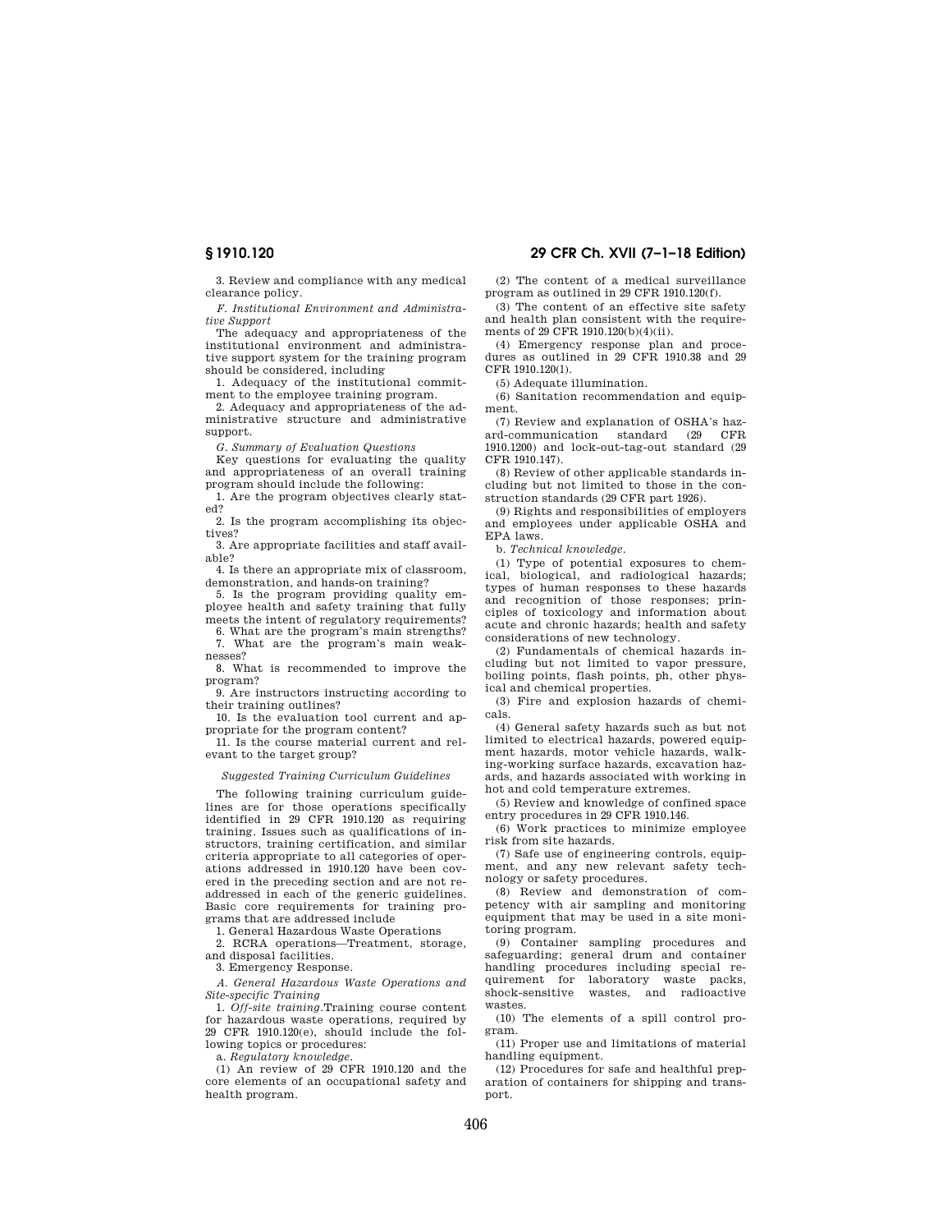3. Review and compliance with any medical clearance policy.

*F. Institutional Environment and Administrative Support* 

The adequacy and appropriateness of the institutional environment and administrative support system for the training program should be considered, including

1. Adequacy of the institutional commitment to the employee training program.

2. Adequacy and appropriateness of the administrative structure and administrative support.

*G. Summary of Evaluation Questions* 

Key questions for evaluating the quality and appropriateness of an overall training program should include the following:

1. Are the program objectives clearly stated?

2. Is the program accomplishing its objectives?

3. Are appropriate facilities and staff available?

4. Is there an appropriate mix of classroom, demonstration, and hands-on training?

5. Is the program providing quality employee health and safety training that fully

meets the intent of regulatory requirements? 6. What are the program's main strengths? 7. What are the program's main weak-

nesses? 8. What is recommended to improve the

program? 9. Are instructors instructing according to

their training outlines? 10. Is the evaluation tool current and ap-

propriate for the program content? 11. Is the course material current and rel-

evant to the target group?

## *Suggested Training Curriculum Guidelines*

The following training curriculum guidelines are for those operations specifically identified in 29 CFR 1910.120 as requiring training. Issues such as qualifications of instructors, training certification, and similar criteria appropriate to all categories of operations addressed in 1910.120 have been covered in the preceding section and are not readdressed in each of the generic guidelines. Basic core requirements for training programs that are addressed include

1. General Hazardous Waste Operations

2. RCRA operations—Treatment, storage, and disposal facilities.

3. Emergency Response.

*A. General Hazardous Waste Operations and Site-specific Training* 

1. *Off-site training.*Training course content for hazardous waste operations, required by 29 CFR 1910.120(e), should include the following topics or procedures:

a. *Regulatory knowledge.* 

(1) An review of 29 CFR 1910.120 and the core elements of an occupational safety and health program.

# **§ 1910.120 29 CFR Ch. XVII (7–1–18 Edition)**

(2) The content of a medical surveillance program as outlined in 29 CFR 1910.120(f).

(3) The content of an effective site safety and health plan consistent with the requirements of 29 CFR 1910.120(b)(4)(ii).

(4) Emergency response plan and procedures as outlined in 29 CFR 1910.38 and 29 CFR 1910.120(l).

(5) Adequate illumination.

(6) Sanitation recommendation and equipment.

(7) Review and explanation of OSHA's hazard-communication standard (29 CFR 1910.1200) and lock-out-tag-out standard (29 CFR 1910.147).

(8) Review of other applicable standards including but not limited to those in the construction standards (29 CFR part 1926).

(9) Rights and responsibilities of employers and employees under applicable OSHA and EPA laws.

b. *Technical knowledge.* 

(1) Type of potential exposures to chemical, biological, and radiological hazards; types of human responses to these hazards and recognition of those responses; principles of toxicology and information about acute and chronic hazards; health and safety considerations of new technology.

(2) Fundamentals of chemical hazards including but not limited to vapor pressure, boiling points, flash points, ph, other physical and chemical properties.

(3) Fire and explosion hazards of chemicals.

(4) General safety hazards such as but not limited to electrical hazards, powered equipment hazards, motor vehicle hazards, walking-working surface hazards, excavation hazards, and hazards associated with working in hot and cold temperature extremes.

(5) Review and knowledge of confined space entry procedures in 29 CFR 1910.146.

(6) Work practices to minimize employee risk from site hazards.

(7) Safe use of engineering controls, equipment, and any new relevant safety technology or safety procedures.

(8) Review and demonstration of competency with air sampling and monitoring equipment that may be used in a site monitoring program.

(9) Container sampling procedures and safeguarding; general drum and container handling procedures including special requirement for laboratory waste packs,<br>shock-sensitive wastes, and radioactive and radioactive wastes.

(10) The elements of a spill control program.

(11) Proper use and limitations of material handling equipment.

(12) Procedures for safe and healthful preparation of containers for shipping and transport.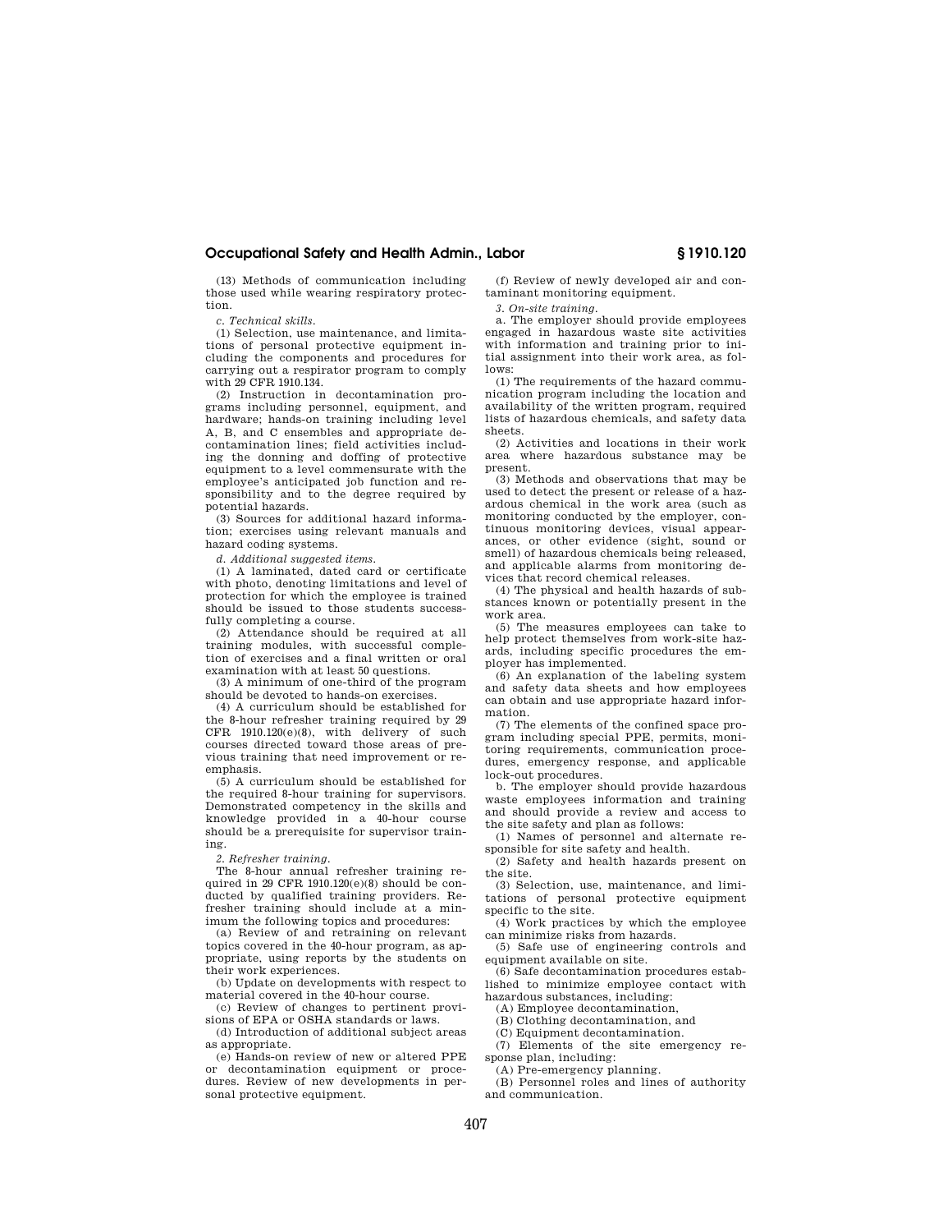(13) Methods of communication including those used while wearing respiratory protection.

*c. Technical skills.* 

(1) Selection, use maintenance, and limitations of personal protective equipment including the components and procedures for carrying out a respirator program to comply with 29 CFR 1910.134.

(2) Instruction in decontamination programs including personnel, equipment, and hardware; hands-on training including level A, B, and C ensembles and appropriate decontamination lines; field activities including the donning and doffing of protective equipment to a level commensurate with the employee's anticipated job function and responsibility and to the degree required by potential hazards.

(3) Sources for additional hazard information; exercises using relevant manuals and hazard coding systems.

*d. Additional suggested items.* 

(1) A laminated, dated card or certificate with photo, denoting limitations and level of protection for which the employee is trained should be issued to those students successfully completing a course.

(2) Attendance should be required at all training modules, with successful completion of exercises and a final written or oral examination with at least 50 questions.

(3) A minimum of one-third of the program should be devoted to hands-on exercises.

(4) A curriculum should be established for the 8-hour refresher training required by 29 CFR 1910.120(e)(8), with delivery of such courses directed toward those areas of previous training that need improvement or reemphasis.

(5) A curriculum should be established for the required 8-hour training for supervisors. Demonstrated competency in the skills and knowledge provided in a 40-hour course should be a prerequisite for supervisor training.

*2. Refresher training.* 

The 8-hour annual refresher training required in 29 CFR 1910.120 $(e)(8)$  should be conducted by qualified training providers. Refresher training should include at a minimum the following topics and procedures:

(a) Review of and retraining on relevant topics covered in the 40-hour program, as appropriate, using reports by the students on their work experiences.

(b) Update on developments with respect to material covered in the 40-hour course.

(c) Review of changes to pertinent provisions of EPA or OSHA standards or laws.

(d) Introduction of additional subject areas as appropriate.

(e) Hands-on review of new or altered PPE or decontamination equipment or procedures. Review of new developments in personal protective equipment.

(f) Review of newly developed air and contaminant monitoring equipment.

*3. On-site training.* 

a. The employer should provide employees engaged in hazardous waste site activities with information and training prior to initial assignment into their work area, as follows:

(1) The requirements of the hazard communication program including the location and availability of the written program, required lists of hazardous chemicals, and safety data sheets.

(2) Activities and locations in their work area where hazardous substance may be present.

(3) Methods and observations that may be used to detect the present or release of a hazardous chemical in the work area (such as monitoring conducted by the employer, continuous monitoring devices, visual appearances, or other evidence (sight, sound or smell) of hazardous chemicals being released, and applicable alarms from monitoring devices that record chemical releases.

(4) The physical and health hazards of substances known or potentially present in the work area.

(5) The measures employees can take to help protect themselves from work-site hazards, including specific procedures the employer has implemented.

(6) An explanation of the labeling system and safety data sheets and how employees can obtain and use appropriate hazard information.

(7) The elements of the confined space program including special PPE, permits, monitoring requirements, communication procedures, emergency response, and applicable lock-out procedures.

b. The employer should provide hazardous waste employees information and training and should provide a review and access to the site safety and plan as follows:

(1) Names of personnel and alternate responsible for site safety and health.

(2) Safety and health hazards present on the site.

(3) Selection, use, maintenance, and limitations of personal protective equipment specific to the site.

(4) Work practices by which the employee can minimize risks from hazards.

(5) Safe use of engineering controls and equipment available on site.

(6) Safe decontamination procedures established to minimize employee contact with hazardous substances, including:

(A) Employee decontamination,

(B) Clothing decontamination, and

(C) Equipment decontamination.

(7) Elements of the site emergency response plan, including:

(A) Pre-emergency planning.

(B) Personnel roles and lines of authority and communication.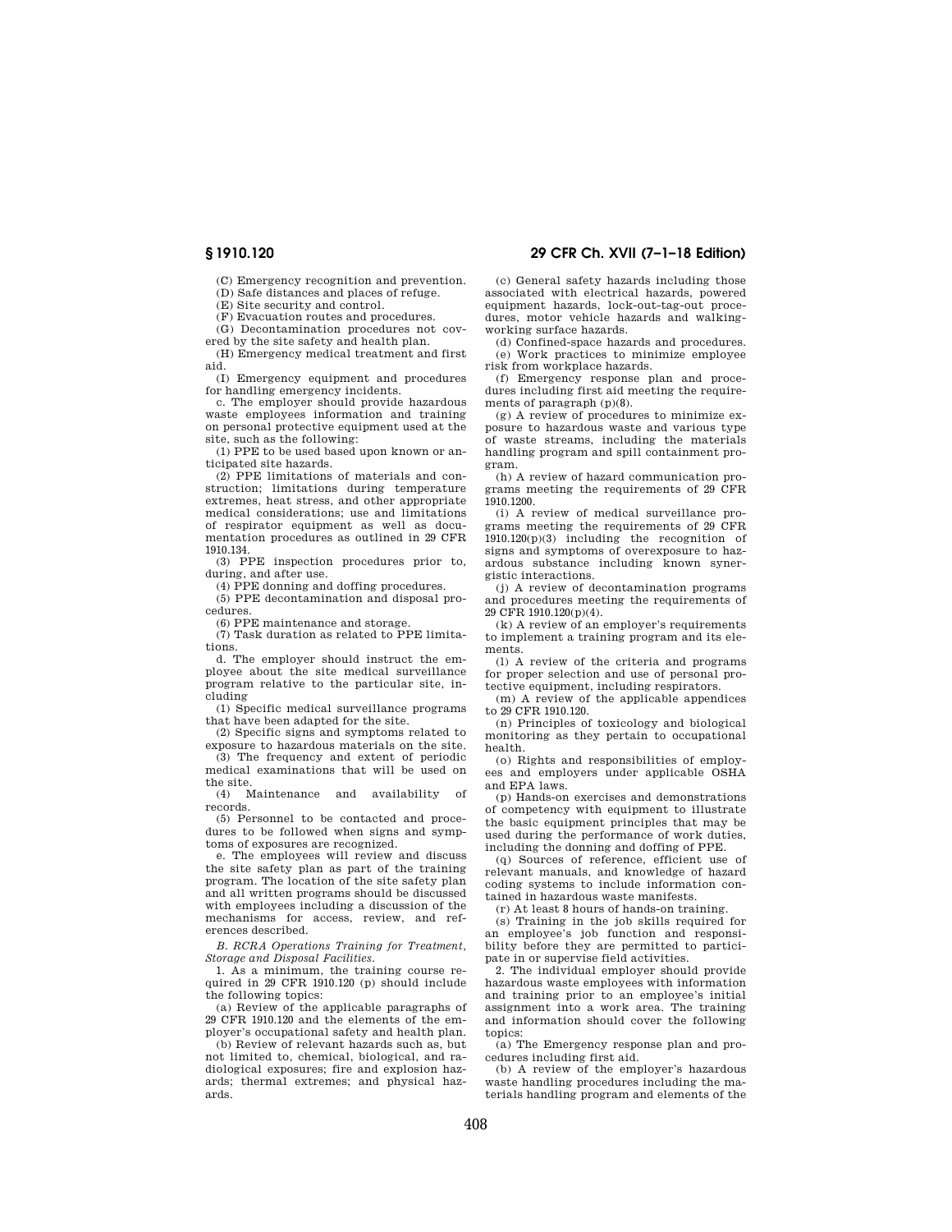(C) Emergency recognition and prevention.

(D) Safe distances and places of refuge.

(E) Site security and control.

(F) Evacuation routes and procedures.

(G) Decontamination procedures not covered by the site safety and health plan. (H) Emergency medical treatment and first

aid. (I) Emergency equipment and procedures

for handling emergency incidents.

c. The employer should provide hazardous waste employees information and training on personal protective equipment used at the site, such as the following:

(1) PPE to be used based upon known or anticipated site hazards.

(2) PPE limitations of materials and construction; limitations during temperature extremes, heat stress, and other appropriate medical considerations; use and limitations of respirator equipment as well as documentation procedures as outlined in 29 CFR 1910.134.

(3) PPE inspection procedures prior to, during, and after use.

(4) PPE donning and doffing procedures. (5) PPE decontamination and disposal procedures.

(6) PPE maintenance and storage.

(7) Task duration as related to PPE limitations.

d. The employer should instruct the employee about the site medical surveillance program relative to the particular site, including

(1) Specific medical surveillance programs that have been adapted for the site.

(2) Specific signs and symptoms related to exposure to hazardous materials on the site. (3) The frequency and extent of periodic

medical examinations that will be used on the site.

(4) Maintenance and availability of records.

(5) Personnel to be contacted and procedures to be followed when signs and symptoms of exposures are recognized.

e. The employees will review and discuss the site safety plan as part of the training program. The location of the site safety plan and all written programs should be discussed with employees including a discussion of the mechanisms for access, review, and references described.

*B. RCRA Operations Training for Treatment, Storage and Disposal Facilities.* 

1. As a minimum, the training course required in 29 CFR 1910.120 (p) should include the following topics:

(a) Review of the applicable paragraphs of 29 CFR 1910.120 and the elements of the employer's occupational safety and health plan.

(b) Review of relevant hazards such as, but not limited to, chemical, biological, and radiological exposures; fire and explosion hazards; thermal extremes; and physical hazards.

(c) General safety hazards including those

associated with electrical hazards, powered equipment hazards, lock-out-tag-out procedures, motor vehicle hazards and walkingworking surface hazards.

(d) Confined-space hazards and procedures. (e) Work practices to minimize employee risk from workplace hazards.

(f) Emergency response plan and procedures including first aid meeting the requirements of paragraph (p)(8).

(g) A review of procedures to minimize exposure to hazardous waste and various type of waste streams, including the materials handling program and spill containment program.

(h) A review of hazard communication programs meeting the requirements of 29 CFR 1910.1200.

(i) A review of medical surveillance programs meeting the requirements of 29 CFR 1910.120(p)(3) including the recognition of signs and symptoms of overexposure to hazardous substance including known synergistic interactions.

(j) A review of decontamination programs and procedures meeting the requirements of 29 CFR 1910.120(p)(4).

(k) A review of an employer's requirements to implement a training program and its elements.

(l) A review of the criteria and programs for proper selection and use of personal protective equipment, including respirators.

(m) A review of the applicable appendices to 29 CFR 1910.120.

(n) Principles of toxicology and biological monitoring as they pertain to occupational health.

(o) Rights and responsibilities of employees and employers under applicable OSHA and EPA laws.

(p) Hands-on exercises and demonstrations of competency with equipment to illustrate the basic equipment principles that may be used during the performance of work duties, including the donning and doffing of PPE.

(q) Sources of reference, efficient use of relevant manuals, and knowledge of hazard coding systems to include information contained in hazardous waste manifests.

(r) At least 8 hours of hands-on training.

(s) Training in the job skills required for an employee's job function and responsibility before they are permitted to participate in or supervise field activities.

2. The individual employer should provide hazardous waste employees with information and training prior to an employee's initial assignment into a work area. The training and information should cover the following topics:

(a) The Emergency response plan and procedures including first aid.

(b) A review of the employer's hazardous waste handling procedures including the materials handling program and elements of the

# **§ 1910.120 29 CFR Ch. XVII (7–1–18 Edition)**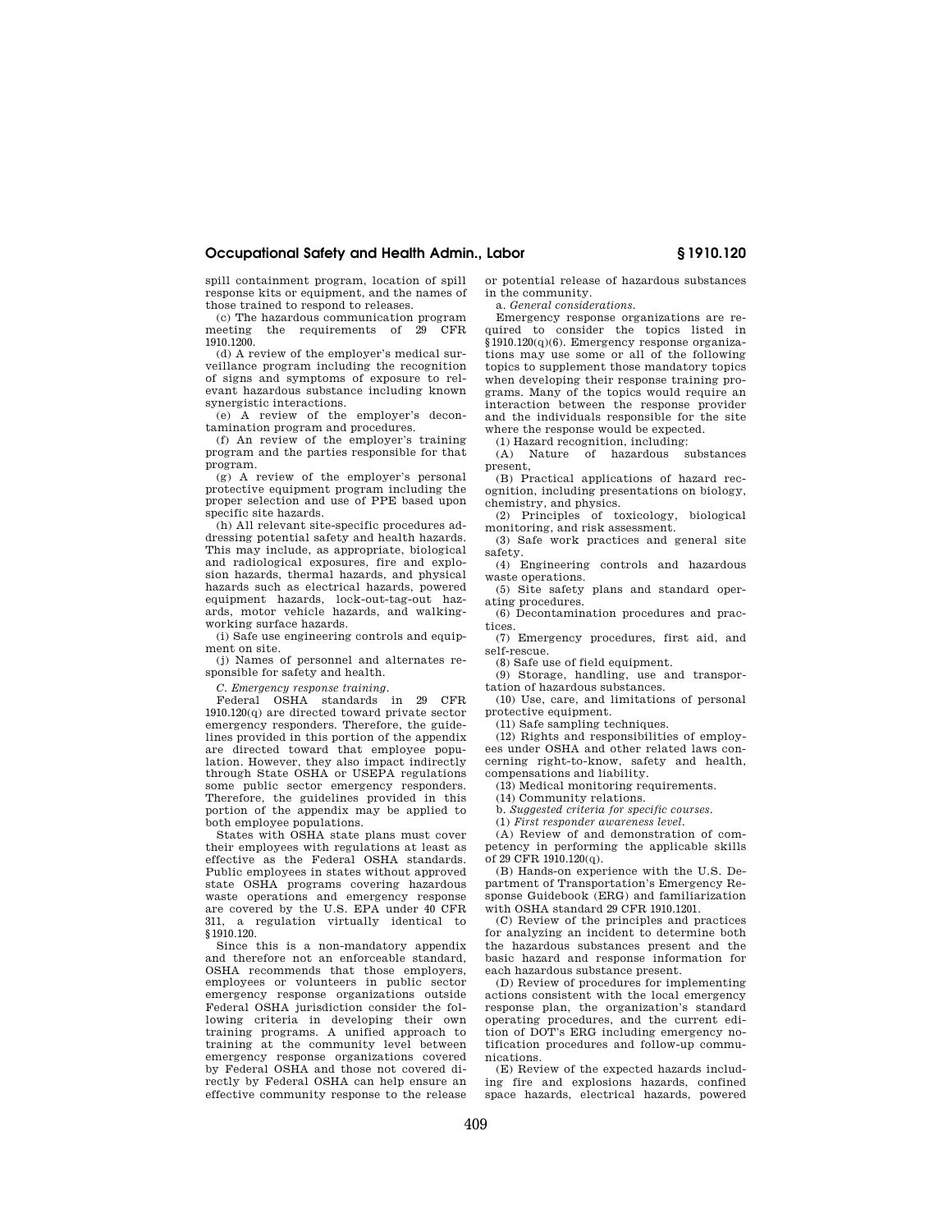spill containment program, location of spill response kits or equipment, and the names of those trained to respond to releases.

(c) The hazardous communication program the requirements of  $29$ 1910.1200.

(d) A review of the employer's medical surveillance program including the recognition of signs and symptoms of exposure to relevant hazardous substance including known synergistic interactions.

(e) A review of the employer's decontamination program and procedures.

(f) An review of the employer's training program and the parties responsible for that program.

(g) A review of the employer's personal protective equipment program including the proper selection and use of PPE based upon specific site hazards.

(h) All relevant site-specific procedures addressing potential safety and health hazards. This may include, as appropriate, biological and radiological exposures, fire and explosion hazards, thermal hazards, and physical hazards such as electrical hazards, powered equipment hazards, lock-out-tag-out hazards, motor vehicle hazards, and walkingworking surface hazards.

(i) Safe use engineering controls and equipment on site.

(j) Names of personnel and alternates responsible for safety and health.

*C. Emergency response training.* 

Federal OSHA standards in 29 CFR 1910.120(q) are directed toward private sector emergency responders. Therefore, the guidelines provided in this portion of the appendix are directed toward that employee population. However, they also impact indirectly through State OSHA or USEPA regulations some public sector emergency responders. Therefore, the guidelines provided in this portion of the appendix may be applied to both employee populations.

States with OSHA state plans must cover their employees with regulations at least as effective as the Federal OSHA standards. Public employees in states without approved state OSHA programs covering hazardous waste operations and emergency response are covered by the U.S. EPA under 40 CFR 311, a regulation virtually identical to §1910.120.

Since this is a non-mandatory appendix and therefore not an enforceable standard, OSHA recommends that those employers, employees or volunteers in public sector emergency response organizations outside Federal OSHA jurisdiction consider the following criteria in developing their own training programs. A unified approach to training at the community level between emergency response organizations covered by Federal OSHA and those not covered directly by Federal OSHA can help ensure an effective community response to the release or potential release of hazardous substances in the community.

a. *General considerations.* 

Emergency response organizations are required to consider the topics listed in §1910.120(q)(6). Emergency response organizations may use some or all of the following topics to supplement those mandatory topics when developing their response training programs. Many of the topics would require an interaction between the response provider and the individuals responsible for the site where the response would be expected.

(1) Hazard recognition, including:

 $(A)$  Nature of hazardous present,

(B) Practical applications of hazard recognition, including presentations on biology, chemistry, and physics.

(2) Principles of toxicology, biological monitoring, and risk assessment.

(3) Safe work practices and general site safety.

(4) Engineering controls and hazardous waste operations.

(5) Site safety plans and standard operating procedures.

(6) Decontamination procedures and practices.

(7) Emergency procedures, first aid, and self-rescue.

(8) Safe use of field equipment.

(9) Storage, handling, use and transpor-

tation of hazardous substances. (10) Use, care, and limitations of personal protective equipment.

(11) Safe sampling techniques.

(12) Rights and responsibilities of employees under OSHA and other related laws concerning right-to-know, safety and health, compensations and liability.

(13) Medical monitoring requirements.

(14) Community relations.

b. *Suggested criteria for specific courses.* 

(1) *First responder awareness level.* 

(A) Review of and demonstration of competency in performing the applicable skills of 29 CFR  $1910.120(a)$ .

(B) Hands-on experience with the U.S. Department of Transportation's Emergency Response Guidebook (ERG) and familiarization with OSHA standard 29 CFR 1910.1201.

(C) Review of the principles and practices for analyzing an incident to determine both the hazardous substances present and the basic hazard and response information for each hazardous substance present.

(D) Review of procedures for implementing actions consistent with the local emergency response plan, the organization's standard operating procedures, and the current edition of DOT's ERG including emergency notification procedures and follow-up communications.

(E) Review of the expected hazards including fire and explosions hazards, confined space hazards, electrical hazards, powered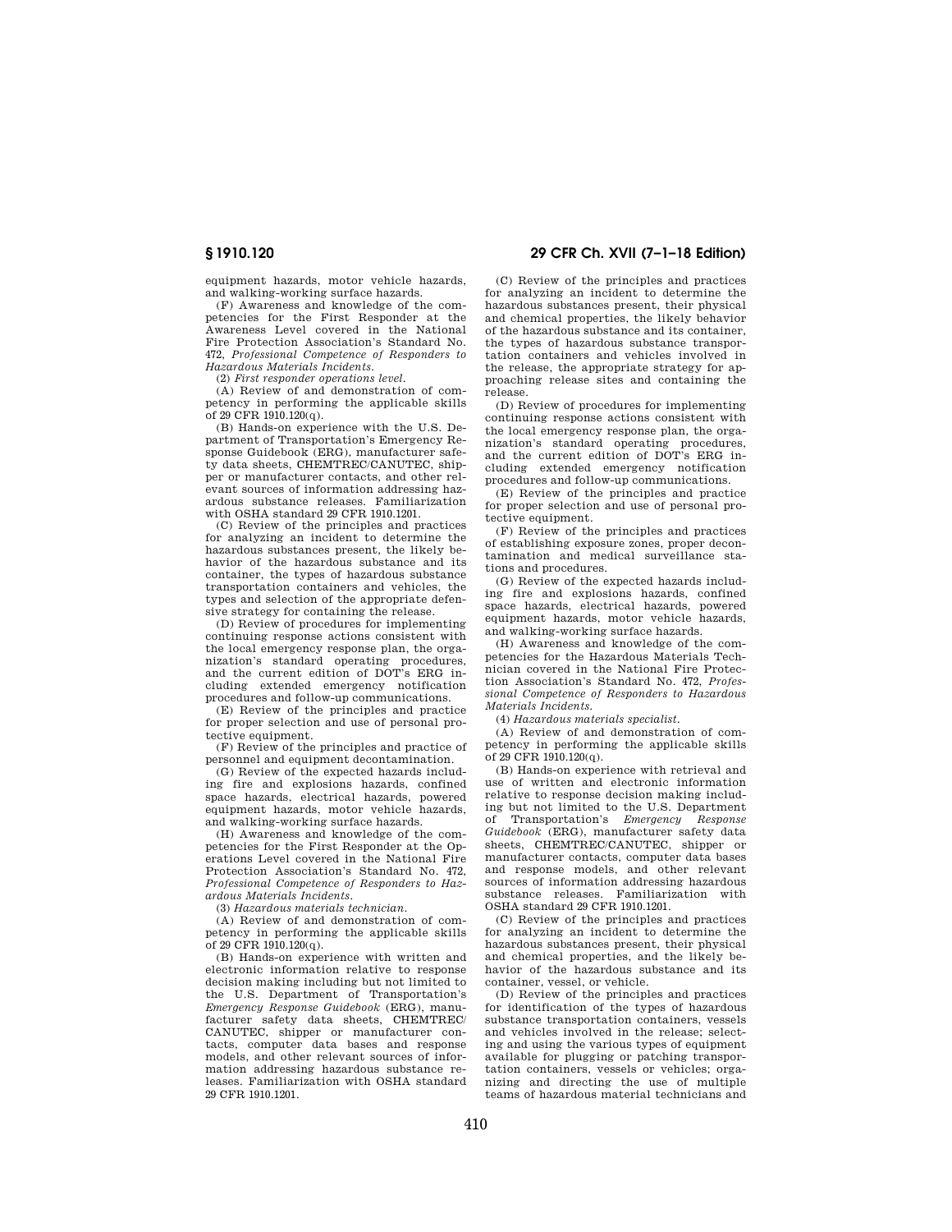equipment hazards, motor vehicle hazards, and walking-working surface hazards.

(F) Awareness and knowledge of the competencies for the First Responder at the Awareness Level covered in the National Fire Protection Association's Standard No. 472, *Professional Competence of Responders to Hazardous Materials Incidents.* 

(2) *First responder operations level.* 

(A) Review of and demonstration of competency in performing the applicable skills of 29 CFR  $1910.120(q)$ .

(B) Hands-on experience with the U.S. Department of Transportation's Emergency Response Guidebook (ERG), manufacturer safety data sheets, CHEMTREC/CANUTEC, shipper or manufacturer contacts, and other relevant sources of information addressing hazardous substance releases. Familiarization with OSHA standard 29 CFR 1910.1201.

(C) Review of the principles and practices for analyzing an incident to determine the hazardous substances present, the likely behavior of the hazardous substance and its container, the types of hazardous substance transportation containers and vehicles, the types and selection of the appropriate defensive strategy for containing the release.

(D) Review of procedures for implementing continuing response actions consistent with the local emergency response plan, the organization's standard operating procedures, and the current edition of DOT's ERG including extended emergency notification procedures and follow-up communications.

(E) Review of the principles and practice for proper selection and use of personal protective equipment.

(F) Review of the principles and practice of personnel and equipment decontamination.

(G) Review of the expected hazards including fire and explosions hazards, confined space hazards, electrical hazards, powered equipment hazards, motor vehicle hazards, and walking-working surface hazards.

(H) Awareness and knowledge of the competencies for the First Responder at the Operations Level covered in the National Fire Protection Association's Standard No. 472, *Professional Competence of Responders to Hazardous Materials Incidents.* 

(3) *Hazardous materials technician.* 

(A) Review of and demonstration of competency in performing the applicable skills of 29 CFR  $1910.120(q)$ .

(B) Hands-on experience with written and electronic information relative to response decision making including but not limited to the U.S. Department of Transportation's *Emergency Response Guidebook* (ERG), manufacturer safety data sheets, CHEMTREC/ CANUTEC, shipper or manufacturer contacts, computer data bases and response models, and other relevant sources of information addressing hazardous substance releases. Familiarization with OSHA standard 29 CFR 1910.1201.

**§ 1910.120 29 CFR Ch. XVII (7–1–18 Edition)** 

(C) Review of the principles and practices for analyzing an incident to determine the hazardous substances present, their physical and chemical properties, the likely behavior of the hazardous substance and its container, the types of hazardous substance transportation containers and vehicles involved in the release, the appropriate strategy for approaching release sites and containing the release.

(D) Review of procedures for implementing continuing response actions consistent with the local emergency response plan, the organization's standard operating procedures, and the current edition of DOT's ERG including extended emergency notification procedures and follow-up communications.

(E) Review of the principles and practice for proper selection and use of personal protective equipment.

(F) Review of the principles and practices of establishing exposure zones, proper decontamination and medical surveillance stations and procedures.

(G) Review of the expected hazards including fire and explosions hazards, confined space hazards, electrical hazards, powered equipment hazards, motor vehicle hazards, and walking-working surface hazards.

(H) Awareness and knowledge of the competencies for the Hazardous Materials Technician covered in the National Fire Protection Association's Standard No. 472, *Professional Competence of Responders to Hazardous Materials Incidents.* 

(4) *Hazardous materials specialist.* 

(A) Review of and demonstration of competency in performing the applicable skills of 29 CFR  $1910.120(a)$ .

(B) Hands-on experience with retrieval and use of written and electronic information relative to response decision making including but not limited to the U.S. Department of Transportation's *Emergency Response Guidebook* (ERG), manufacturer safety data sheets, CHEMTREC/CANUTEC, shipper or manufacturer contacts, computer data bases and response models, and other relevant sources of information addressing hazardous substance releases. Familiarization with OSHA standard 29 CFR 1910.1201.

(C) Review of the principles and practices for analyzing an incident to determine the hazardous substances present, their physical and chemical properties, and the likely behavior of the hazardous substance and its container, vessel, or vehicle.

(D) Review of the principles and practices for identification of the types of hazardous substance transportation containers, vessels and vehicles involved in the release; selecting and using the various types of equipment available for plugging or patching transportation containers, vessels or vehicles; organizing and directing the use of multiple teams of hazardous material technicians and